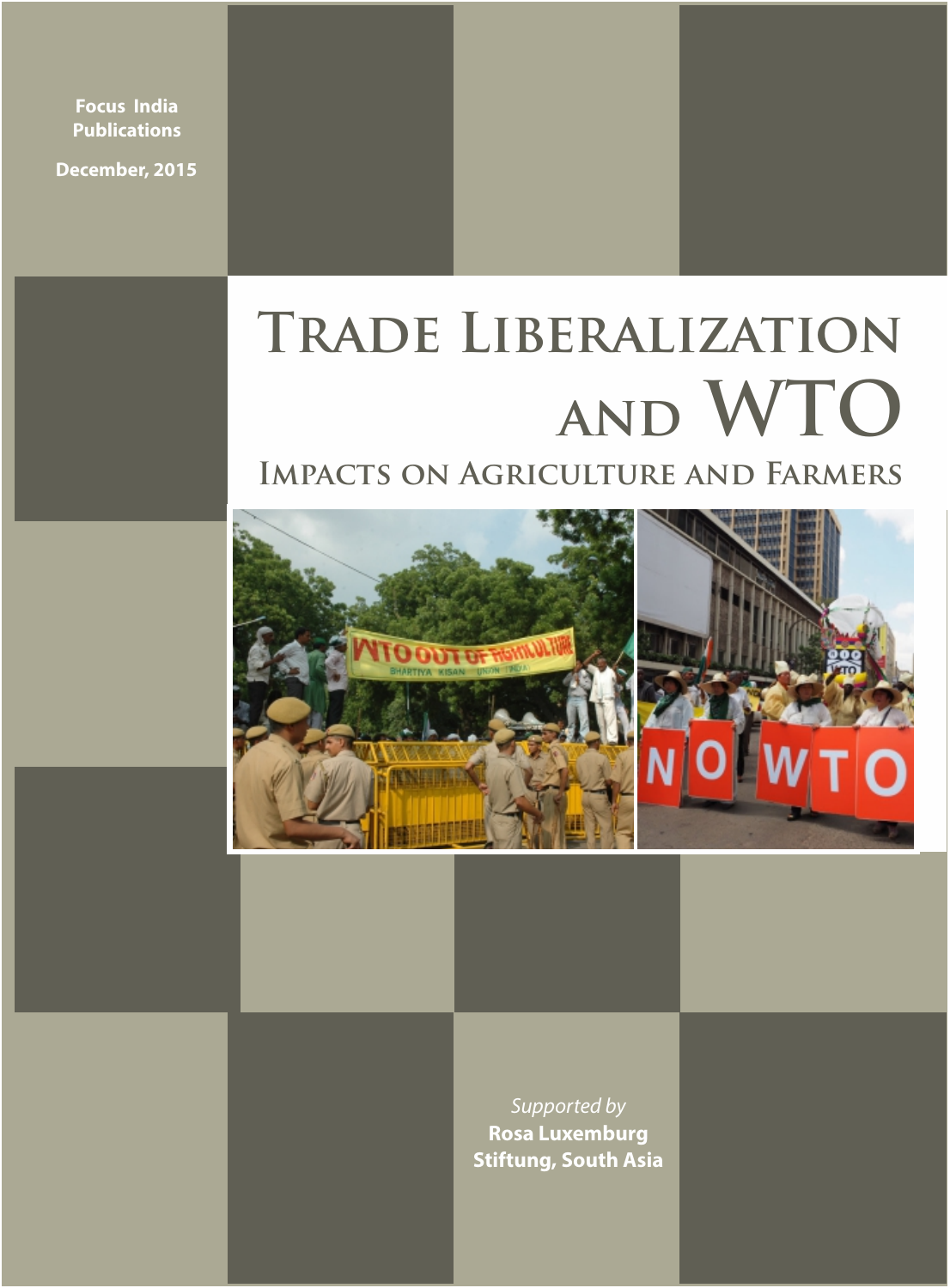**Focus India Publications**

**December, 2015**

# **Trade Liberalization and WTO**

### **Impacts on Agriculture and Farmers**



Supported by **Rosa Luxemburg Stiftung, South Asia**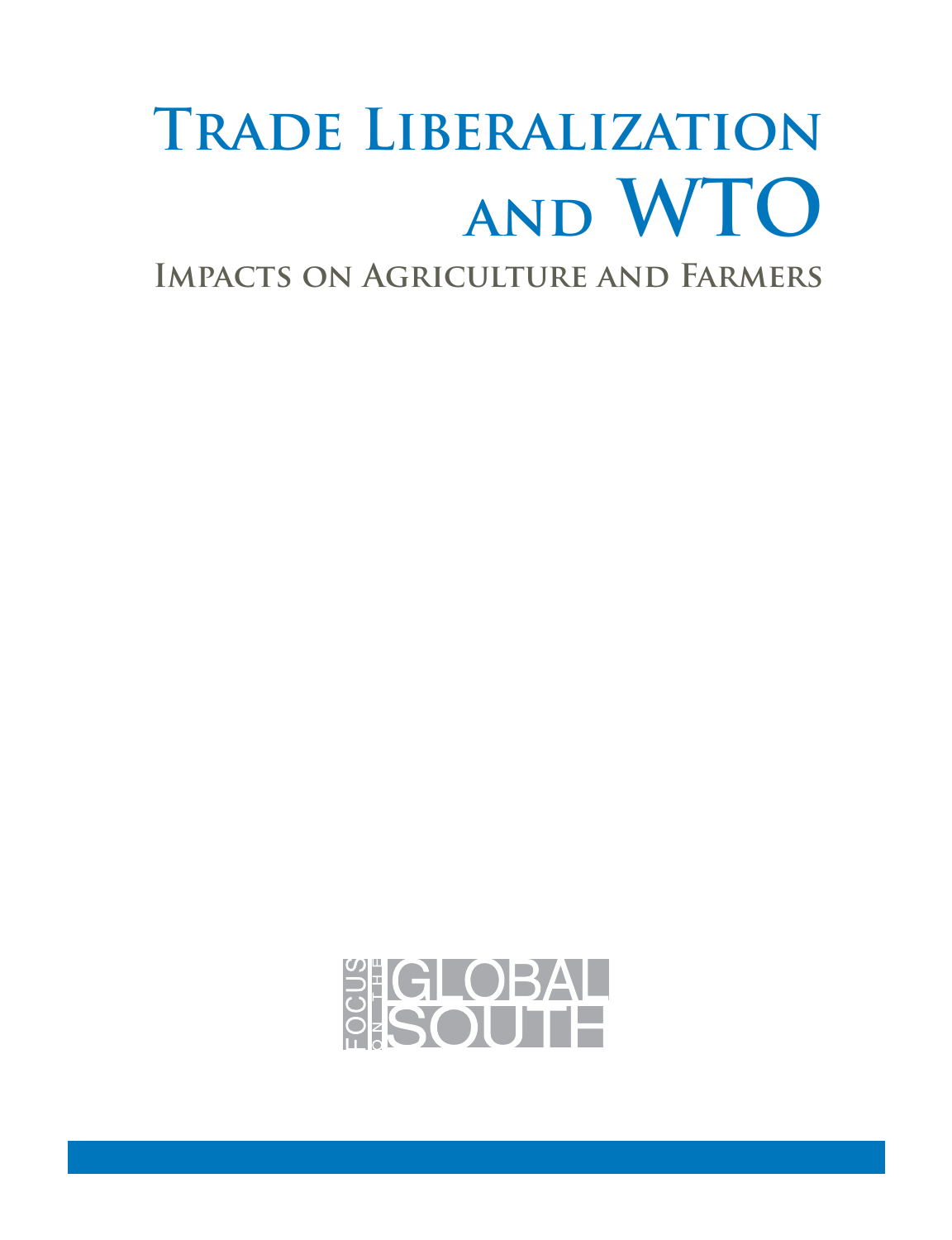# **Trade Liberalization and WTO**

**Impacts on Agriculture and Farmers**

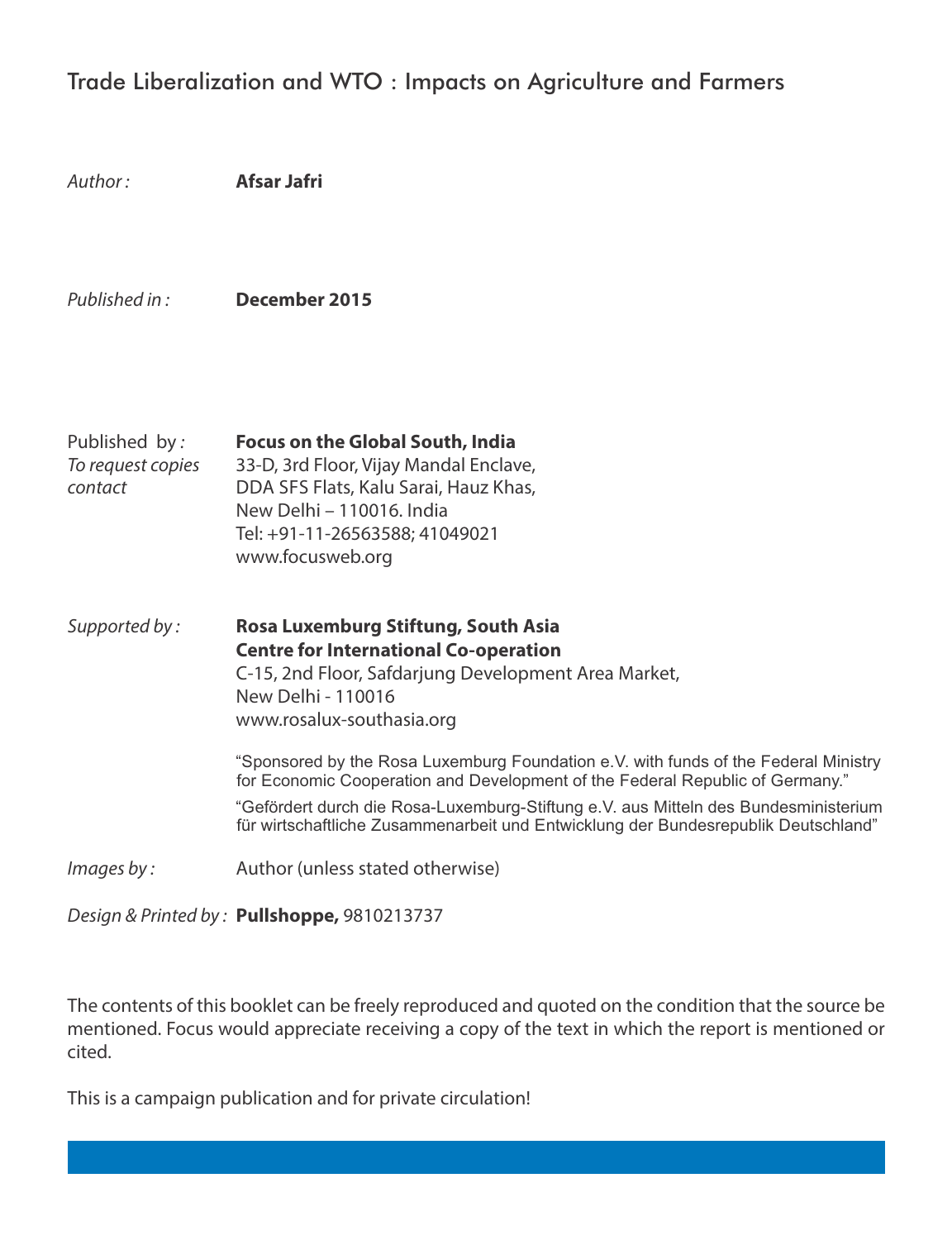#### Trade Liberalization and WTO : Impacts on Agriculture and Farmers

| Author:                                       | Afsar Jafri                                                                                                                                                                                                                                                                                                                                                                                                                                                                                                                                         |
|-----------------------------------------------|-----------------------------------------------------------------------------------------------------------------------------------------------------------------------------------------------------------------------------------------------------------------------------------------------------------------------------------------------------------------------------------------------------------------------------------------------------------------------------------------------------------------------------------------------------|
| Published in:                                 | December 2015                                                                                                                                                                                                                                                                                                                                                                                                                                                                                                                                       |
| Published by:<br>To request copies<br>contact | Focus on the Global South, India<br>33-D, 3rd Floor, Vijay Mandal Enclave,<br>DDA SFS Flats, Kalu Sarai, Hauz Khas,<br>New Delhi - 110016. India<br>Tel: +91-11-26563588; 41049021<br>www.focusweb.org                                                                                                                                                                                                                                                                                                                                              |
| Supported by:                                 | Rosa Luxemburg Stiftung, South Asia<br><b>Centre for International Co-operation</b><br>C-15, 2nd Floor, Safdarjung Development Area Market,<br>New Delhi - 110016<br>www.rosalux-southasia.org<br>"Sponsored by the Rosa Luxemburg Foundation e.V. with funds of the Federal Ministry<br>for Economic Cooperation and Development of the Federal Republic of Germany."<br>"Gefördert durch die Rosa-Luxemburg-Stiftung e.V. aus Mitteln des Bundesministerium<br>für wirtschaftliche Zusammenarbeit und Entwicklung der Bundesrepublik Deutschland" |
| Images by:                                    | Author (unless stated otherwise)                                                                                                                                                                                                                                                                                                                                                                                                                                                                                                                    |

Design & Printed by : **Pullshoppe,** 9810213737

The contents of this booklet can be freely reproduced and quoted on the condition that the source be mentioned. Focus would appreciate receiving a copy of the text in which the report is mentioned or cited.

This is a campaign publication and for private circulation!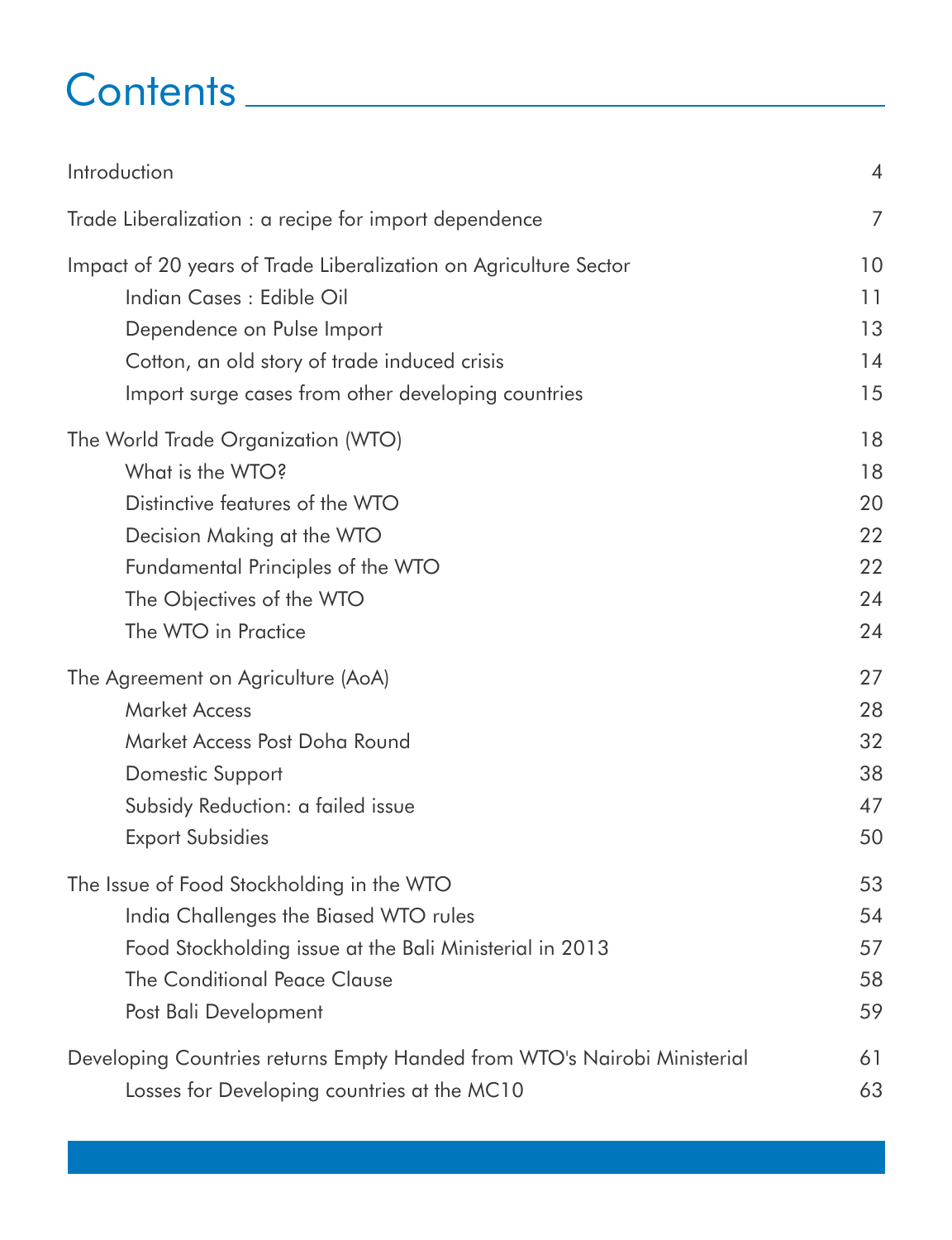## Contents

| Introduction                                                             | $\overline{4}$ |
|--------------------------------------------------------------------------|----------------|
| Trade Liberalization : a recipe for import dependence                    | 7              |
| Impact of 20 years of Trade Liberalization on Agriculture Sector         | 10             |
| Indian Cases : Edible Oil                                                | 11             |
| Dependence on Pulse Import                                               | 13             |
| Cotton, an old story of trade induced crisis                             | 14             |
| Import surge cases from other developing countries                       | 15             |
| The World Trade Organization (WTO)                                       | 18             |
| What is the WTO?                                                         | 18             |
| Distinctive features of the WTO                                          | 20             |
| Decision Making at the WTO                                               | 22             |
| Fundamental Principles of the WTO                                        | 22             |
| The Objectives of the WTO                                                | 24             |
| The WTO in Practice                                                      | 24             |
| The Agreement on Agriculture (AoA)                                       | 27             |
| <b>Market Access</b>                                                     | 28             |
| Market Access Post Doha Round                                            | 32             |
| <b>Domestic Support</b>                                                  | 38             |
| Subsidy Reduction: a failed issue                                        | 47             |
| <b>Export Subsidies</b>                                                  | 50             |
| The Issue of Food Stockholding in the WTO                                | 53             |
| India Challenges the Biased WTO rules                                    | 54             |
| Food Stockholding issue at the Bali Ministerial in 2013                  | 57             |
| The Conditional Peace Clause                                             | 58             |
| Post Bali Development                                                    | 59             |
| Developing Countries returns Empty Handed from WTO's Nairobi Ministerial | 61             |
| Losses for Developing countries at the MC10                              | 63             |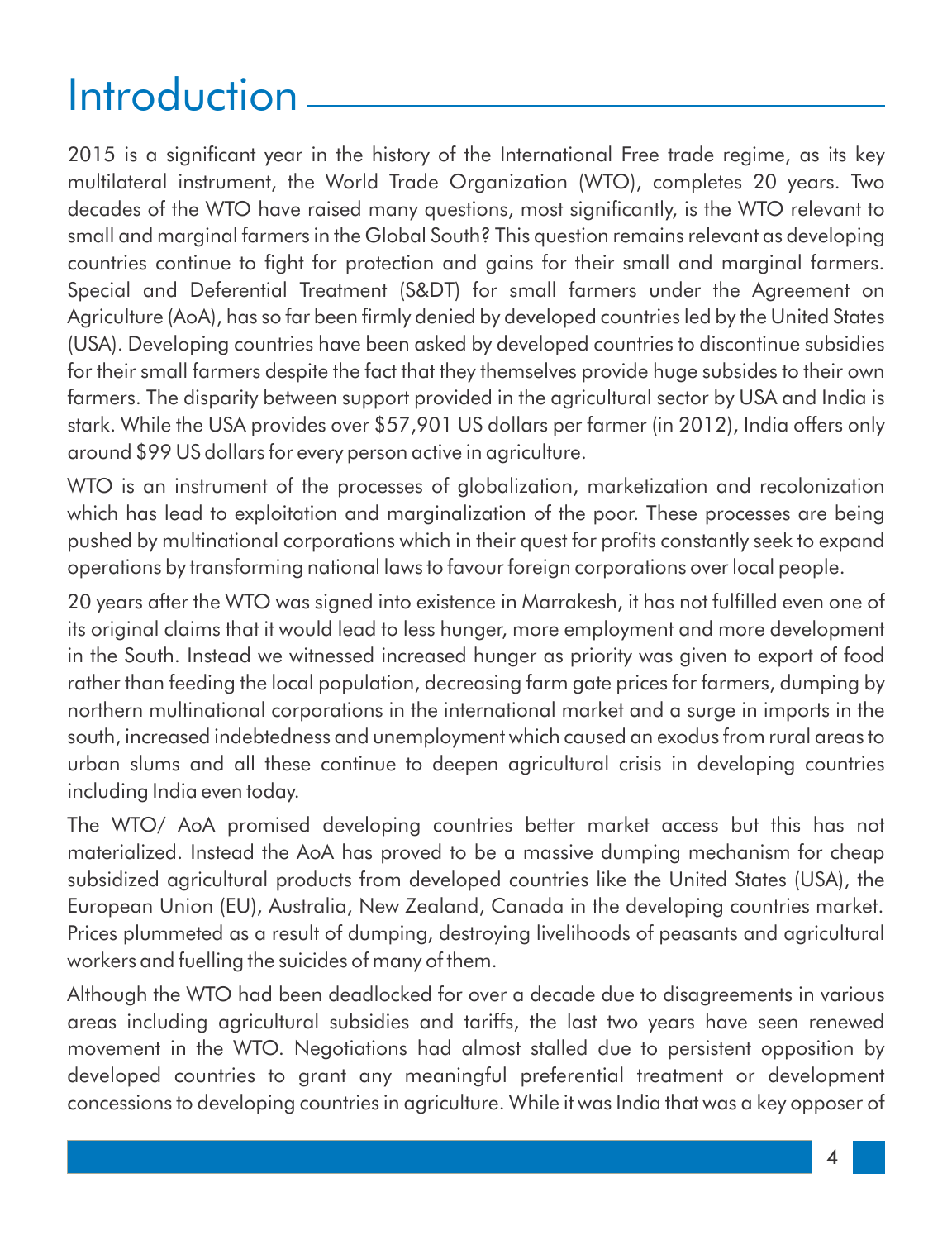## Introduction

2015 is a significant year in the history of the International Free trade regime, as its key multilateral instrument, the World Trade Organization (WTO), completes 20 years. Two decades of the WTO have raised many questions, most significantly, is the WTO relevant to small and marginal farmers in the Global South? This question remains relevant as developing countries continue to fight for protection and gains for their small and marginal farmers. Special and Deferential Treatment (S&DT) for small farmers under the Agreement on Agriculture (AoA), has so far been firmly denied by developed countries led by the United States (USA). Developing countries have been asked by developed countries to discontinue subsidies for their small farmers despite the fact that they themselves provide huge subsides to their own farmers. The disparity between support provided in the agricultural sector by USA and India is stark. While the USA provides over \$57,901 US dollars per farmer (in 2012), India offers only around \$99 US dollars for every person active in agriculture.

WTO is an instrument of the processes of globalization, marketization and recolonization which has lead to exploitation and marginalization of the poor. These processes are being pushed by multinational corporations which in their quest for profits constantly seek to expand operations by transforming national laws to favour foreign corporations over local people.

20 years after the WTO was signed into existence in Marrakesh, it has not fulfilled even one of its original claims that it would lead to less hunger, more employment and more development in the South. Instead we witnessed increased hunger as priority was given to export of food rather than feeding the local population, decreasing farm gate prices for farmers, dumping by northern multinational corporations in the international market and a surge in imports in the south, increased indebtedness and unemployment which caused an exodus from rural areas to urban slums and all these continue to deepen agricultural crisis in developing countries including India even today.

The WTO/ AoA promised developing countries better market access but this has not materialized. Instead the AoA has proved to be a massive dumping mechanism for cheap subsidized agricultural products from developed countries like the United States (USA), the European Union (EU), Australia, New Zealand, Canada in the developing countries market. Prices plummeted as a result of dumping, destroying livelihoods of peasants and agricultural workers and fuelling the suicides of many of them.

Although the WTO had been deadlocked for over a decade due to disagreements in various areas including agricultural subsidies and tariffs, the last two years have seen renewed movement in the WTO. Negotiations had almost stalled due to persistent opposition by developed countries to grant any meaningful preferential treatment or development concessions to developing countries in agriculture. While it was India that was a key opposer of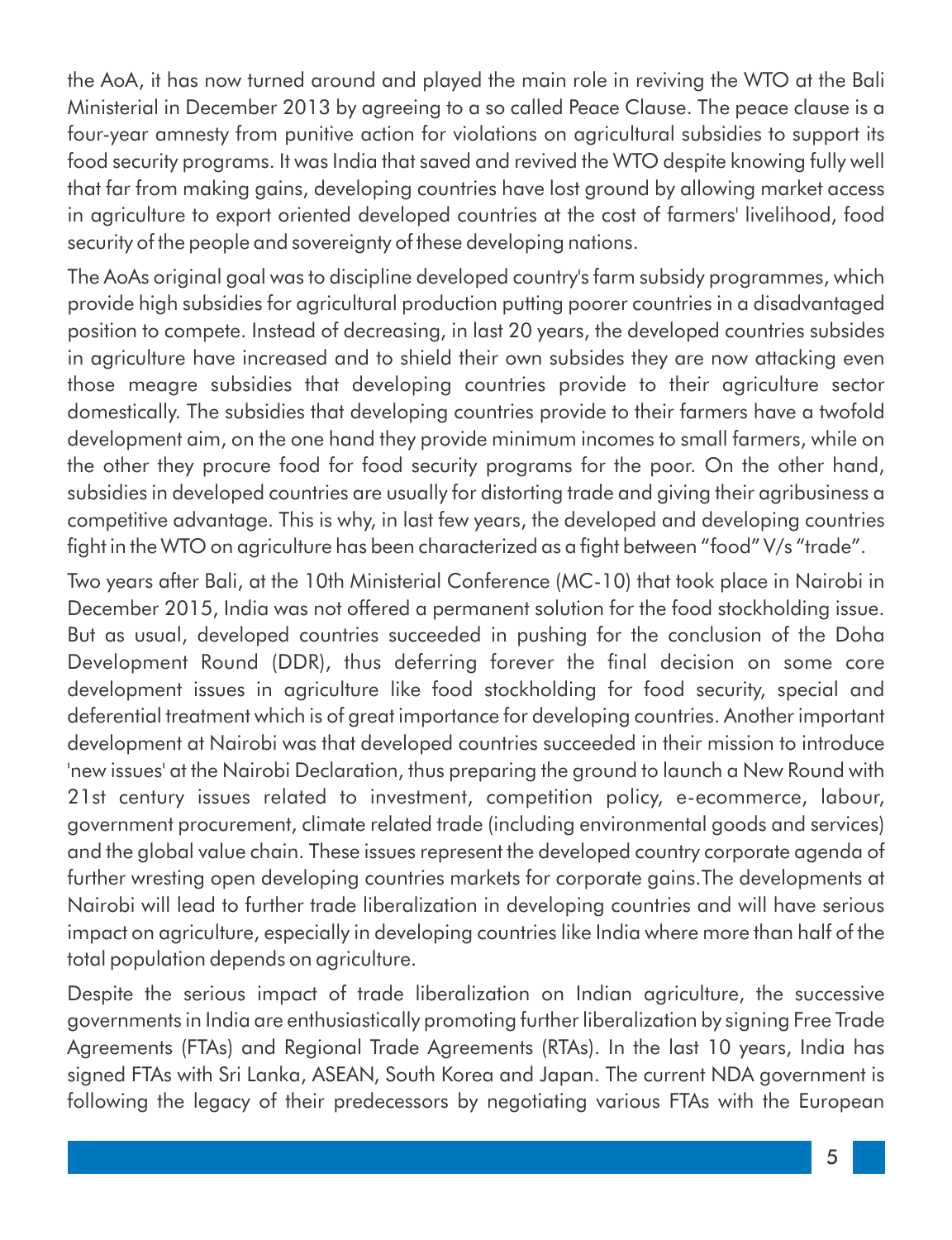the AoA, it has now turned around and played the main role in reviving the WTO at the Bali Ministerial in December 2013 by agreeing to a so called Peace Clause. The peace clause is a four-year amnesty from punitive action for violations on agricultural subsidies to support its food security programs. It was India that saved and revived the WTO despite knowing fully well that far from making gains, developing countries have lost ground by allowing market access in agriculture to export oriented developed countries at the cost of farmers' livelihood, food security of the people and sovereignty of these developing nations.

The AoAs original goal was to discipline developed country's farm subsidy programmes, which provide high subsidies for agricultural production putting poorer countries in a disadvantaged position to compete. Instead of decreasing, in last 20 years, the developed countries subsides in agriculture have increased and to shield their own subsides they are now attacking even those meagre subsidies that developing countries provide to their agriculture sector domestically. The subsidies that developing countries provide to their farmers have a twofold development aim, on the one hand they provide minimum incomes to small farmers, while on the other they procure food for food security programs for the poor. On the other hand, subsidies in developed countries are usually for distorting trade and giving their agribusiness a competitive advantage. This is why, in last few years, the developed and developing countries fight in the WTO on agriculture has been characterized as a fight between "food" V/s "trade".

Two years after Bali, at the 10th Ministerial Conference (MC-10) that took place in Nairobi in December 2015, India was not offered a permanent solution for the food stockholding issue. But as usual, developed countries succeeded in pushing for the conclusion of the Doha Development Round (DDR), thus deferring forever the final decision on some core development issues in agriculture like food stockholding for food security, special and deferential treatment which is of great importance for developing countries. Another important development at Nairobi was that developed countries succeeded in their mission to introduce 'new issues' at the Nairobi Declaration, thus preparing the ground to launch a New Round with 21st century issues related to investment, competition policy, e-ecommerce, labour, government procurement, climate related trade (including environmental goods and services) and the global value chain. These issues represent the developed country corporate agenda of further wresting open developing countries markets for corporate gains.The developments at Nairobi will lead to further trade liberalization in developing countries and will have serious impact on agriculture, especially in developing countries like India where more than half of the total population depends on agriculture.

Despite the serious impact of trade liberalization on Indian agriculture, the successive governments in India are enthusiastically promoting further liberalization by signing Free Trade Agreements (FTAs) and Regional Trade Agreements (RTAs). In the last 10 years, India has signed FTAs with Sri Lanka, ASEAN, South Korea and Japan. The current NDA government is following the legacy of their predecessors by negotiating various FTAs with the European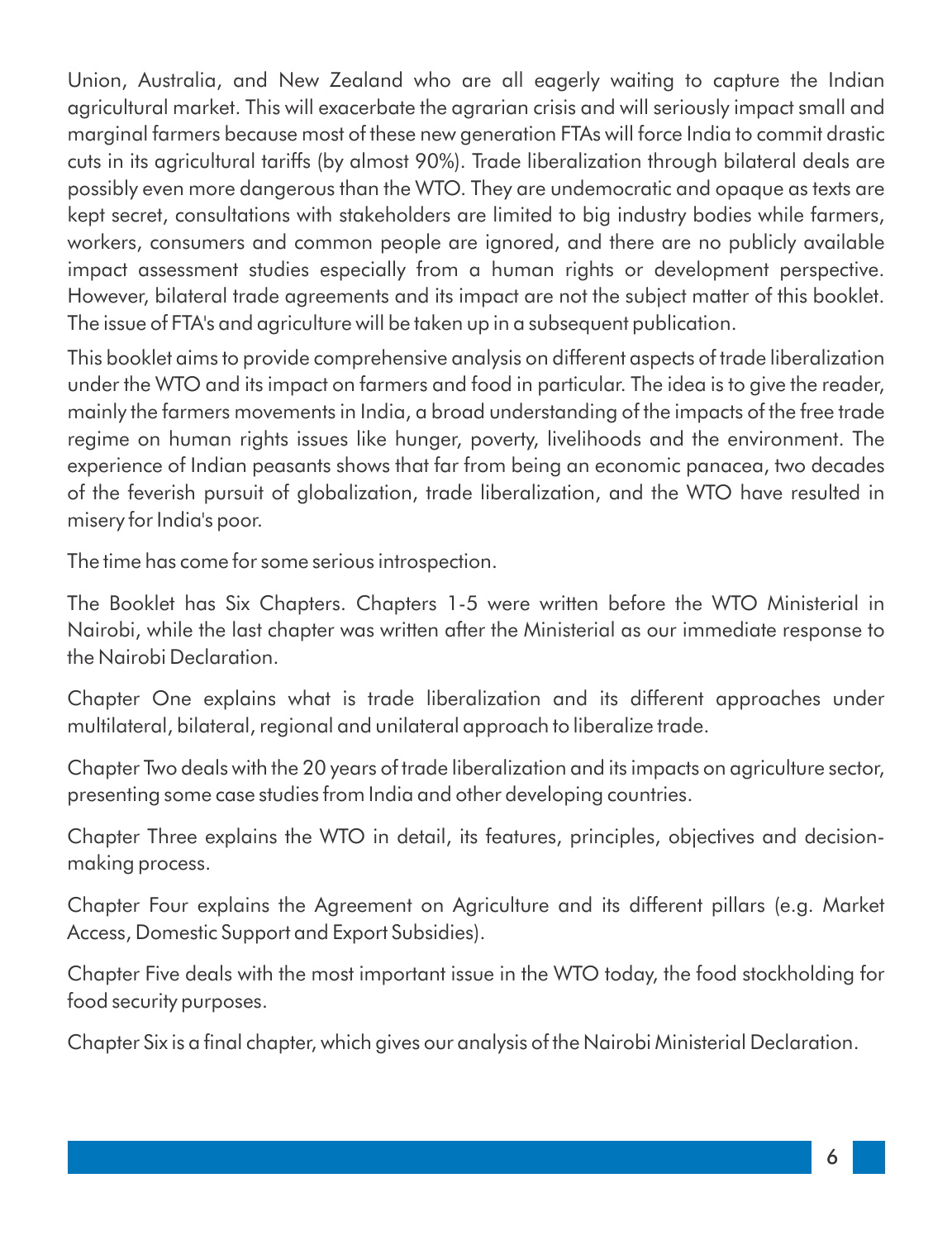Union, Australia, and New Zealand who are all eagerly waiting to capture the Indian agricultural market. This will exacerbate the agrarian crisis and will seriously impact small and marginal farmers because most of these new generation FTAs will force India to commit drastic cuts in its agricultural tariffs (by almost 90%). Trade liberalization through bilateral deals are possibly even more dangerous than the WTO. They are undemocratic and opaque as texts are kept secret, consultations with stakeholders are limited to big industry bodies while farmers, workers, consumers and common people are ignored, and there are no publicly available impact assessment studies especially from a human rights or development perspective. However, bilateral trade agreements and its impact are not the subject matter of this booklet. The issue of FTA's and agriculture will be taken up in a subsequent publication.

This booklet aims to provide comprehensive analysis on different aspects of trade liberalization under the WTO and its impact on farmers and food in particular. The idea is to give the reader, mainly the farmers movements in India, a broad understanding of the impacts of the free trade regime on human rights issues like hunger, poverty, livelihoods and the environment. The experience of Indian peasants shows that far from being an economic panacea, two decades of the feverish pursuit of globalization, trade liberalization, and the WTO have resulted in misery for India's poor.

The time has come for some serious introspection.

The Booklet has Six Chapters. Chapters 1-5 were written before the WTO Ministerial in Nairobi, while the last chapter was written after the Ministerial as our immediate response to the Nairobi Declaration.

Chapter One explains what is trade liberalization and its different approaches under multilateral, bilateral, regional and unilateral approach to liberalize trade.

Chapter Two deals with the 20 years of trade liberalization and its impacts on agriculture sector, presenting some case studies from India and other developing countries.

Chapter Three explains the WTO in detail, its features, principles, objectives and decisionmaking process.

Chapter Four explains the Agreement on Agriculture and its different pillars (e.g. Market Access, Domestic Support and Export Subsidies).

Chapter Five deals with the most important issue in the WTO today, the food stockholding for food security purposes.

Chapter Six is a final chapter, which gives our analysis of the Nairobi Ministerial Declaration.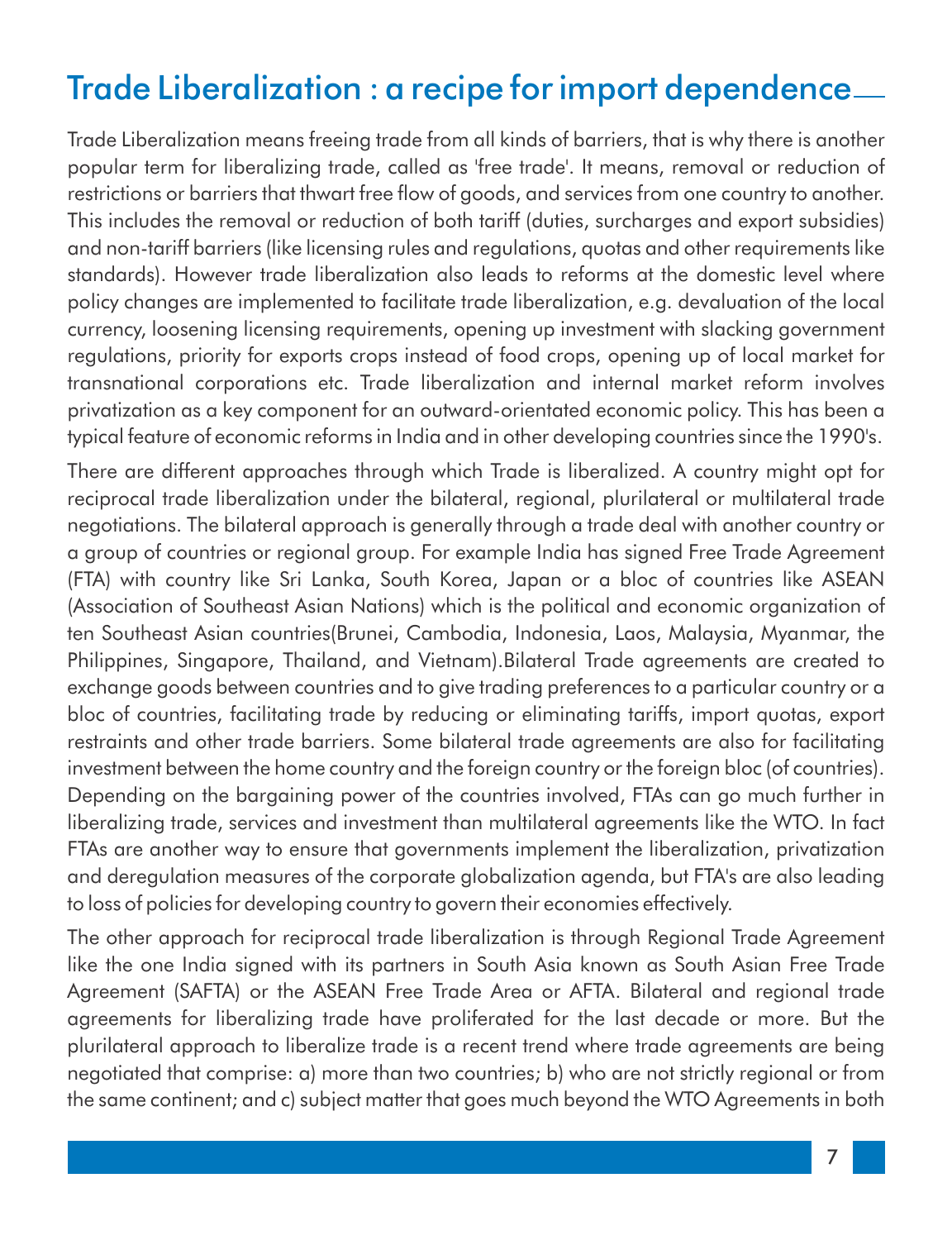### Trade Liberalization : a recipe for import dependence

Trade Liberalization means freeing trade from all kinds of barriers, that is why there is another popular term for liberalizing trade, called as 'free trade'. It means, removal or reduction of restrictions or barriers that thwart free flow of goods, and services from one country to another. This includes the removal or reduction of both tariff (duties, surcharges and export subsidies) and non-tariff barriers (like licensing rules and regulations, quotas and other requirements like standards). However trade liberalization also leads to reforms at the domestic level where policy changes are implemented to facilitate trade liberalization, e.g. devaluation of the local currency, loosening licensing requirements, opening up investment with slacking government regulations, priority for exports crops instead of food crops, opening up of local market for transnational corporations etc. Trade liberalization and internal market reform involves privatization as a key component for an outward-orientated economic policy. This has been a typical feature of economic reforms in India and in other developing countries since the 1990's.

There are different approaches through which Trade is liberalized. A country might opt for reciprocal trade liberalization under the bilateral, regional, plurilateral or multilateral trade negotiations. The bilateral approach is generally through a trade deal with another country or a group of countries or regional group. For example India has signed Free Trade Agreement (FTA) with country like Sri Lanka, South Korea, Japan or a bloc of countries like ASEAN (Association of Southeast Asian Nations) which is the political and economic organization of ten Southeast Asian countries(Brunei, Cambodia, Indonesia, Laos, Malaysia, Myanmar, the Philippines, Singapore, Thailand, and Vietnam).Bilateral Trade agreements are created to exchange goods between countries and to give trading preferences to a particular country or a bloc of countries, facilitating trade by reducing or eliminating tariffs, import quotas, export restraints and other trade barriers. Some bilateral trade agreements are also for facilitating investment between the home country and the foreign country or the foreign bloc (of countries). Depending on the bargaining power of the countries involved, FTAs can go much further in liberalizing trade, services and investment than multilateral agreements like the WTO. In fact FTAs are another way to ensure that governments implement the liberalization, privatization and deregulation measures of the corporate globalization agenda, but FTA's are also leading to loss of policies for developing country to govern their economies effectively.

The other approach for reciprocal trade liberalization is through Regional Trade Agreement like the one India signed with its partners in South Asia known as South Asian Free Trade Agreement (SAFTA) or the ASEAN Free Trade Area or AFTA. Bilateral and regional trade agreements for liberalizing trade have proliferated for the last decade or more. But the plurilateral approach to liberalize trade is a recent trend where trade agreements are being negotiated that comprise: a) more than two countries; b) who are not strictly regional or from the same continent; and c) subject matter that goes much beyond the WTO Agreements in both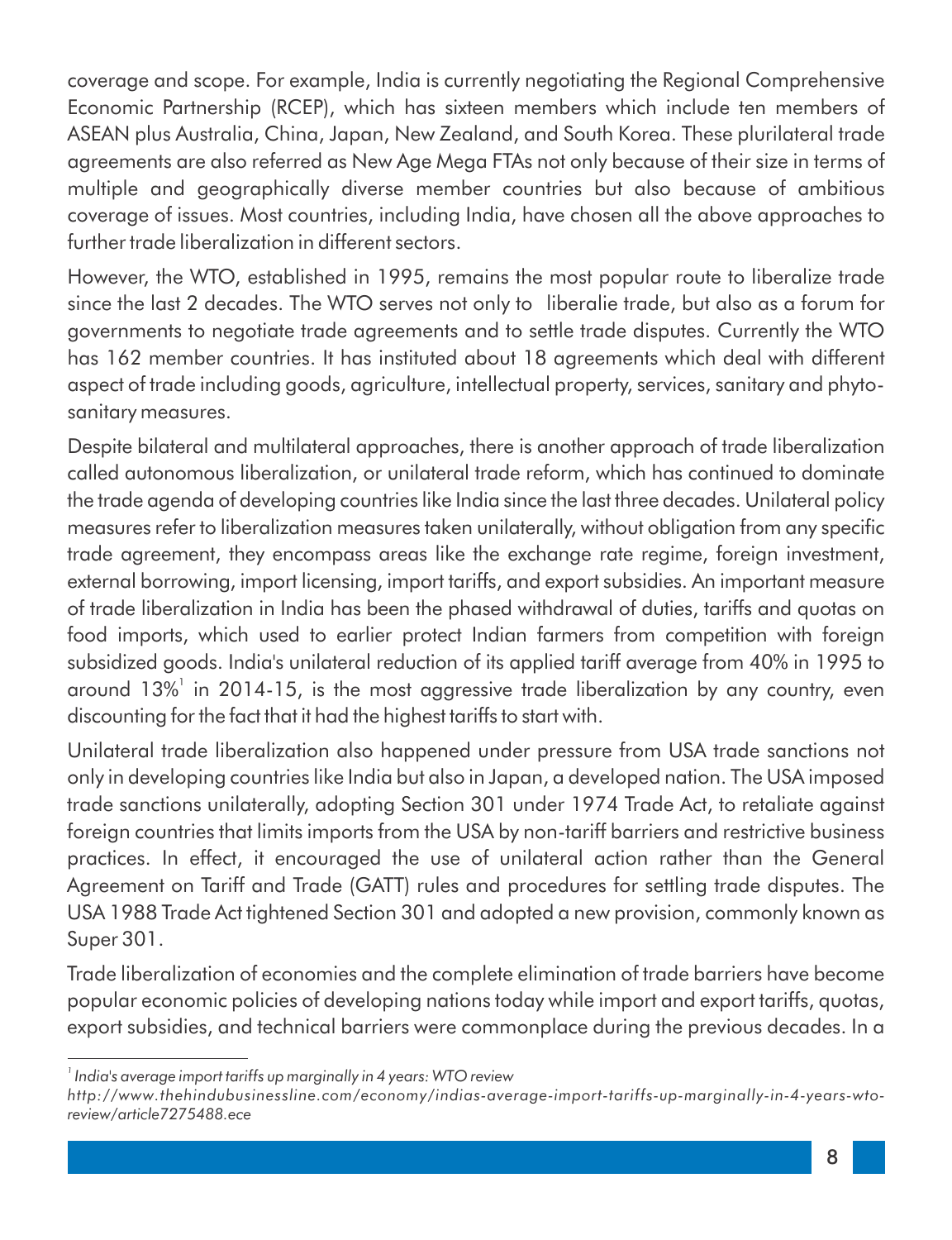coverage and scope. For example, India is currently negotiating the Regional Comprehensive Economic Partnership (RCEP), which has sixteen members which include ten members of ASEAN plus Australia, China, Japan, New Zealand, and South Korea. These plurilateral trade agreements are also referred as New Age Mega FTAs not only because of their size in terms of multiple and geographically diverse member countries but also because of ambitious coverage of issues. Most countries, including India, have chosen all the above approaches to further trade liberalization in different sectors.

However, the WTO, established in 1995, remains the most popular route to liberalize trade since the last 2 decades. The WTO serves not only to liberalie trade, but also as a forum for governments to negotiate trade agreements and to settle trade disputes. Currently the WTO has 162 member countries. It has instituted about 18 agreements which deal with different aspect of trade including goods, agriculture, intellectual property, services, sanitary and phytosanitary measures.

Despite bilateral and multilateral approaches, there is another approach of trade liberalization called autonomous liberalization, or unilateral trade reform, which has continued to dominate the trade agenda of developing countries like India since the last three decades. Unilateral policy measures refer to liberalization measures taken unilaterally, without obligation from any specific trade agreement, they encompass areas like the exchange rate regime, foreign investment, external borrowing, import licensing, import tariffs, and export subsidies. An important measure of trade liberalization in India has been the phased withdrawal of duties, tariffs and quotas on food imports, which used to earlier protect Indian farmers from competition with foreign subsidized goods. India's unilateral reduction of its applied tariff average from 40% in 1995 to around 13%<sup>1</sup> in 2014-15, is the most aggressive trade liberalization by any country, even discounting for the fact that it had the highest tariffs to start with.

Unilateral trade liberalization also happened under pressure from USA trade sanctions not only in developing countries like India but also in Japan, a developed nation. The USA imposed trade sanctions unilaterally, adopting Section 301 under 1974 Trade Act, to retaliate against foreign countries that limits imports from the USA by non-tariff barriers and restrictive business practices. In effect, it encouraged the use of unilateral action rather than the General Agreement on Tariff and Trade (GATT) rules and procedures for settling trade disputes. The USA 1988 Trade Act tightened Section 301 and adopted a new provision, commonly known as Super 301.

Trade liberalization of economies and the complete elimination of trade barriers have become popular economic policies of developing nations today while import and export tariffs, quotas, export subsidies, and technical barriers were commonplace during the previous decades. In a

*<sup>1</sup> India's average import tariffs up marginally in 4 years: WTO review*

*http://www.thehindubusinessline.com/economy/indias-average-import-tariffs-up-marginally-in-4-years-wtoreview/article7275488.ece*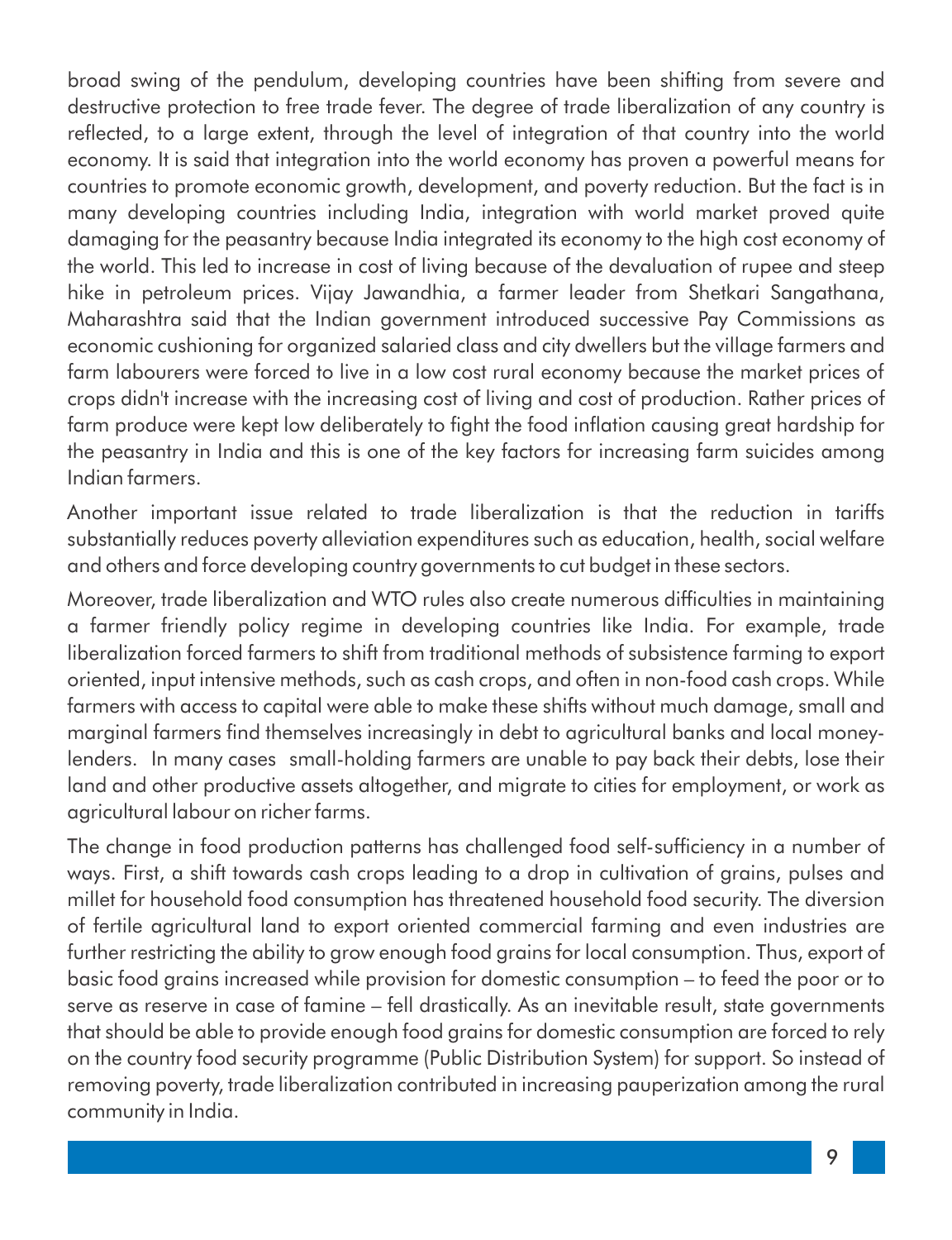broad swing of the pendulum, developing countries have been shifting from severe and destructive protection to free trade fever. The degree of trade liberalization of any country is reflected, to a large extent, through the level of integration of that country into the world economy. It is said that integration into the world economy has proven a powerful means for countries to promote economic growth, development, and poverty reduction. But the fact is in many developing countries including India, integration with world market proved quite damaging for the peasantry because India integrated its economy to the high cost economy of the world. This led to increase in cost of living because of the devaluation of rupee and steep hike in petroleum prices. Vijay Jawandhia, a farmer leader from Shetkari Sangathana, Maharashtra said that the Indian government introduced successive Pay Commissions as economic cushioning for organized salaried class and city dwellers but the village farmers and farm labourers were forced to live in a low cost rural economy because the market prices of crops didn't increase with the increasing cost of living and cost of production. Rather prices of farm produce were kept low deliberately to fight the food inflation causing great hardship for the peasantry in India and this is one of the key factors for increasing farm suicides among Indian farmers.

Another important issue related to trade liberalization is that the reduction in tariffs substantially reduces poverty alleviation expenditures such as education, health, social welfare and others and force developing country governments to cut budget in these sectors.

Moreover, trade liberalization and WTO rules also create numerous difficulties in maintaining a farmer friendly policy regime in developing countries like India. For example, trade liberalization forced farmers to shift from traditional methods of subsistence farming to export oriented, input intensive methods, such as cash crops, and often in non-food cash crops. While farmers with access to capital were able to make these shifts without much damage, small and marginal farmers find themselves increasingly in debt to agricultural banks and local moneylenders. In many cases small-holding farmers are unable to pay back their debts, lose their land and other productive assets altogether, and migrate to cities for employment, or work as agricultural labour on richer farms.

The change in food production patterns has challenged food self-sufficiency in a number of ways. First, a shift towards cash crops leading to a drop in cultivation of grains, pulses and millet for household food consumption has threatened household food security. The diversion of fertile agricultural land to export oriented commercial farming and even industries are further restricting the ability to grow enough food grains for local consumption. Thus, export of basic food grains increased while provision for domestic consumption – to feed the poor or to serve as reserve in case of famine – fell drastically. As an inevitable result, state governments that should be able to provide enough food grains for domestic consumption are forced to rely on the country food security programme (Public Distribution System) for support. So instead of removing poverty, trade liberalization contributed in increasing pauperization among the rural community in India.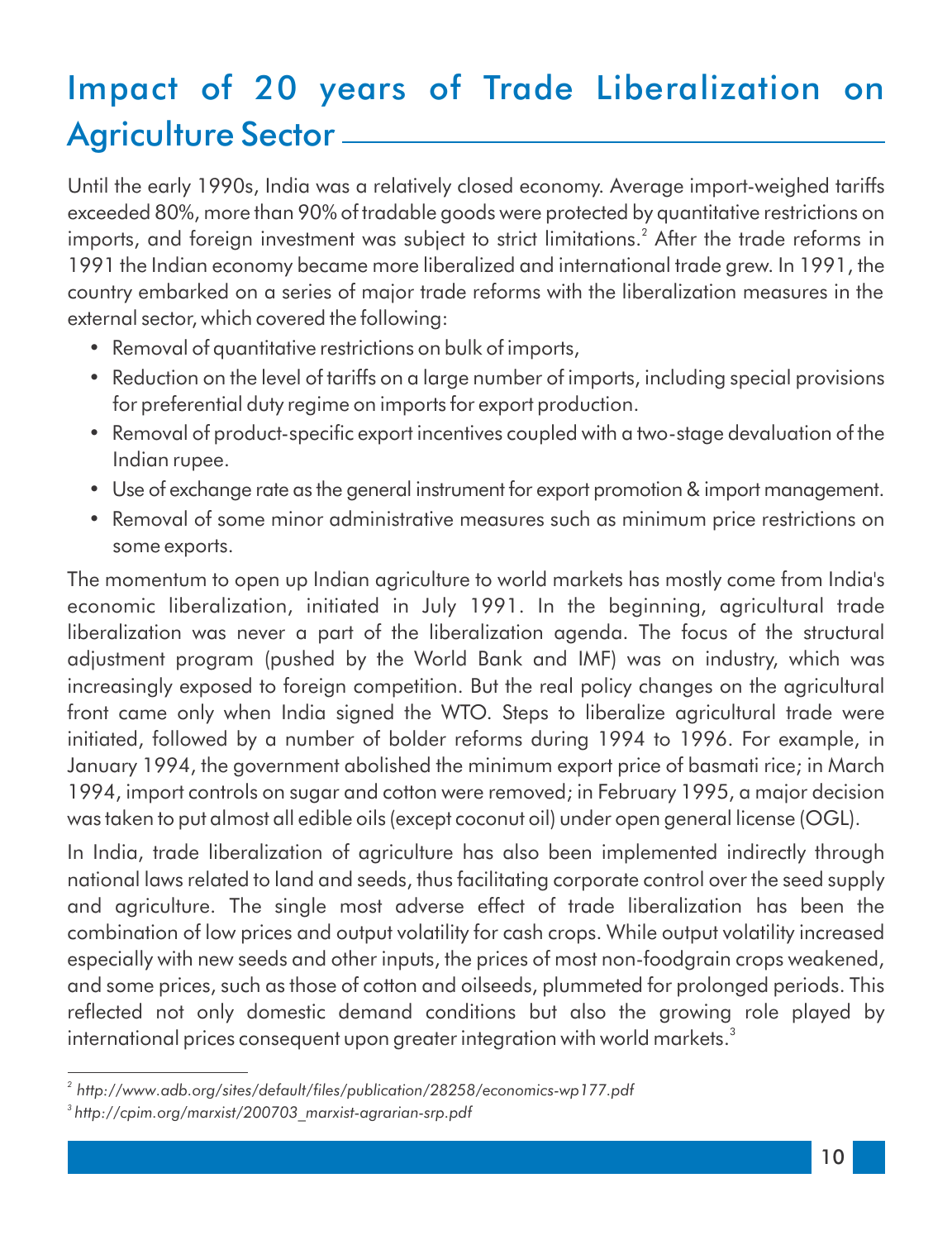## Impact of 20 years of Trade Liberalization on Agriculture Sector  $\_\_$

Until the early 1990s, India was a relatively closed economy. Average import-weighed tariffs exceeded 80%, more than 90% of tradable goods were protected by quantitative restrictions on imports, and foreign investment was subject to strict limitations.<sup>2</sup> After the trade reforms in 1991 the Indian economy became more liberalized and international trade grew. In 1991, the country embarked on a series of major trade reforms with the liberalization measures in the external sector, which covered the following:

- Removal of quantitative restrictions on bulk of imports,
- Reduction on the level of tariffs on a large number of imports, including special provisions for preferential duty regime on imports for export production.
- Removal of product-specific export incentives coupled with a two-stage devaluation of the Indian rupee.
- Use of exchange rate as the general instrument for export promotion & import management.
- Removal of some minor administrative measures such as minimum price restrictions on some exports.

The momentum to open up Indian agriculture to world markets has mostly come from India's economic liberalization, initiated in July 1991. In the beginning, agricultural trade liberalization was never a part of the liberalization agenda. The focus of the structural adjustment program (pushed by the World Bank and IMF) was on industry, which was increasingly exposed to foreign competition. But the real policy changes on the agricultural front came only when India signed the WTO. Steps to liberalize agricultural trade were initiated, followed by a number of bolder reforms during 1994 to 1996. For example, in January 1994, the government abolished the minimum export price of basmati rice; in March 1994, import controls on sugar and cotton were removed; in February 1995, a major decision was taken to put almost all edible oils (except coconut oil) under open general license (OGL).

In India, trade liberalization of agriculture has also been implemented indirectly through national laws related to land and seeds, thus facilitating corporate control over the seed supply and agriculture. The single most adverse effect of trade liberalization has been the combination of low prices and output volatility for cash crops. While output volatility increased especially with new seeds and other inputs, the prices of most non-foodgrain crops weakened, and some prices, such as those of cotton and oilseeds, plummeted for prolonged periods. This reflected not only domestic demand conditions but also the growing role played by international prices consequent upon greater integration with world markets. $^{\text{3}}$ 

<sup>&</sup>lt;sup>2</sup> http://www.adb.org/sites/default/files/publication/28258/economics-wp177.pdf *3 http://cpim.org/marxist/200703\_marxist-agrarian-srp.pdf*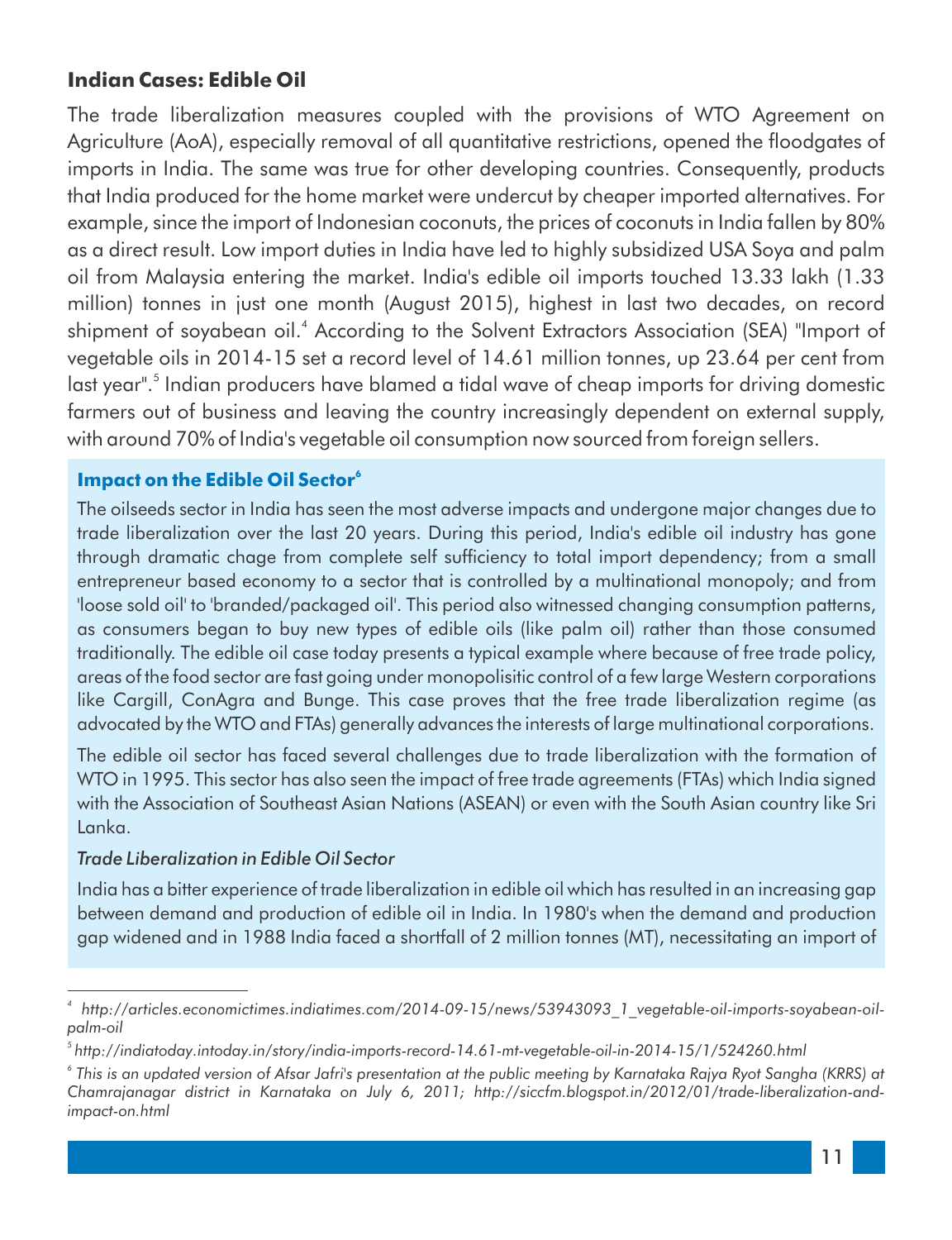#### **Indian Cases: Edible Oil**

The trade liberalization measures coupled with the provisions of WTO Agreement on Agriculture (AoA), especially removal of all quantitative restrictions, opened the floodgates of imports in India. The same was true for other developing countries. Consequently, products that India produced for the home market were undercut by cheaper imported alternatives. For example, since the import of Indonesian coconuts, the prices of coconuts in India fallen by 80% as a direct result. Low import duties in India have led to highly subsidized USA Soya and palm oil from Malaysia entering the market. India's edible oil imports touched 13.33 lakh (1.33 million) tonnes in just one month (August 2015), highest in last two decades, on record shipment of soyabean oil.<sup>4</sup> According to the Solvent Extractors Association (SEA) "Import of vegetable oils in 2014-15 set a record level of 14.61 million tonnes, up 23.64 per cent from last year".<sup>5</sup> Indian producers have blamed a tidal wave of cheap imports for driving domestic farmers out of business and leaving the country increasingly dependent on external supply, with around 70% of India's vegetable oil consumption now sourced from foreign sellers.

#### **6 Impact on the Edible Oil Sector**

The oilseeds sector in India has seen the most adverse impacts and undergone major changes due to trade liberalization over the last 20 years. During this period, India's edible oil industry has gone through dramatic chage from complete self sufficiency to total import dependency; from a small entrepreneur based economy to a sector that is controlled by a multinational monopoly; and from 'loose sold oil' to 'branded/packaged oil'. This period also witnessed changing consumption patterns, as consumers began to buy new types of edible oils (like palm oil) rather than those consumed traditionally. The edible oil case today presents a typical example where because of free trade policy, areas of the food sector are fast going under monopolisitic control of a few large Western corporations like Cargill, ConAgra and Bunge. This case proves that the free trade liberalization regime (as advocated by the WTO and FTAs) generally advances the interests of large multinational corporations.

The edible oil sector has faced several challenges due to trade liberalization with the formation of WTO in 1995. This sector has also seen the impact of free trade agreements (FTAs) which India signed with the Association of Southeast Asian Nations (ASEAN) or even with the South Asian country like Sri Lanka.

#### *Trade Liberalization in Edible Oil Sector*

India has a bitter experience of trade liberalization in edible oil which has resulted in an increasing gap between demand and production of edible oil in India. In 1980's when the demand and production gap widened and in 1988 India faced a shortfall of 2 million tonnes (MT), necessitating an import of

*<sup>4</sup> http://articles.economictimes.indiatimes.com/2014-09-15/news/53943093\_1\_vegetable-oil-imports-soyabean-oilpalm-oil*

*<sup>5</sup> http://indiatoday.intoday.in/story/india-imports-record-14.61-mt-vegetable-oil-in-2014-15/1/524260.html*

*<sup>6</sup> This is an updated version of Afsar Jafri's presentation at the public meeting by Karnataka Rajya Ryot Sangha (KRRS) at Chamrajanagar district in Karnataka on July 6, 2011; http://siccfm.blogspot.in/2012/01/trade-liberalization-andimpact-on.html*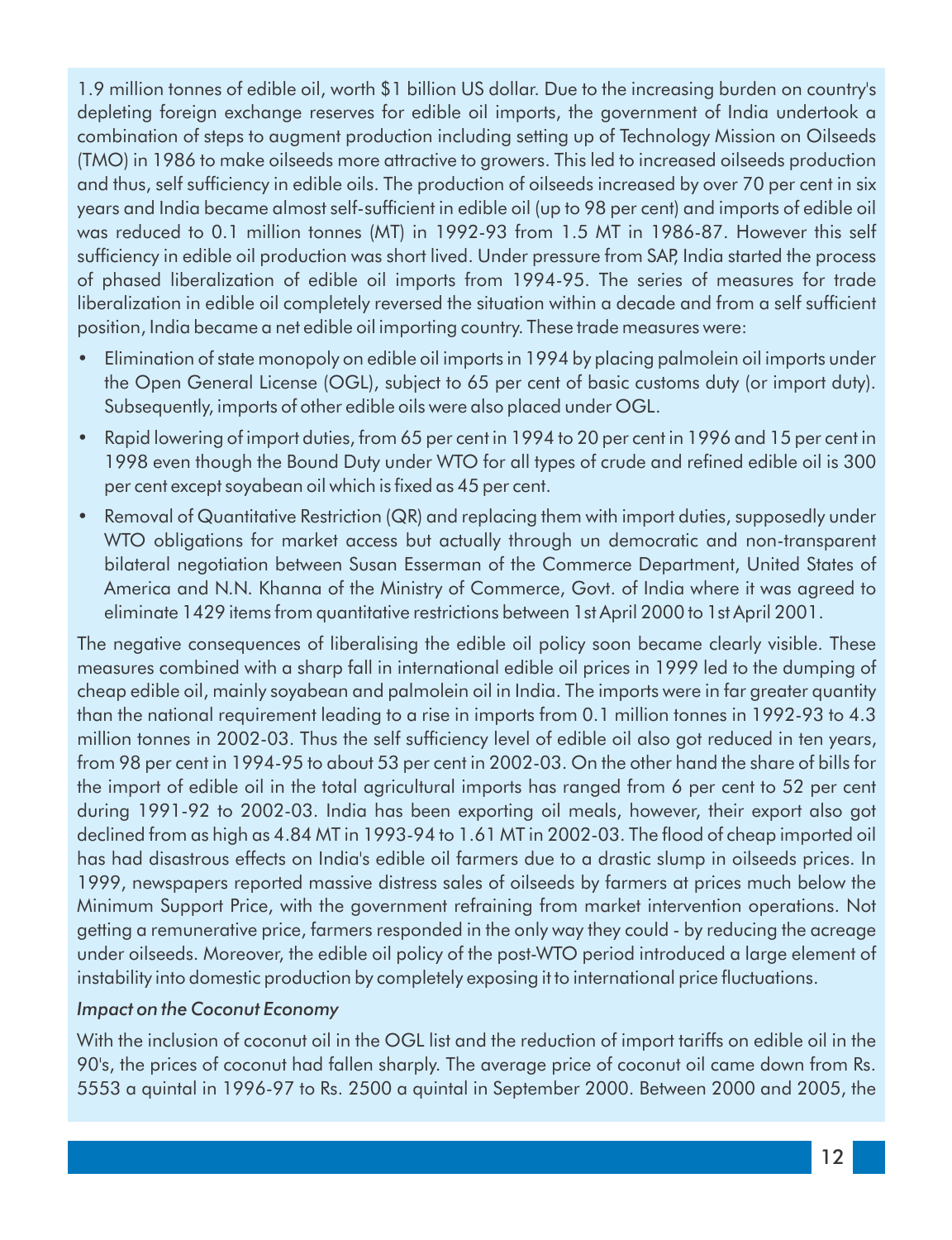1.9 million tonnes of edible oil, worth \$1 billion US dollar. Due to the increasing burden on country's depleting foreign exchange reserves for edible oil imports, the government of India undertook a combination of steps to augment production including setting up of Technology Mission on Oilseeds (TMO) in 1986 to make oilseeds more attractive to growers. This led to increased oilseeds production and thus, self sufficiency in edible oils. The production of oilseeds increased by over 70 per cent in six years and India became almost self-sufficient in edible oil (up to 98 per cent) and imports of edible oil was reduced to 0.1 million tonnes (MT) in 1992-93 from 1.5 MT in 1986-87. However this self sufficiency in edible oil production was short lived. Under pressure from SAP, India started the process of phased liberalization of edible oil imports from 1994-95. The series of measures for trade liberalization in edible oil completely reversed the situation within a decade and from a self sufficient position, India became a net edible oil importing country. These trade measures were:

- Elimination of state monopoly on edible oil imports in 1994 by placing palmolein oil imports under the Open General License (OGL), subject to 65 per cent of basic customs duty (or import duty). Subsequently, imports of other edible oils were also placed under OGL.
- Rapid lowering of import duties, from 65 per cent in 1994 to 20 per cent in 1996 and 15 per cent in 1998 even though the Bound Duty under WTO for all types of crude and refined edible oil is 300 per cent except soyabean oil which is fixed as 45 per cent.
- Removal of Quantitative Restriction (QR) and replacing them with import duties, supposedly under WTO obligations for market access but actually through un democratic and non-transparent bilateral negotiation between Susan Esserman of the Commerce Department, United States of America and N.N. Khanna of the Ministry of Commerce, Govt. of India where it was agreed to eliminate 1429 items from quantitative restrictions between 1st April 2000 to 1st April 2001.

The negative consequences of liberalising the edible oil policy soon became clearly visible. These measures combined with a sharp fall in international edible oil prices in 1999 led to the dumping of cheap edible oil, mainly soyabean and palmolein oil in India. The imports were in far greater quantity than the national requirement leading to a rise in imports from 0.1 million tonnes in 1992-93 to 4.3 million tonnes in 2002-03. Thus the self sufficiency level of edible oil also got reduced in ten years, from 98 per cent in 1994-95 to about 53 per cent in 2002-03. On the other hand the share of bills for the import of edible oil in the total agricultural imports has ranged from 6 per cent to 52 per cent during 1991-92 to 2002-03. India has been exporting oil meals, however, their export also got declined from as high as 4.84 MT in 1993-94 to 1.61 MT in 2002-03. The flood of cheap imported oil has had disastrous effects on India's edible oil farmers due to a drastic slump in oilseeds prices. In 1999, newspapers reported massive distress sales of oilseeds by farmers at prices much below the Minimum Support Price, with the government refraining from market intervention operations. Not getting a remunerative price, farmers responded in the only way they could - by reducing the acreage under oilseeds. Moreover, the edible oil policy of the post-WTO period introduced a large element of instability into domestic production by completely exposing it to international price fluctuations.

#### *Impact on the Coconut Economy*

With the inclusion of coconut oil in the OGL list and the reduction of import tariffs on edible oil in the 90's, the prices of coconut had fallen sharply. The average price of coconut oil came down from Rs. 5553 a quintal in 1996-97 to Rs. 2500 a quintal in September 2000. Between 2000 and 2005, the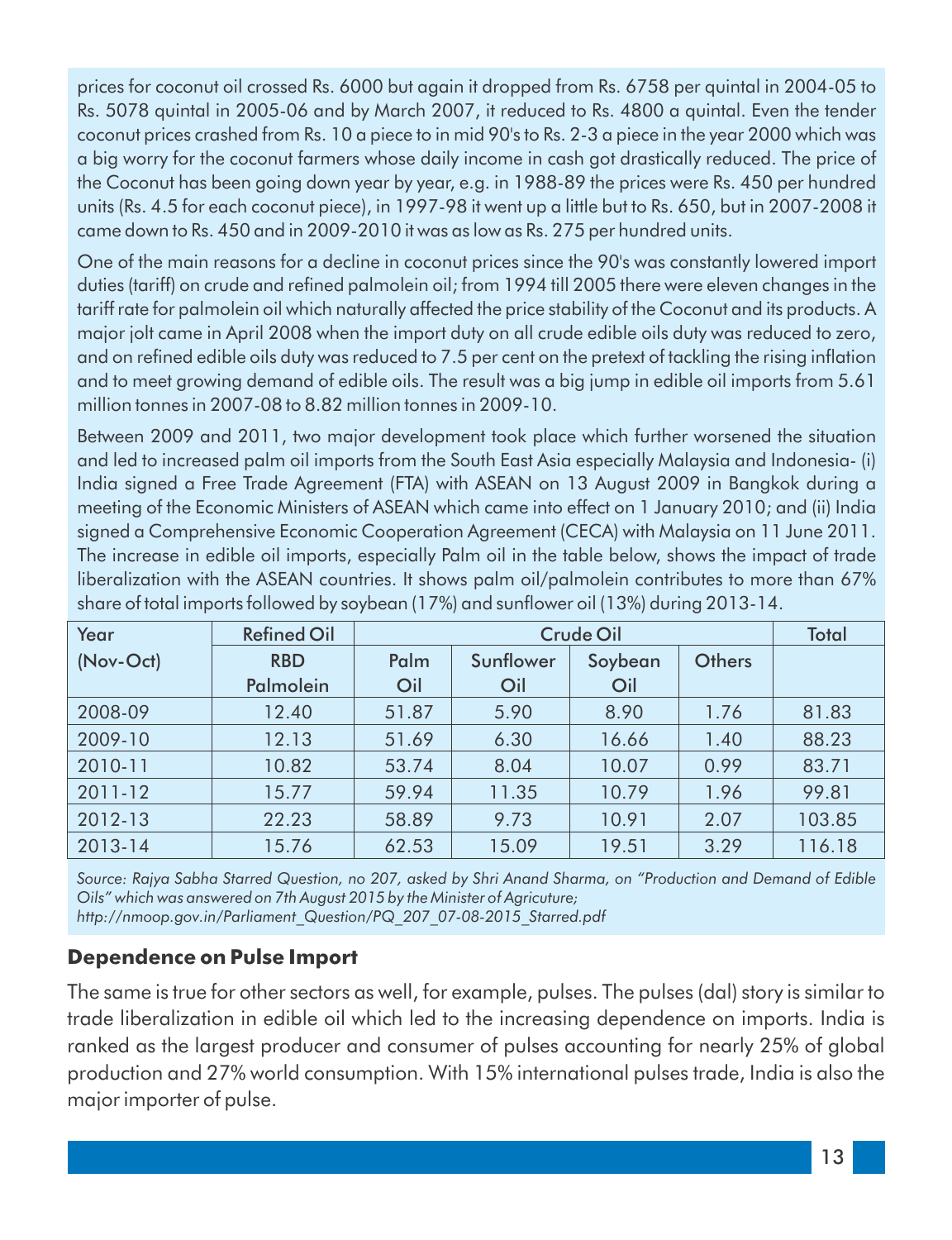prices for coconut oil crossed Rs. 6000 but again it dropped from Rs. 6758 per quintal in 2004-05 to Rs. 5078 quintal in 2005-06 and by March 2007, it reduced to Rs. 4800 a quintal. Even the tender coconut prices crashed from Rs. 10 a piece to in mid 90's to Rs. 2-3 a piece in the year 2000 which was a big worry for the coconut farmers whose daily income in cash got drastically reduced. The price of the Coconut has been going down year by year, e.g. in 1988-89 the prices were Rs. 450 per hundred units (Rs. 4.5 for each coconut piece), in 1997-98 it went up a little but to Rs. 650, but in 2007-2008 it came down to Rs. 450 and in 2009-2010 it was as low as Rs. 275 per hundred units.

One of the main reasons for a decline in coconut prices since the 90's was constantly lowered import duties (tariff) on crude and refined palmolein oil; from 1994 till 2005 there were eleven changes in the tariff rate for palmolein oil which naturally affected the price stability of the Coconut and its products. A major jolt came in April 2008 when the import duty on all crude edible oils duty was reduced to zero, and on refined edible oils duty was reduced to 7.5 per cent on the pretext of tackling the rising inflation and to meet growing demand of edible oils. The result was a big jump in edible oil imports from 5.61 million tonnes in 2007-08 to 8.82 million tonnes in 2009-10.

Between 2009 and 2011, two major development took place which further worsened the situation and led to increased palm oil imports from the South East Asia especially Malaysia and Indonesia- (i) India signed a Free Trade Agreement (FTA) with ASEAN on 13 August 2009 in Bangkok during a meeting of the Economic Ministers of ASEAN which came into effect on 1 January 2010; and (ii) India signed a Comprehensive Economic Cooperation Agreement (CECA) with Malaysia on 11 June 2011. The increase in edible oil imports, especially Palm oil in the table below, shows the impact of trade liberalization with the ASEAN countries. It shows palm oil/palmolein contributes to more than 67% share of total imports followed by soybean  $(17%)$  and sunflower oil  $(13%)$  during 2013-14.

| Year      | <b>Refined Oil</b> |       | Crude Oil |         |               |        |  |
|-----------|--------------------|-------|-----------|---------|---------------|--------|--|
| (Nov-Oct) | <b>RBD</b>         | Palm  | Sunflower | Soybean | <b>Others</b> |        |  |
|           | Palmolein          | Oil   | Oil       | Oil     |               |        |  |
| 2008-09   | 12.40              | 51.87 | 5.90      | 8.90    | 1.76          | 81.83  |  |
| 2009-10   | 12.13              | 51.69 | 6.30      | 16.66   | 1.40          | 88.23  |  |
| 2010-11   | 10.82              | 53.74 | 8.04      | 10.07   | 0.99          | 83.71  |  |
| 2011-12   | 15.77              | 59.94 | 11.35     | 10.79   | 1.96          | 99.81  |  |
| 2012-13   | 22.23              | 58.89 | 9.73      | 10.91   | 2.07          | 103.85 |  |
| 2013-14   | 15.76              | 62.53 | 15.09     | 19.51   | 3.29          | 116.18 |  |

*Source: Rajya Sabha Starred Question, no 207, asked by Shri Anand Sharma, on "Production and Demand of Edible Oils" which was answered on 7th August 2015 by the Minister of Agricuture; http://nmoop.gov.in/Parliament\_Question/PQ\_207\_07-08-2015\_Starred.pdf*

#### **Dependence on Pulse Import**

The same is true for other sectors as well, for example, pulses. The pulses (dal) story is similar to trade liberalization in edible oil which led to the increasing dependence on imports. India is ranked as the largest producer and consumer of pulses accounting for nearly 25% of global production and 27% world consumption. With 15% international pulses trade, India is also the major importer of pulse.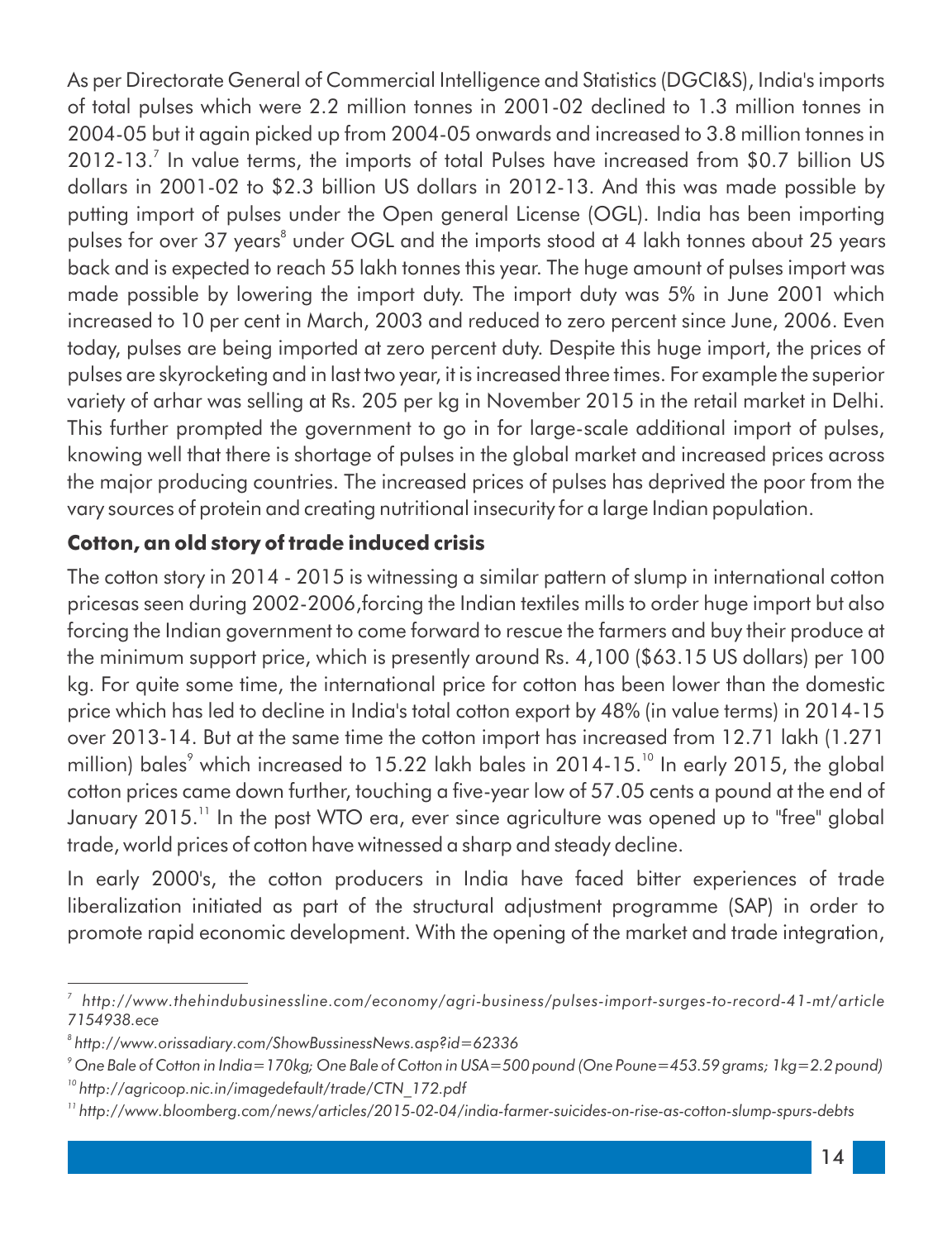As per Directorate General of Commercial Intelligence and Statistics (DGCI&S), India's imports of total pulses which were 2.2 million tonnes in 2001-02 declined to 1.3 million tonnes in 2004-05 but it again picked up from 2004-05 onwards and increased to 3.8 million tonnes in 2012-13.<sup>7</sup> In value terms, the imports of total Pulses have increased from \$0.7 billion US dollars in 2001-02 to \$2.3 billion US dollars in 2012-13. And this was made possible by putting import of pulses under the Open general License (OGL). India has been importing pulses for over 37 years $\degree$  under OGL and the imports stood at 4 lakh tonnes about 25 years back and is expected to reach 55 lakh tonnes this year. The huge amount of pulses import was made possible by lowering the import duty. The import duty was 5% in June 2001 which increased to 10 per cent in March, 2003 and reduced to zero percent since June, 2006. Even today, pulses are being imported at zero percent duty. Despite this huge import, the prices of pulses are skyrocketing and in last two year, it is increased three times. For example the superior variety of arhar was selling at Rs. 205 per kg in November 2015 in the retail market in Delhi. This further prompted the government to go in for large-scale additional import of pulses, knowing well that there is shortage of pulses in the global market and increased prices across the major producing countries. The increased prices of pulses has deprived the poor from the vary sources of protein and creating nutritional insecurity for a large Indian population.

#### **Cotton, an old story of trade induced crisis**

The cotton story in 2014 - 2015 is witnessing a similar pattern of slump in international cotton pricesas seen during 2002-2006,forcing the Indian textiles mills to order huge import but also forcing the Indian government to come forward to rescue the farmers and buy their produce at the minimum support price, which is presently around Rs. 4,100 (\$63.15 US dollars) per 100 kg. For quite some time, the international price for cotton has been lower than the domestic price which has led to decline in India's total cotton export by 48% (in value terms) in 2014-15 over 2013-14. But at the same time the cotton import has increased from 12.71 lakh (1.271 million) bales<sup>9</sup> which increased to 15.22 lakh bales in 2014-15.<sup>10</sup> In early 2015, the global cotton prices came down further, touching a five-year low of 57.05 cents a pound at the end of January 2015.<sup>11</sup> In the post WTO era, ever since agriculture was opened up to "free" global trade, world prices of cotton have witnessed a sharp and steady decline.

In early 2000's, the cotton producers in India have faced bitter experiences of trade liberalization initiated as part of the structural adjustment programme (SAP) in order to promote rapid economic development. With the opening of the market and trade integration,

*<sup>7</sup> http://www.thehindubusinessline.com/economy/agri-business/pulses-import-surges-to-record-41-mt/article 7154938.ece*

*<sup>8</sup> http://www.orissadiary.com/ShowBussinessNews.asp?id=62336*

*<sup>9</sup> One Bale of Cotton in India=170kg; One Bale of Cotton in USA=500 pound (One Poune=453.59 grams; 1kg=2.2 pound)*

*<sup>10</sup> http://agricoop.nic.in/imagedefault/trade/CTN\_172.pdf*

*<sup>11</sup> http://www.bloomberg.com/news/articles/2015-02-04/india-farmer-suicides-on-rise-as-cotton-slump-spurs-debts*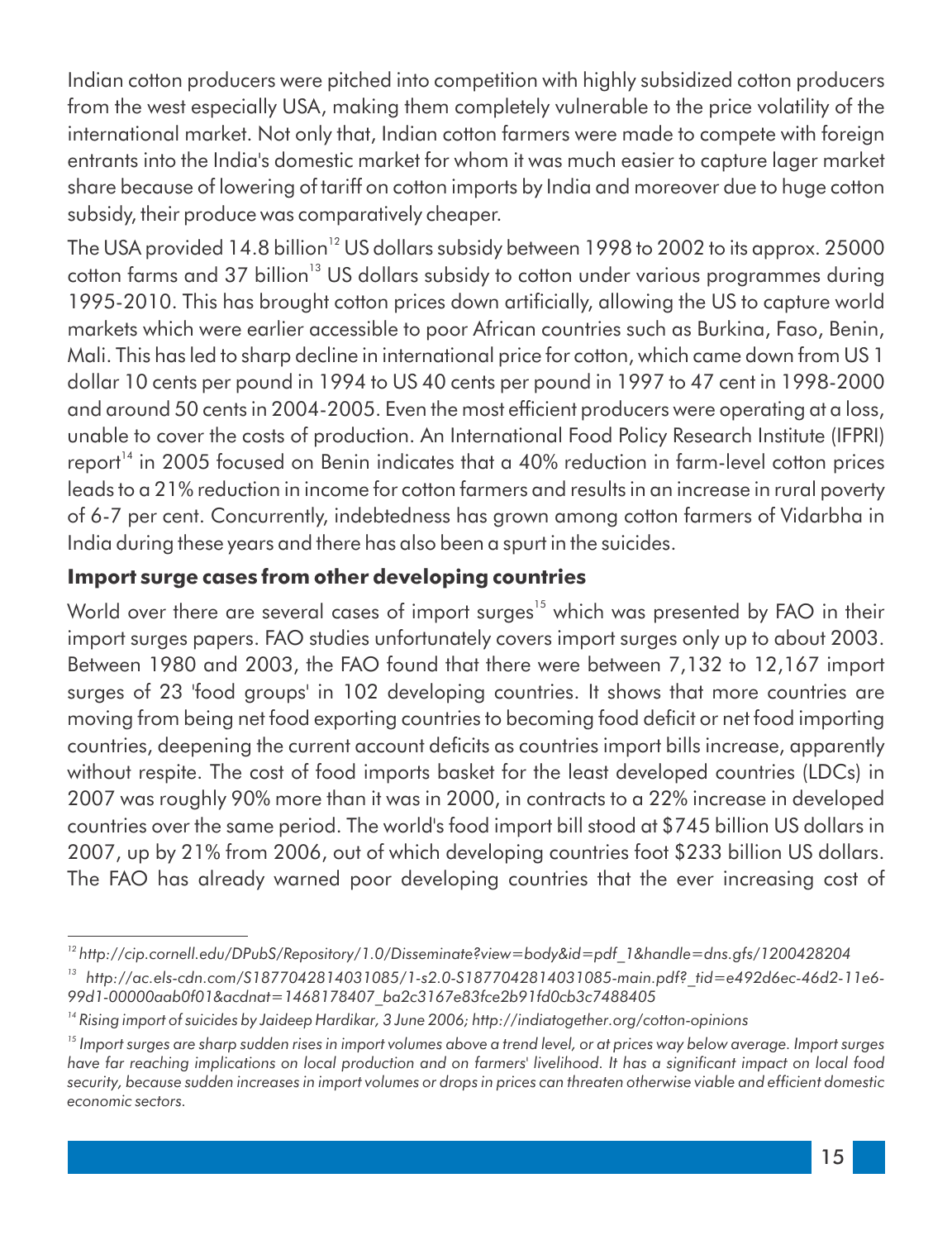Indian cotton producers were pitched into competition with highly subsidized cotton producers from the west especially USA, making them completely vulnerable to the price volatility of the international market. Not only that, Indian cotton farmers were made to compete with foreign entrants into the India's domestic market for whom it was much easier to capture lager market share because of lowering of tariff on cotton imports by India and moreover due to huge cotton subsidy, their produce was comparatively cheaper.

The USA provided 14.8 billion<sup>12</sup> US dollars subsidy between 1998 to 2002 to its approx. 25000 cotton farms and 37 billion<sup>13</sup> US dollars subsidy to cotton under various programmes during 1995-2010. This has brought cotton prices down articially, allowing the US to capture world markets which were earlier accessible to poor African countries such as Burkina, Faso, Benin, Mali. This has led to sharp decline in international price for cotton, which came down from US 1 dollar 10 cents per pound in 1994 to US 40 cents per pound in 1997 to 47 cent in 1998-2000 and around 50 cents in 2004-2005. Even the most efficient producers were operating at a loss, unable to cover the costs of production. An International Food Policy Research Institute (IFPRI) report<sup>14</sup> in 2005 focused on Benin indicates that a 40% reduction in farm-level cotton prices leads to a 21% reduction in income for cotton farmers and results in an increase in rural poverty of 6-7 per cent. Concurrently, indebtedness has grown among cotton farmers of Vidarbha in India during these years and there has also been a spurt in the suicides.

#### **Import surge cases from other developing countries**

World over there are several cases of import surges<sup>15</sup> which was presented by FAO in their import surges papers. FAO studies unfortunately covers import surges only up to about 2003. Between 1980 and 2003, the FAO found that there were between 7,132 to 12,167 import surges of 23 'food groups' in 102 developing countries. It shows that more countries are moving from being net food exporting countries to becoming food deficit or net food importing countries, deepening the current account deficits as countries import bills increase, apparently without respite. The cost of food imports basket for the least developed countries (LDCs) in 2007 was roughly 90% more than it was in 2000, in contracts to a 22% increase in developed countries over the same period. The world's food import bill stood at \$745 billion US dollars in 2007, up by 21% from 2006, out of which developing countries foot \$233 billion US dollars. The FAO has already warned poor developing countries that the ever increasing cost of

*<sup>12</sup> http://cip.cornell.edu/DPubS/Repository/1.0/Disseminate?view=body&id=pdf\_1&handle=dns.gfs/1200428204*

*<sup>13</sup> http://ac.els-cdn.com/S1877042814031085/1-s2.0-S1877042814031085-main.pdf?\_tid=e492d6ec-46d2-11e6- 99d1-00000aab0f01&acdnat=1468178407\_ba2c3167e83fce2b91fd0cb3c7488405*

*<sup>14</sup> Rising import of suicides by Jaideep Hardikar, 3 June 2006; http://indiatogether.org/cotton-opinions*

<sup>&</sup>lt;sup>15</sup> Import surges are sharp sudden rises in import volumes above a trend level, or at prices way below average. Import surges have far reaching implications on local production and on farmers' livelihood. It has a significant impact on local food security, because sudden increases in import volumes or drops in prices can threaten otherwise viable and efficient domestic *economic sectors.*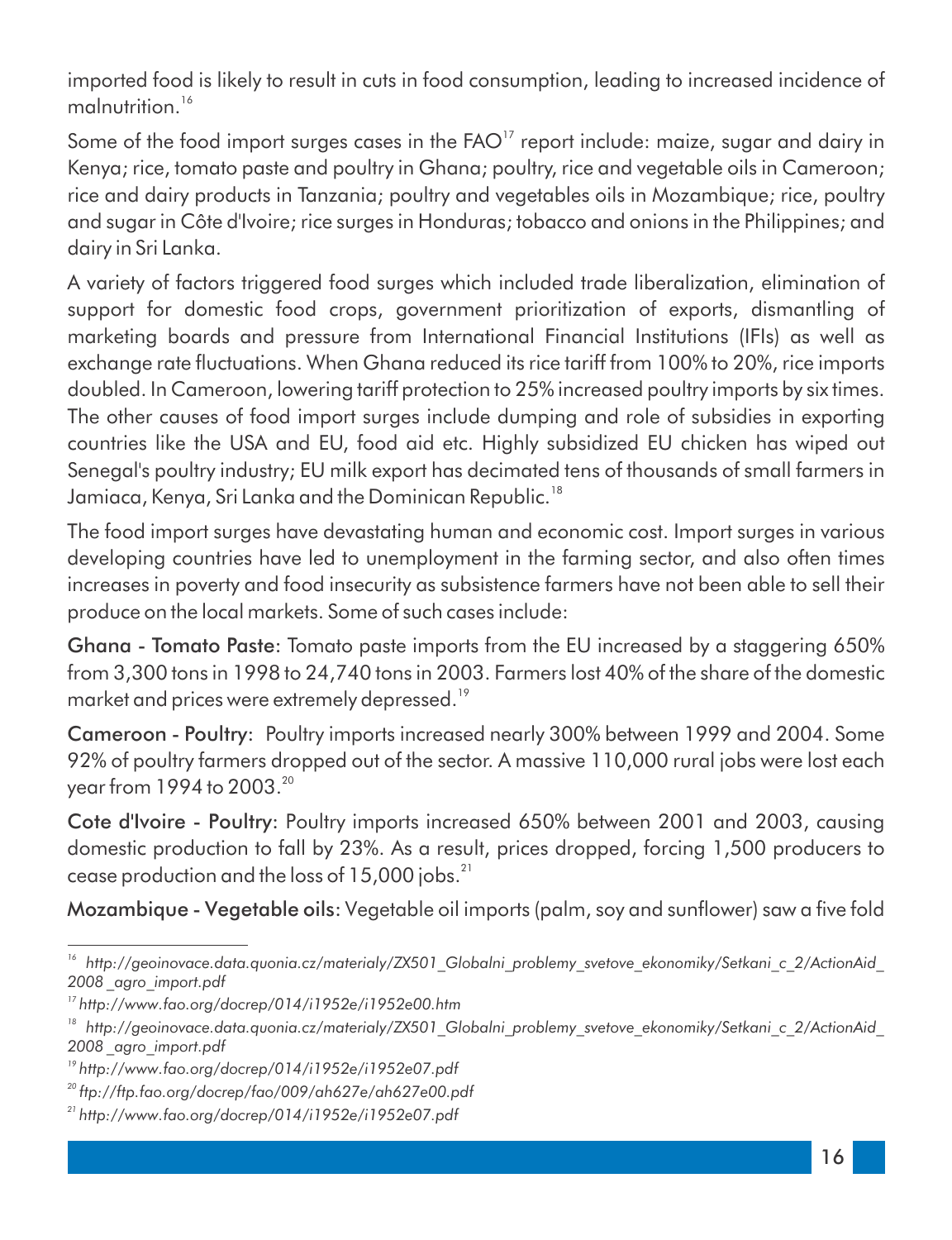imported food is likely to result in cuts in food consumption, leading to increased incidence of malnutrition.<sup>16</sup>

Some of the food import surges cases in the FAO<sup>17</sup> report include: maize, sugar and dairy in Kenya; rice, tomato paste and poultry in Ghana; poultry, rice and vegetable oils in Cameroon; rice and dairy products in Tanzania; poultry and vegetables oils in Mozambique; rice, poultry and sugar in Côte d'Ivoire; rice surges in Honduras; tobacco and onions in the Philippines; and dairy in Sri Lanka.

A variety of factors triggered food surges which included trade liberalization, elimination of support for domestic food crops, government prioritization of exports, dismantling of marketing boards and pressure from International Financial Institutions (IFIs) as well as exchange rate fluctuations. When Ghana reduced its rice tariff from 100% to 20%, rice imports doubled. In Cameroon, lowering tariff protection to 25% increased poultry imports by six times. The other causes of food import surges include dumping and role of subsidies in exporting countries like the USA and EU, food aid etc. Highly subsidized EU chicken has wiped out Senegal's poultry industry; EU milk export has decimated tens of thousands of small farmers in Jamiaca, Kenya, Sri Lanka and the Dominican Republic.<sup>18</sup>

The food import surges have devastating human and economic cost. Import surges in various developing countries have led to unemployment in the farming sector, and also often times increases in poverty and food insecurity as subsistence farmers have not been able to sell their produce on the local markets. Some of such cases include:

Ghana - Tomato Paste: Tomato paste imports from the EU increased by a staggering 650% from 3,300 tons in 1998 to 24,740 tons in 2003. Farmers lost 40% of the share of the domestic market and prices were extremely depressed.<sup>19</sup>

Cameroon - Poultry: Poultry imports increased nearly 300% between 1999 and 2004. Some 92% of poultry farmers dropped out of the sector. A massive 110,000 rural jobs were lost each year from 1994 to 2003. $^{\scriptscriptstyle 20}$ 

Cote d'Ivoire - Poultry: Poultry imports increased 650% between 2001 and 2003, causing domestic production to fall by 23%. As a result, prices dropped, forcing 1,500 producers to cease production and the loss of  $15,000$  jobs. $^{21}$ 

Mozambique - Vegetable oils: Vegetable oil imports (palm, soy and sunflower) saw a five fold

*<sup>16</sup> http://geoinovace.data.quonia.cz/materialy/ZX501\_Globalni\_problemy\_svetove\_ekonomiky/Setkani\_c\_2/ActionAid\_ 2008 \_agro\_import.pdf*

*<sup>17</sup> http://www.fao.org/docrep/014/i1952e/i1952e00.htm*

<sup>&</sup>lt;sup>18</sup> http://geoinovace.data.quonia.cz/materialy/ZX501 Globalni problemy svetove ekonomiky/Setkani c 2/ActionAid *2008 \_agro\_import.pdf*

*<sup>19</sup> http://www.fao.org/docrep/014/i1952e/i1952e07.pdf*

*<sup>20</sup> ftp://ftp.fao.org/docrep/fao/009/ah627e/ah627e00.pdf*

*<sup>21</sup> http://www.fao.org/docrep/014/i1952e/i1952e07.pdf*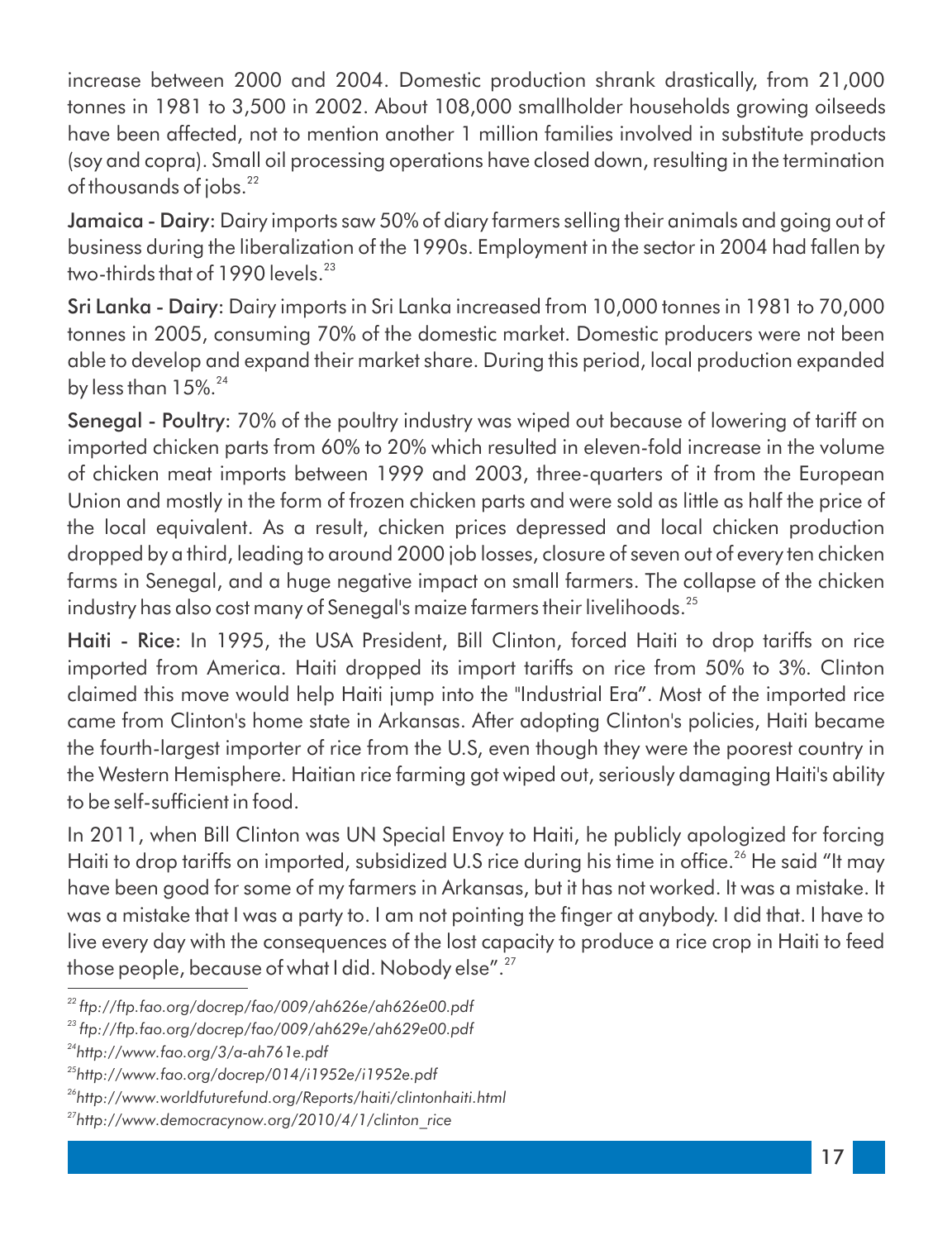increase between 2000 and 2004. Domestic production shrank drastically, from 21,000 tonnes in 1981 to 3,500 in 2002. About 108,000 smallholder households growing oilseeds have been affected, not to mention another 1 million families involved in substitute products (soy and copra). Small oil processing operations have closed down, resulting in the termination of thousands of jobs.<sup>22</sup>

Jamaica - Dairy: Dairy imports saw 50% of diary farmers selling their animals and going out of business during the liberalization of the 1990s. Employment in the sector in 2004 had fallen by two-thirds that of 1990 levels.<sup>23</sup>

Sri Lanka - Dairy: Dairy imports in Sri Lanka increased from 10,000 tonnes in 1981 to 70,000 tonnes in 2005, consuming 70% of the domestic market. Domestic producers were not been able to develop and expand their market share. During this period, local production expanded by less than  $15\%$ <sup>24</sup>

Senegal - Poultry: 70% of the poultry industry was wiped out because of lowering of tariff on imported chicken parts from 60% to 20% which resulted in eleven-fold increase in the volume of chicken meat imports between 1999 and 2003, three-quarters of it from the European Union and mostly in the form of frozen chicken parts and were sold as little as half the price of the local equivalent. As a result, chicken prices depressed and local chicken production dropped by a third, leading to around 2000 job losses, closure of seven out of every ten chicken farms in Senegal, and a huge negative impact on small farmers. The collapse of the chicken industry has also cost many of Senegal's maize farmers their livelihoods.<sup>25</sup>

Haiti - Rice: In 1995, the USA President, Bill Clinton, forced Haiti to drop tariffs on rice imported from America. Haiti dropped its import tariffs on rice from 50% to 3%. Clinton claimed this move would help Haiti jump into the "Industrial Era". Most of the imported rice came from Clinton's home state in Arkansas. After adopting Clinton's policies, Haiti became the fourth-largest importer of rice from the U.S, even though they were the poorest country in the Western Hemisphere. Haitian rice farming got wiped out, seriously damaging Haiti's ability to be self-sufficient in food.

In 2011, when Bill Clinton was UN Special Envoy to Haiti, he publicly apologized for forcing Haiti to drop tariffs on imported, subsidized U.S rice during his time in office.<sup>26</sup> He said "It may have been good for some of my farmers in Arkansas, but it has not worked. It was a mistake. It was a mistake that I was a party to. I am not pointing the finger at anybody. I did that. I have to live every day with the consequences of the lost capacity to produce a rice crop in Haiti to feed those people, because of what I did. Nobody else".<sup>27</sup>

*<sup>22</sup> ftp://ftp.fao.org/docrep/fao/009/ah626e/ah626e00.pdf*

*<sup>23</sup> ftp://ftp.fao.org/docrep/fao/009/ah629e/ah629e00.pdf*

*<sup>24</sup>http://www.fao.org/3/a-ah761e.pdf*

*<sup>25</sup>http://www.fao.org/docrep/014/i1952e/i1952e.pdf*

*<sup>26</sup>http://www.worldfuturefund.org/Reports/haiti/clintonhaiti.html*

*<sup>27</sup>http://www.democracynow.org/2010/4/1/clinton\_rice*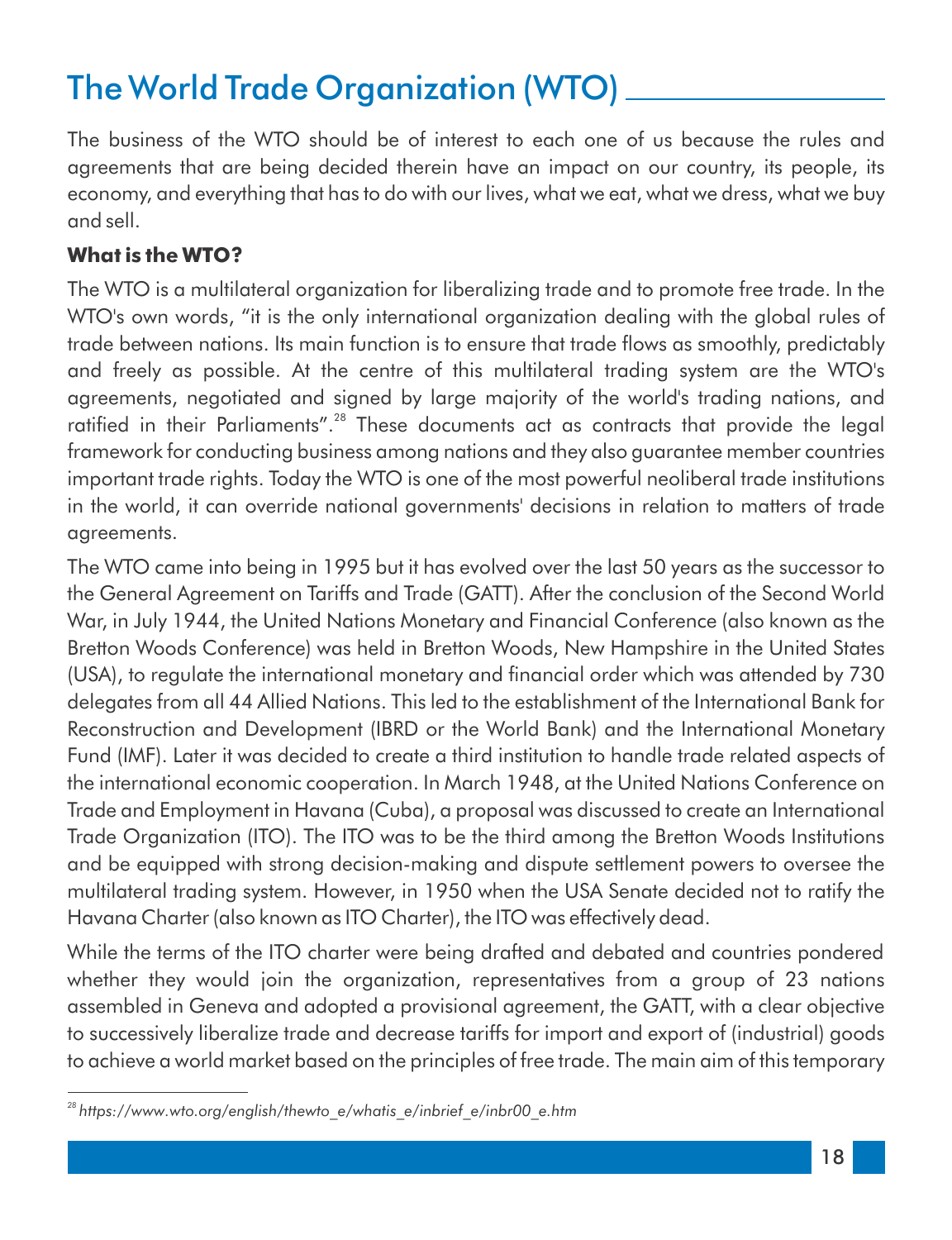## The World Trade Organization (WTO)

The business of the WTO should be of interest to each one of us because the rules and agreements that are being decided therein have an impact on our country, its people, its economy, and everything that has to do with our lives, what we eat, what we dress, what we buy and sell.

#### **What is the WTO?**

The WTO is a multilateral organization for liberalizing trade and to promote free trade. In the WTO's own words, "it is the only international organization dealing with the global rules of trade between nations. Its main function is to ensure that trade flows as smoothly, predictably and freely as possible. At the centre of this multilateral trading system are the WTO's agreements, negotiated and signed by large majority of the world's trading nations, and ratified in their Parliaments".<sup>28</sup> These documents act as contracts that provide the legal framework for conducting business among nations and they also guarantee member countries important trade rights. Today the WTO is one of the most powerful neoliberal trade institutions in the world, it can override national governments' decisions in relation to matters of trade agreements.

The WTO came into being in 1995 but it has evolved over the last 50 years as the successor to the General Agreement on Tariffs and Trade (GATT). After the conclusion of the Second World War, in July 1944, the United Nations Monetary and Financial Conference (also known as the Bretton Woods Conference) was held in Bretton Woods, New Hampshire in the United States (USA), to regulate the international monetary and financial order which was attended by 730 delegates from all 44 Allied Nations. This led to the establishment of the International Bank for Reconstruction and Development (IBRD or the World Bank) and the International Monetary Fund (IMF). Later it was decided to create a third institution to handle trade related aspects of the international economic cooperation. In March 1948, at the United Nations Conference on Trade and Employment in Havana (Cuba), a proposal was discussed to create an International Trade Organization (ITO). The ITO was to be the third among the Bretton Woods Institutions and be equipped with strong decision-making and dispute settlement powers to oversee the multilateral trading system. However, in 1950 when the USA Senate decided not to ratify the Havana Charter (also known as ITO Charter), the ITO was effectively dead.

While the terms of the ITO charter were being drafted and debated and countries pondered whether they would join the organization, representatives from a group of 23 nations assembled in Geneva and adopted a provisional agreement, the GATT, with a clear objective to successively liberalize trade and decrease tariffs for import and export of (industrial) goods to achieve a world market based on the principles of free trade. The main aim of this temporary

*<sup>28</sup> https://www.wto.org/english/thewto\_e/whatis\_e/inbrief\_e/inbr00\_e.htm*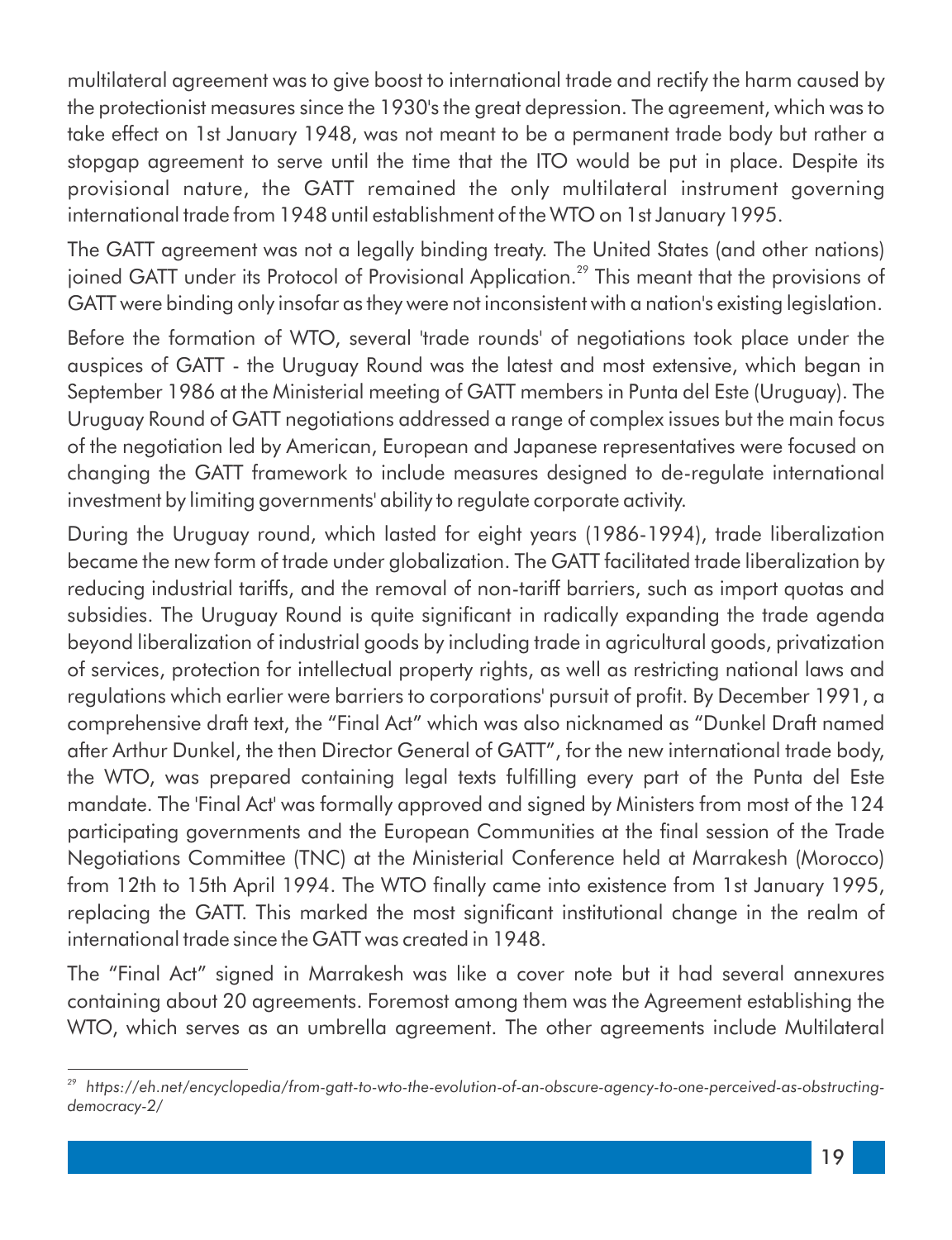multilateral agreement was to give boost to international trade and rectify the harm caused by the protectionist measures since the 1930's the great depression. The agreement, which was to take effect on 1st January 1948, was not meant to be a permanent trade body but rather a stopgap agreement to serve until the time that the ITO would be put in place. Despite its provisional nature, the GATT remained the only multilateral instrument governing international trade from 1948 until establishment of the WTO on 1st January 1995.

The GATT agreement was not a legally binding treaty. The United States (and other nations) joined GATT under its Protocol of Provisional Application.<sup>29</sup> This meant that the provisions of GATT were binding only insofar as they were not inconsistent with a nation's existing legislation.

Before the formation of WTO, several 'trade rounds' of negotiations took place under the auspices of GATT - the Uruguay Round was the latest and most extensive, which began in September 1986 at the Ministerial meeting of GATT members in Punta del Este (Uruguay). The Uruguay Round of GATT negotiations addressed a range of complex issues but the main focus of the negotiation led by American, European and Japanese representatives were focused on changing the GATT framework to include measures designed to de-regulate international investment by limiting governments' ability to regulate corporate activity.

During the Uruguay round, which lasted for eight years (1986-1994), trade liberalization became the new form of trade under globalization. The GATT facilitated trade liberalization by reducing industrial tariffs, and the removal of non-tariff barriers, such as import quotas and subsidies. The Uruguay Round is quite significant in radically expanding the trade agenda beyond liberalization of industrial goods by including trade in agricultural goods, privatization of services, protection for intellectual property rights, as well as restricting national laws and regulations which earlier were barriers to corporations' pursuit of profit. By December 1991, a comprehensive draft text, the "Final Act" which was also nicknamed as "Dunkel Draft named after Arthur Dunkel, the then Director General of GATT", for the new international trade body, the WTO, was prepared containing legal texts fulfilling every part of the Punta del Este mandate. The 'Final Act' was formally approved and signed by Ministers from most of the 124 participating governments and the European Communities at the final session of the Trade Negotiations Committee (TNC) at the Ministerial Conference held at Marrakesh (Morocco) from 12th to 15th April 1994. The WTO finally came into existence from 1st January 1995, replacing the GATT. This marked the most significant institutional change in the realm of international trade since the GATT was created in 1948.

The "Final Act" signed in Marrakesh was like a cover note but it had several annexures containing about 20 agreements. Foremost among them was the Agreement establishing the WTO, which serves as an umbrella agreement. The other agreements include Multilateral

*<sup>29</sup> https://eh.net/encyclopedia/from-gatt-to-wto-the-evolution-of-an-obscure-agency-to-one-perceived-as-obstructingdemocracy-2/*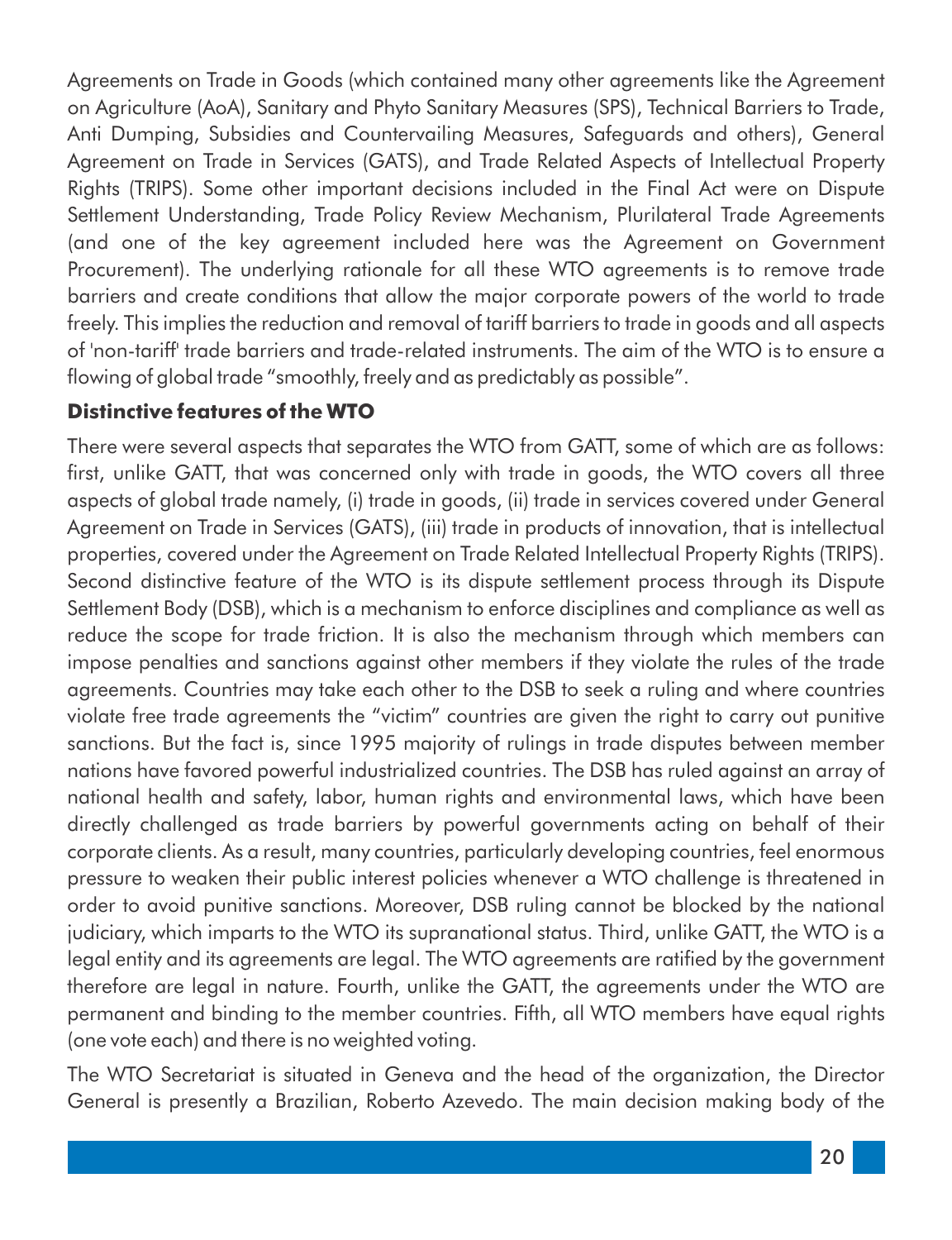Agreements on Trade in Goods (which contained many other agreements like the Agreement on Agriculture (AoA), Sanitary and Phyto Sanitary Measures (SPS), Technical Barriers to Trade, Anti Dumping, Subsidies and Countervailing Measures, Safeguards and others), General Agreement on Trade in Services (GATS), and Trade Related Aspects of Intellectual Property Rights (TRIPS). Some other important decisions included in the Final Act were on Dispute Settlement Understanding, Trade Policy Review Mechanism, Plurilateral Trade Agreements (and one of the key agreement included here was the Agreement on Government Procurement). The underlying rationale for all these WTO agreements is to remove trade barriers and create conditions that allow the major corporate powers of the world to trade freely. This implies the reduction and removal of tariff barriers to trade in goods and all aspects of 'non-tariff' trade barriers and trade-related instruments. The aim of the WTO is to ensure a flowing of global trade "smoothly, freely and as predictably as possible".

#### **Distinctive features of the WTO**

There were several aspects that separates the WTO from GATT, some of which are as follows: first, unlike GATT, that was concerned only with trade in goods, the WTO covers all three aspects of global trade namely, (i) trade in goods, (ii) trade in services covered under General Agreement on Trade in Services (GATS), (iii) trade in products of innovation, that is intellectual properties, covered under the Agreement on Trade Related Intellectual Property Rights (TRIPS). Second distinctive feature of the WTO is its dispute settlement process through its Dispute Settlement Body (DSB), which is a mechanism to enforce disciplines and compliance as well as reduce the scope for trade friction. It is also the mechanism through which members can impose penalties and sanctions against other members if they violate the rules of the trade agreements. Countries may take each other to the DSB to seek a ruling and where countries violate free trade agreements the "victim" countries are given the right to carry out punitive sanctions. But the fact is, since 1995 majority of rulings in trade disputes between member nations have favored powerful industrialized countries. The DSB has ruled against an array of national health and safety, labor, human rights and environmental laws, which have been directly challenged as trade barriers by powerful governments acting on behalf of their corporate clients. As a result, many countries, particularly developing countries, feel enormous pressure to weaken their public interest policies whenever a WTO challenge is threatened in order to avoid punitive sanctions. Moreover, DSB ruling cannot be blocked by the national judiciary, which imparts to the WTO its supranational status. Third, unlike GATT, the WTO is a legal entity and its agreements are legal. The WTO agreements are ratified by the government therefore are legal in nature. Fourth, unlike the GATT, the agreements under the WTO are permanent and binding to the member countries. Fifth, all WTO members have equal rights (one vote each) and there is no weighted voting.

The WTO Secretariat is situated in Geneva and the head of the organization, the Director General is presently a Brazilian, Roberto Azevedo. The main decision making body of the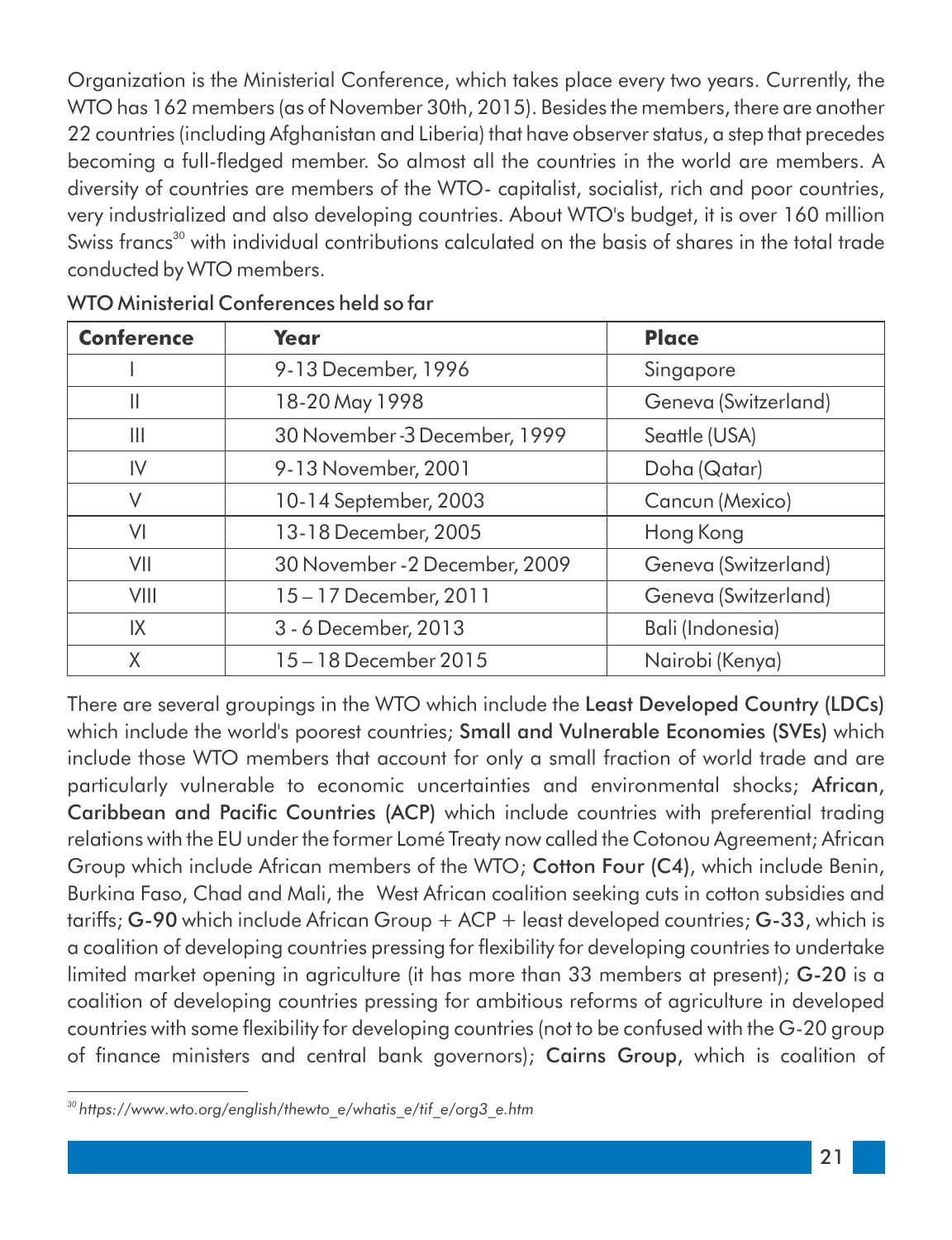Organization is the Ministerial Conference, which takes place every two years. Currently, the WTO has 162 members (as of November 30th, 2015). Besides the members, there are another 22 countries (including Afghanistan and Liberia) that have observer status, a step that precedes becoming a full-fledged member. So almost all the countries in the world are members. A diversity of countries are members of the WTO- capitalist, socialist, rich and poor countries, very industrialized and also developing countries. About WTO's budget, it is over 160 million Swiss francs<sup>30</sup> with individual contributions calculated on the basis of shares in the total trade conducted by WTO members.

| <b>Conference</b> | Year                           | <b>Place</b>         |
|-------------------|--------------------------------|----------------------|
|                   | 9-13 December, 1996            | Singapore            |
| $\mathbb{I}$      | 18-20 May 1998                 | Geneva (Switzerland) |
| Ш                 | 30 November - 3 December, 1999 | Seattle (USA)        |
| IV                | 9-13 November, 2001            | Doha (Qatar)         |
| V                 | 10-14 September, 2003          | Cancun (Mexico)      |
| VI                | 13-18 December, 2005           | Hong Kong            |
| VII               | 30 November - 2 December, 2009 | Geneva (Switzerland) |
| VIII              | 15-17 December, 2011           | Geneva (Switzerland) |
| IX                | 3 - 6 December, 2013           | Bali (Indonesia)     |
| Χ                 | 15 - 18 December 2015          | Nairobi (Kenya)      |

WTO Ministerial Conferences held so far

There are several groupings in the WTO which include the Least Developed Country (LDCs) which include the world's poorest countries; Small and Vulnerable Economies (SVEs) which include those WTO members that account for only a small fraction of world trade and are particularly vulnerable to economic uncertainties and environmental shocks; African, Caribbean and Pacific Countries (ACP) which include countries with preferential trading relations with the EU under the former Lomé Treaty now called the Cotonou Agreement; African Group which include African members of the WTO; Cotton Four (C4), which include Benin, Burkina Faso, Chad and Mali, the West African coalition seeking cuts in cotton subsidies and tariffs; G-90 which include African Group + ACP + least developed countries; G-33, which is a coalition of developing countries pressing for flexibility for developing countries to undertake limited market opening in agriculture (it has more than 33 members at present); G-20 is a coalition of developing countries pressing for ambitious reforms of agriculture in developed countries with some flexibility for developing countries (not to be confused with the G-20 group of finance ministers and central bank governors); Cairns Group, which is coalition of

*<sup>30</sup> https://www.wto.org/english/thewto\_e/whatis\_e/tif\_e/org3\_e.htm*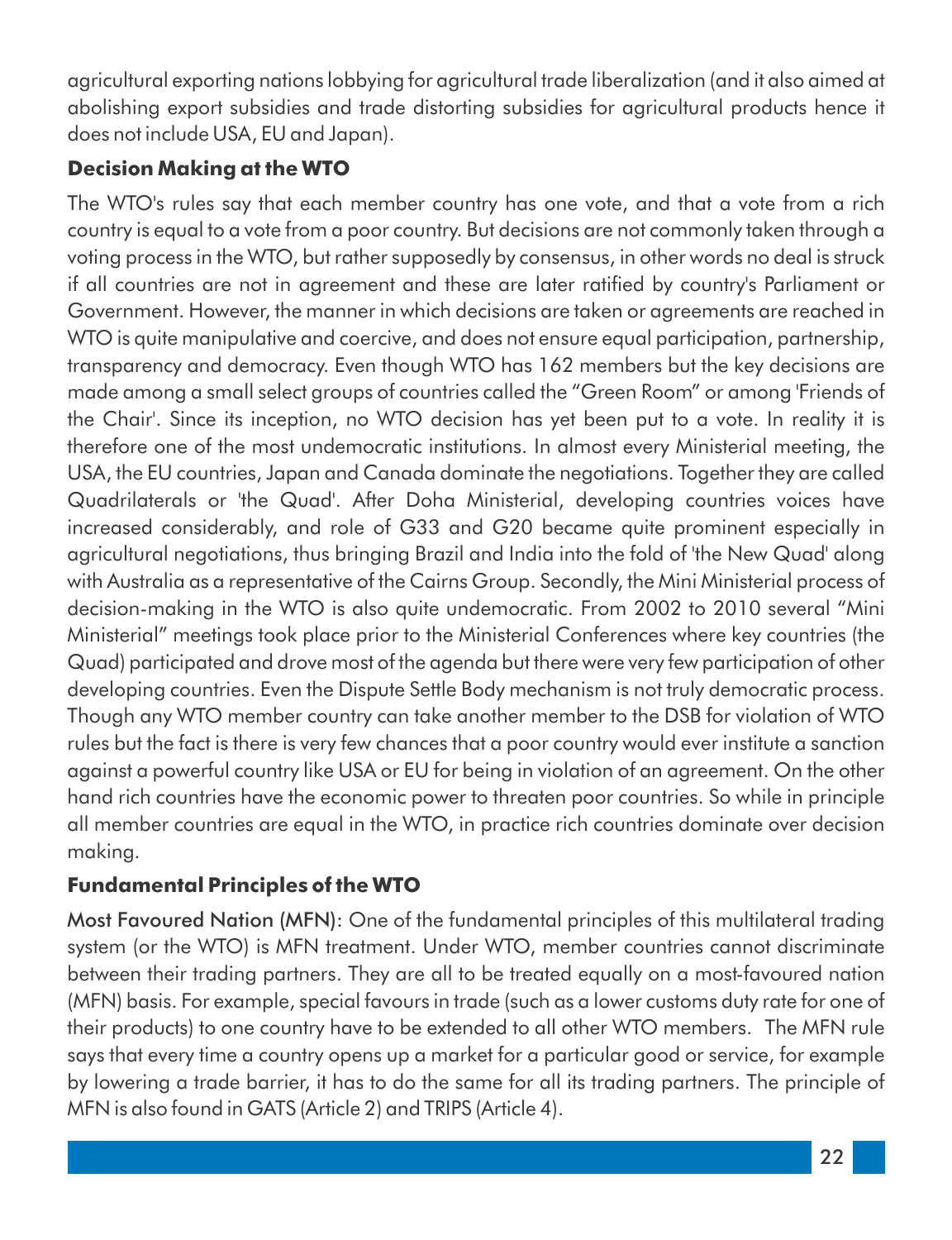agricultural exporting nations lobbying for agricultural trade liberalization (and it also aimed at abolishing export subsidies and trade distorting subsidies for agricultural products hence it does not include USA, EU and Japan).

#### **Decision Making at the WTO**

The WTO's rules say that each member country has one vote, and that a vote from a rich country is equal to a vote from a poor country. But decisions are not commonly taken through a voting process in the WTO, but rather supposedly by consensus, in other words no deal is struck if all countries are not in agreement and these are later ratified by country's Parliament or Government. However, the manner in which decisions are taken or agreements are reached in WTO is quite manipulative and coercive, and does not ensure equal participation, partnership, transparency and democracy. Even though WTO has 162 members but the key decisions are made among a small select groups of countries called the "Green Room" or among 'Friends of the Chair'. Since its inception, no WTO decision has yet been put to a vote. In reality it is therefore one of the most undemocratic institutions. In almost every Ministerial meeting, the USA, the EU countries, Japan and Canada dominate the negotiations. Together they are called Quadrilaterals or 'the Quad'. After Doha Ministerial, developing countries voices have increased considerably, and role of G33 and G20 became quite prominent especially in agricultural negotiations, thus bringing Brazil and India into the fold of 'the New Quad' along with Australia as a representative of the Cairns Group. Secondly, the Mini Ministerial process of decision-making in the WTO is also quite undemocratic. From 2002 to 2010 several "Mini Ministerial" meetings took place prior to the Ministerial Conferences where key countries (the Quad) participated and drove most of the agenda but there were very few participation of other developing countries. Even the Dispute Settle Body mechanism is not truly democratic process. Though any WTO member country can take another member to the DSB for violation of WTO rules but the fact is there is very few chances that a poor country would ever institute a sanction against a powerful country like USA or EU for being in violation of an agreement. On the other hand rich countries have the economic power to threaten poor countries. So while in principle all member countries are equal in the WTO, in practice rich countries dominate over decision making.

#### **Fundamental Principles of the WTO**

Most Favoured Nation (MFN): One of the fundamental principles of this multilateral trading system (or the WTO) is MFN treatment. Under WTO, member countries cannot discriminate between their trading partners. They are all to be treated equally on a most-favoured nation (MFN) basis. For example, special favours in trade (such as a lower customs duty rate for one of their products) to one country have to be extended to all other WTO members. The MFN rule says that every time a country opens up a market for a particular good or service, for example by lowering a trade barrier, it has to do the same for all its trading partners. The principle of MFN is also found in GATS (Article 2) and TRIPS (Article 4).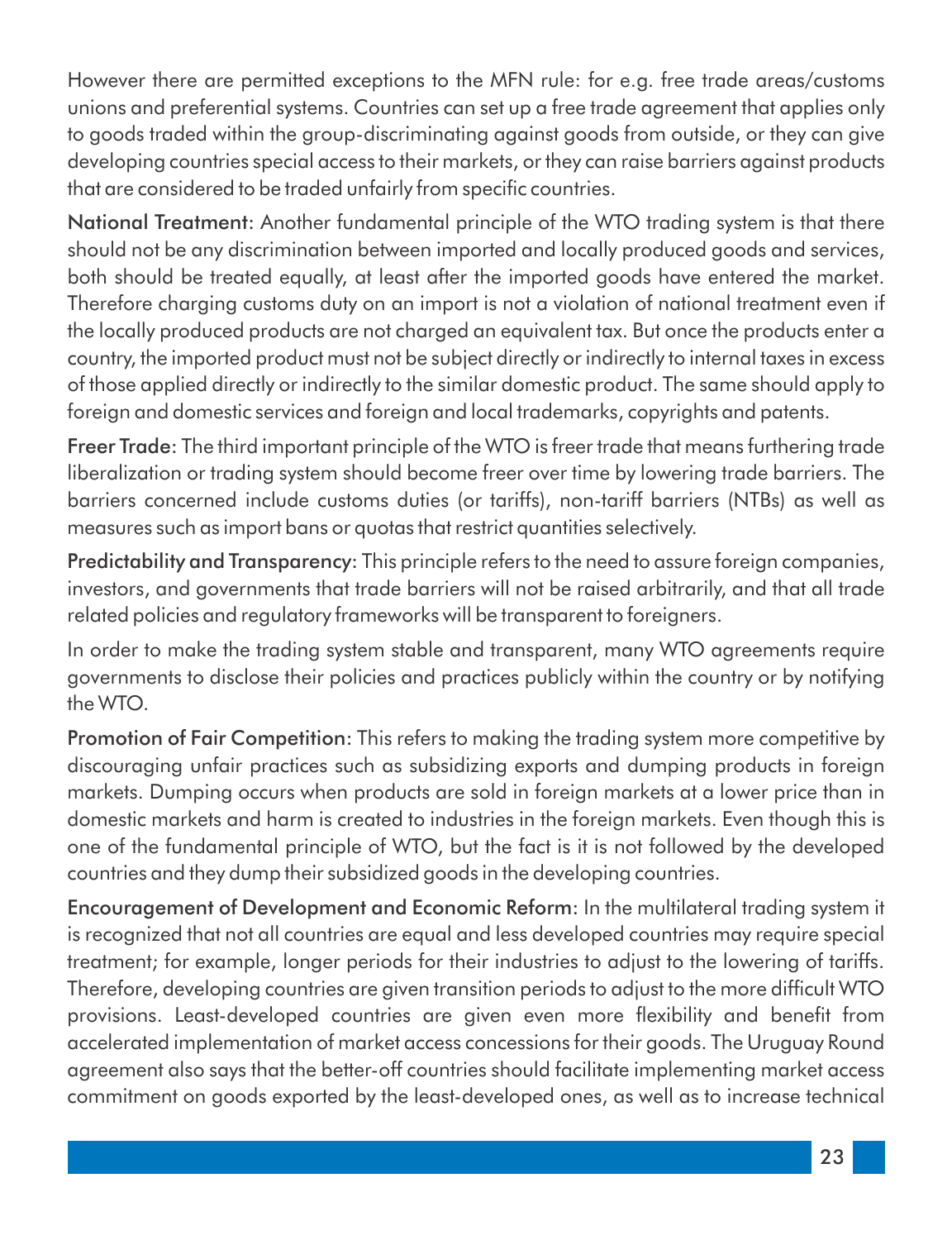However there are permitted exceptions to the MFN rule: for e.g. free trade areas/customs unions and preferential systems. Countries can set up a free trade agreement that applies only to goods traded within the group-discriminating against goods from outside, or they can give developing countries special access to their markets, or they can raise barriers against products that are considered to be traded unfairly from specific countries.

National Treatment: Another fundamental principle of the WTO trading system is that there should not be any discrimination between imported and locally produced goods and services, both should be treated equally, at least after the imported goods have entered the market. Therefore charging customs duty on an import is not a violation of national treatment even if the locally produced products are not charged an equivalent tax. But once the products enter a country, the imported product must not be subject directly or indirectly to internal taxes in excess of those applied directly or indirectly to the similar domestic product. The same should apply to foreign and domestic services and foreign and local trademarks, copyrights and patents.

Freer Trade: The third important principle of the WTO is freer trade that means furthering trade liberalization or trading system should become freer over time by lowering trade barriers. The barriers concerned include customs duties (or tariffs), non-tariff barriers (NTBs) as well as measures such as import bans or quotas that restrict quantities selectively.

Predictability and Transparency: This principle refers to the need to assure foreign companies, investors, and governments that trade barriers will not be raised arbitrarily, and that all trade related policies and regulatory frameworks will be transparent to foreigners.

In order to make the trading system stable and transparent, many WTO agreements require governments to disclose their policies and practices publicly within the country or by notifying the WTO.

Promotion of Fair Competition: This refers to making the trading system more competitive by discouraging unfair practices such as subsidizing exports and dumping products in foreign markets. Dumping occurs when products are sold in foreign markets at a lower price than in domestic markets and harm is created to industries in the foreign markets. Even though this is one of the fundamental principle of WTO, but the fact is it is not followed by the developed countries and they dump their subsidized goods in the developing countries.

Encouragement of Development and Economic Reform: In the multilateral trading system it is recognized that not all countries are equal and less developed countries may require special treatment; for example, longer periods for their industries to adjust to the lowering of tariffs. Therefore, developing countries are given transition periods to adjust to the more difficult WTO provisions. Least-developed countries are given even more flexibility and benefit from accelerated implementation of market access concessions for their goods. The Uruguay Round agreement also says that the better-off countries should facilitate implementing market access commitment on goods exported by the least-developed ones, as well as to increase technical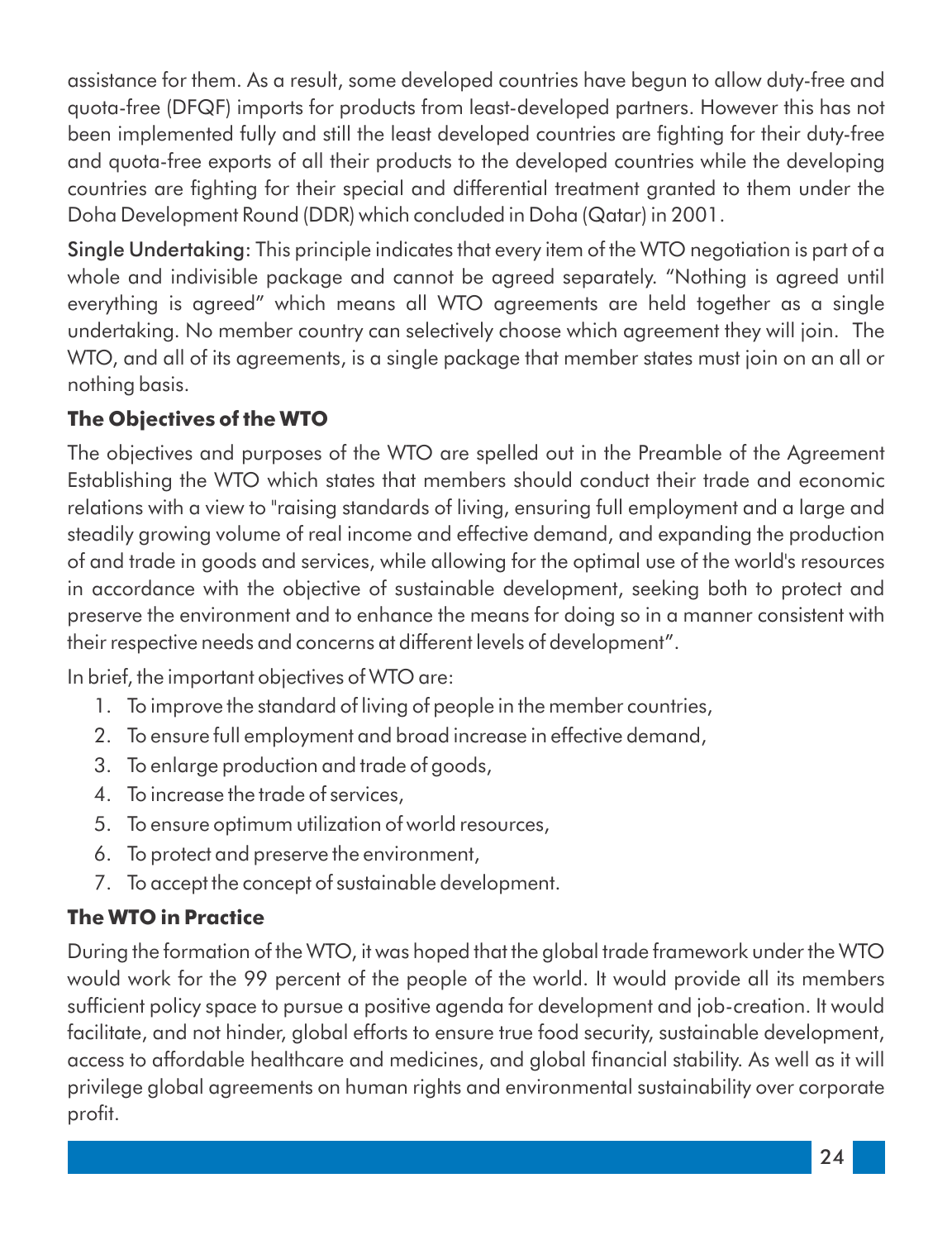assistance for them. As a result, some developed countries have begun to allow duty-free and quota-free (DFQF) imports for products from least-developed partners. However this has not been implemented fully and still the least developed countries are fighting for their duty-free and quota-free exports of all their products to the developed countries while the developing countries are fighting for their special and differential treatment granted to them under the Doha Development Round (DDR) which concluded in Doha (Qatar) in 2001.

Single Undertaking: This principle indicates that every item of the WTO negotiation is part of a whole and indivisible package and cannot be agreed separately. "Nothing is agreed until everything is agreed" which means all WTO agreements are held together as a single undertaking. No member country can selectively choose which agreement they will join. The WTO, and all of its agreements, is a single package that member states must join on an all or nothing basis.

#### **The Objectives of the WTO**

The objectives and purposes of the WTO are spelled out in the Preamble of the Agreement Establishing the WTO which states that members should conduct their trade and economic relations with a view to "raising standards of living, ensuring full employment and a large and steadily growing volume of real income and effective demand, and expanding the production of and trade in goods and services, while allowing for the optimal use of the world's resources in accordance with the objective of sustainable development, seeking both to protect and preserve the environment and to enhance the means for doing so in a manner consistent with their respective needs and concerns at different levels of development".

In brief, the important objectives of WTO are:

- 1. To improve the standard of living of people in the member countries,
- 2. To ensure full employment and broad increase in effective demand,
- 3. To enlarge production and trade of goods,
- 4. To increase the trade of services,
- 5. To ensure optimum utilization of world resources,
- 6. To protect and preserve the environment,
- 7. To accept the concept of sustainable development.

#### **The WTO in Practice**

During the formation of the WTO, it was hoped that the global trade framework under the WTO would work for the 99 percent of the people of the world. It would provide all its members sufficient policy space to pursue a positive agenda for development and job-creation. It would facilitate, and not hinder, global efforts to ensure true food security, sustainable development, access to affordable healthcare and medicines, and global financial stability. As well as it will privilege global agreements on human rights and environmental sustainability over corporate profit.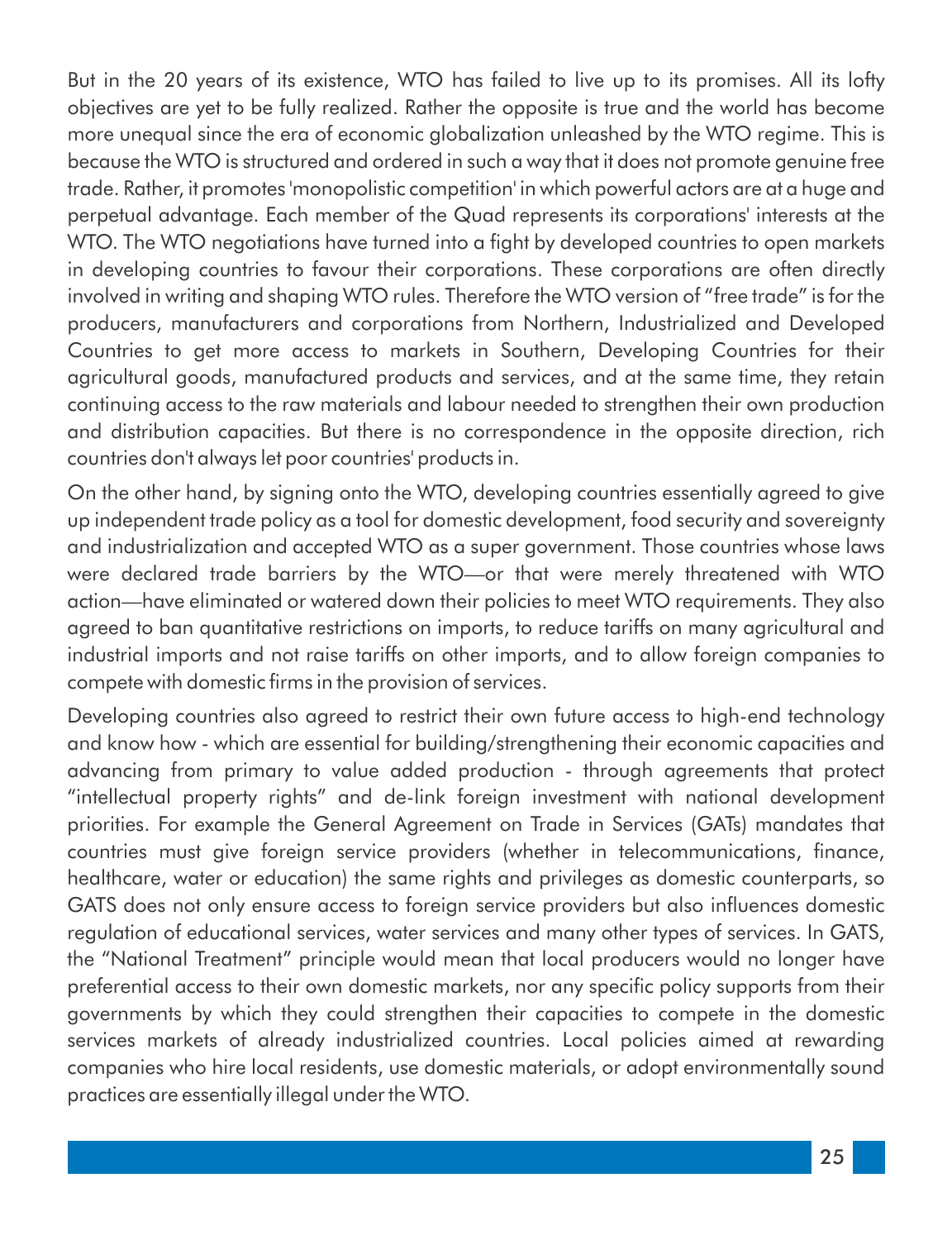But in the 20 years of its existence, WTO has failed to live up to its promises. All its lofty objectives are yet to be fully realized. Rather the opposite is true and the world has become more unequal since the era of economic globalization unleashed by the WTO regime. This is because the WTO is structured and ordered in such a way that it does not promote genuine free trade. Rather, it promotes 'monopolistic competition' in which powerful actors are at a huge and perpetual advantage. Each member of the Quad represents its corporations' interests at the WTO. The WTO negotiations have turned into a fight by developed countries to open markets in developing countries to favour their corporations. These corporations are often directly involved in writing and shaping WTO rules. Therefore the WTO version of "free trade" is for the producers, manufacturers and corporations from Northern, Industrialized and Developed Countries to get more access to markets in Southern, Developing Countries for their agricultural goods, manufactured products and services, and at the same time, they retain continuing access to the raw materials and labour needed to strengthen their own production and distribution capacities. But there is no correspondence in the opposite direction, rich countries don't always let poor countries' products in.

On the other hand, by signing onto the WTO, developing countries essentially agreed to give up independent trade policy as a tool for domestic development, food security and sovereignty and industrialization and accepted WTO as a super government. Those countries whose laws were declared trade barriers by the WTO—or that were merely threatened with WTO action—have eliminated or watered down their policies to meet WTO requirements. They also agreed to ban quantitative restrictions on imports, to reduce tariffs on many agricultural and industrial imports and not raise tariffs on other imports, and to allow foreign companies to compete with domestic firms in the provision of services.

Developing countries also agreed to restrict their own future access to high-end technology and know how - which are essential for building/strengthening their economic capacities and advancing from primary to value added production - through agreements that protect "intellectual property rights" and de-link foreign investment with national development priorities. For example the General Agreement on Trade in Services (GATs) mandates that countries must give foreign service providers (whether in telecommunications, finance, healthcare, water or education) the same rights and privileges as domestic counterparts, so GATS does not only ensure access to foreign service providers but also influences domestic regulation of educational services, water services and many other types of services. In GATS, the "National Treatment" principle would mean that local producers would no longer have preferential access to their own domestic markets, nor any specific policy supports from their governments by which they could strengthen their capacities to compete in the domestic services markets of already industrialized countries. Local policies aimed at rewarding companies who hire local residents, use domestic materials, or adopt environmentally sound practices are essentially illegal under the WTO.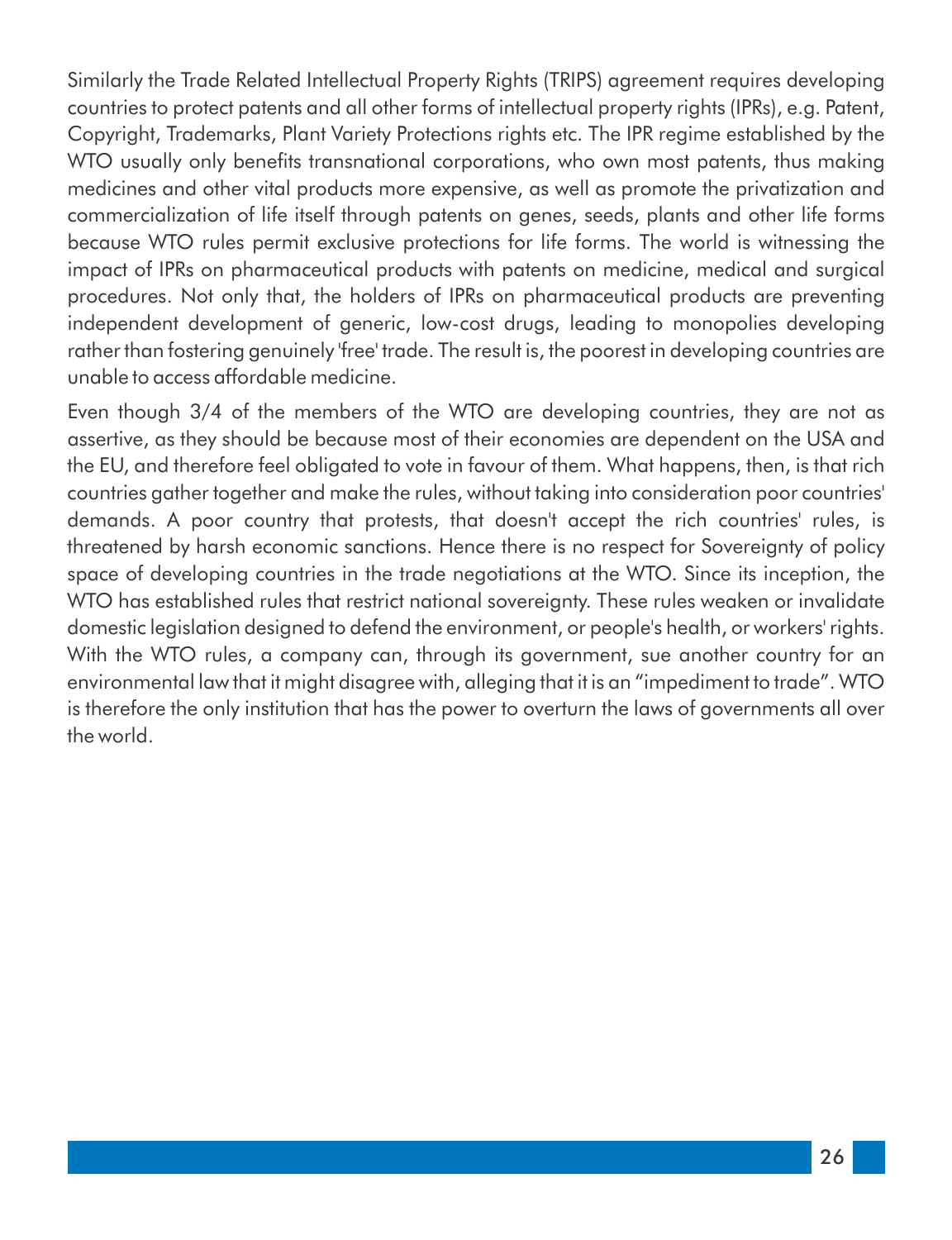Similarly the Trade Related Intellectual Property Rights (TRIPS) agreement requires developing countries to protect patents and all other forms of intellectual property rights (IPRs), e.g. Patent, Copyright, Trademarks, Plant Variety Protections rights etc. The IPR regime established by the WTO usually only benefits transnational corporations, who own most patents, thus making medicines and other vital products more expensive, as well as promote the privatization and commercialization of life itself through patents on genes, seeds, plants and other life forms because WTO rules permit exclusive protections for life forms. The world is witnessing the impact of IPRs on pharmaceutical products with patents on medicine, medical and surgical procedures. Not only that, the holders of IPRs on pharmaceutical products are preventing independent development of generic, low-cost drugs, leading to monopolies developing rather than fostering genuinely 'free' trade. The result is, the poorest in developing countries are unable to access affordable medicine.

Even though 3/4 of the members of the WTO are developing countries, they are not as assertive, as they should be because most of their economies are dependent on the USA and the EU, and therefore feel obligated to vote in favour of them. What happens, then, is that rich countries gather together and make the rules, without taking into consideration poor countries' demands. A poor country that protests, that doesn't accept the rich countries' rules, is threatened by harsh economic sanctions. Hence there is no respect for Sovereignty of policy space of developing countries in the trade negotiations at the WTO. Since its inception, the WTO has established rules that restrict national sovereignty. These rules weaken or invalidate domestic legislation designed to defend the environment, or people's health, or workers' rights. With the WTO rules, a company can, through its government, sue another country for an environmental law that it might disagree with, alleging that it is an "impediment to trade". WTO is therefore the only institution that has the power to overturn the laws of governments all over the world.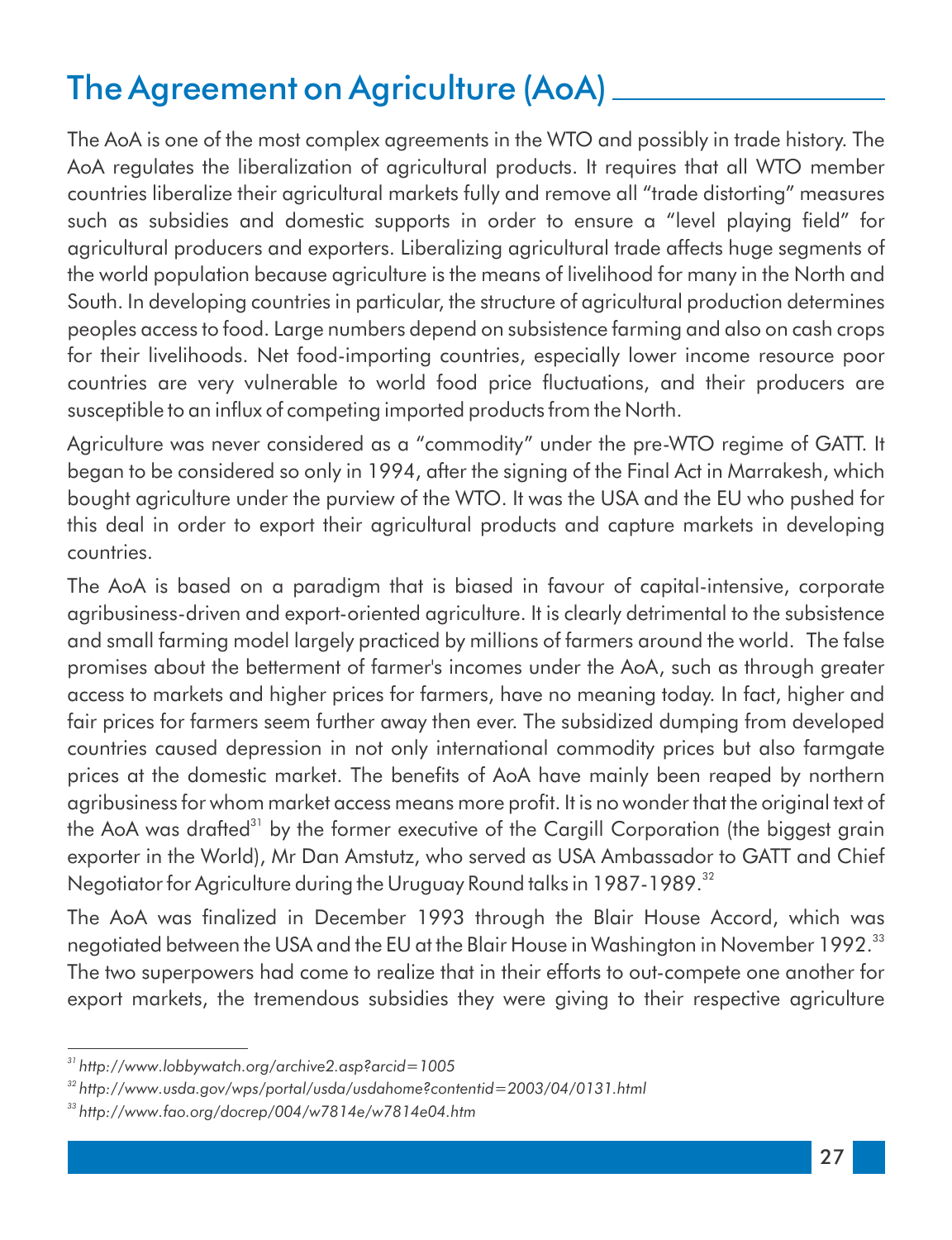## The Agreement on Agriculture (AoA)

The AoA is one of the most complex agreements in the WTO and possibly in trade history. The AoA regulates the liberalization of agricultural products. It requires that all WTO member countries liberalize their agricultural markets fully and remove all "trade distorting" measures such as subsidies and domestic supports in order to ensure a "level playing field" for agricultural producers and exporters. Liberalizing agricultural trade affects huge segments of the world population because agriculture is the means of livelihood for many in the North and South. In developing countries in particular, the structure of agricultural production determines peoples access to food. Large numbers depend on subsistence farming and also on cash crops for their livelihoods. Net food-importing countries, especially lower income resource poor countries are very vulnerable to world food price fluctuations, and their producers are susceptible to an influx of competing imported products from the North.

Agriculture was never considered as a "commodity" under the pre-WTO regime of GATT. It began to be considered so only in 1994, after the signing of the Final Act in Marrakesh, which bought agriculture under the purview of the WTO. It was the USA and the EU who pushed for this deal in order to export their agricultural products and capture markets in developing countries.

The AoA is based on a paradigm that is biased in favour of capital-intensive, corporate agribusiness-driven and export-oriented agriculture. It is clearly detrimental to the subsistence and small farming model largely practiced by millions of farmers around the world. The false promises about the betterment of farmer's incomes under the AoA, such as through greater access to markets and higher prices for farmers, have no meaning today. In fact, higher and fair prices for farmers seem further away then ever. The subsidized dumping from developed countries caused depression in not only international commodity prices but also farmgate prices at the domestic market. The benefits of AoA have mainly been reaped by northern agribusiness for whom market access means more profit. It is no wonder that the original text of the AoA was drafted<sup>31</sup> by the former executive of the Cargill Corporation (the biggest grain exporter in the World), Mr Dan Amstutz, who served as USA Ambassador to GATT and Chief Negotiator for Agriculture during the Uruguay Round talks in 1987-1989.<sup>32</sup>

The AoA was finalized in December 1993 through the Blair House Accord, which was negotiated between the USA and the EU at the Blair House in Washington in November 1992.<sup>33</sup> The two superpowers had come to realize that in their efforts to out-compete one another for export markets, the tremendous subsidies they were giving to their respective agriculture

*<sup>31</sup> http://www.lobbywatch.org/archive2.asp?arcid=1005*

*<sup>32</sup> http://www.usda.gov/wps/portal/usda/usdahome?contentid=2003/04/0131.html*

*<sup>33</sup> http://www.fao.org/docrep/004/w7814e/w7814e04.htm*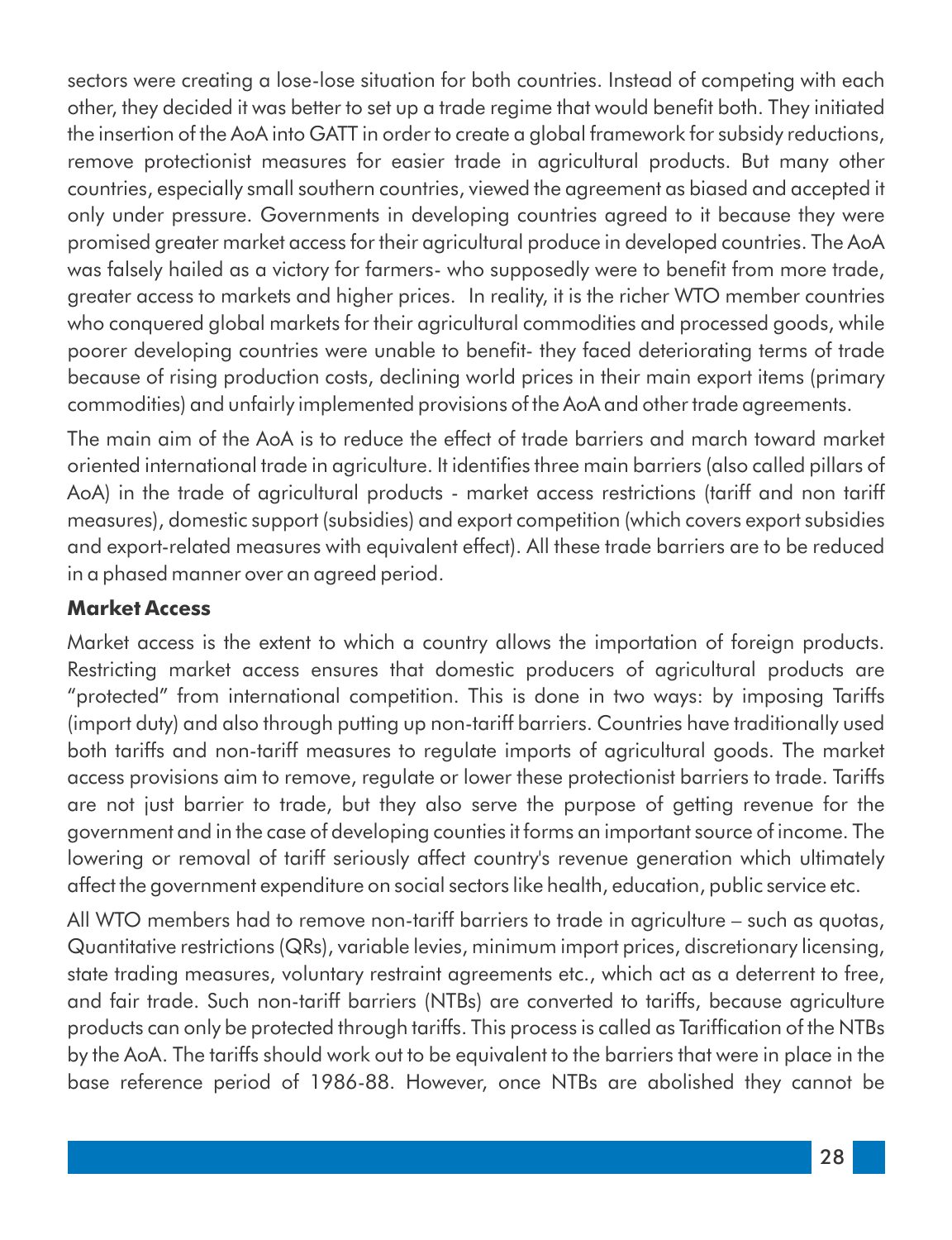sectors were creating a lose-lose situation for both countries. Instead of competing with each other, they decided it was better to set up a trade regime that would benefit both. They initiated the insertion of the AoA into GATT in order to create a global framework for subsidy reductions, remove protectionist measures for easier trade in agricultural products. But many other countries, especially small southern countries, viewed the agreement as biased and accepted it only under pressure. Governments in developing countries agreed to it because they were promised greater market access for their agricultural produce in developed countries. The AoA was falsely hailed as a victory for farmers- who supposedly were to benefit from more trade, greater access to markets and higher prices. In reality, it is the richer WTO member countries who conquered global markets for their agricultural commodities and processed goods, while poorer developing countries were unable to benefit- they faced deteriorating terms of trade because of rising production costs, declining world prices in their main export items (primary commodities) and unfairly implemented provisions of the AoA and other trade agreements.

The main aim of the AoA is to reduce the effect of trade barriers and march toward market oriented international trade in agriculture. It identifies three main barriers (also called pillars of AoA) in the trade of agricultural products - market access restrictions (tariff and non tariff measures), domestic support (subsidies) and export competition (which covers export subsidies and export-related measures with equivalent effect). All these trade barriers are to be reduced in a phased manner over an agreed period.

#### **Market Access**

Market access is the extent to which a country allows the importation of foreign products. Restricting market access ensures that domestic producers of agricultural products are "protected" from international competition. This is done in two ways: by imposing Tariffs (import duty) and also through putting up non-tariff barriers. Countries have traditionally used both tariffs and non-tariff measures to regulate imports of agricultural goods. The market access provisions aim to remove, regulate or lower these protectionist barriers to trade. Tariffs are not just barrier to trade, but they also serve the purpose of getting revenue for the government and in the case of developing counties it forms an important source of income. The lowering or removal of tariff seriously affect country's revenue generation which ultimately affect the government expenditure on social sectors like health, education, public service etc.

All WTO members had to remove non-tariff barriers to trade in agriculture – such as quotas, Quantitative restrictions (QRs), variable levies, minimum import prices, discretionary licensing, state trading measures, voluntary restraint agreements etc., which act as a deterrent to free, and fair trade. Such non-tariff barriers (NTBs) are converted to tariffs, because agriculture products can only be protected through tariffs. This process is called as Tariffication of the NTBs by the AoA. The tariffs should work out to be equivalent to the barriers that were in place in the base reference period of 1986-88. However, once NTBs are abolished they cannot be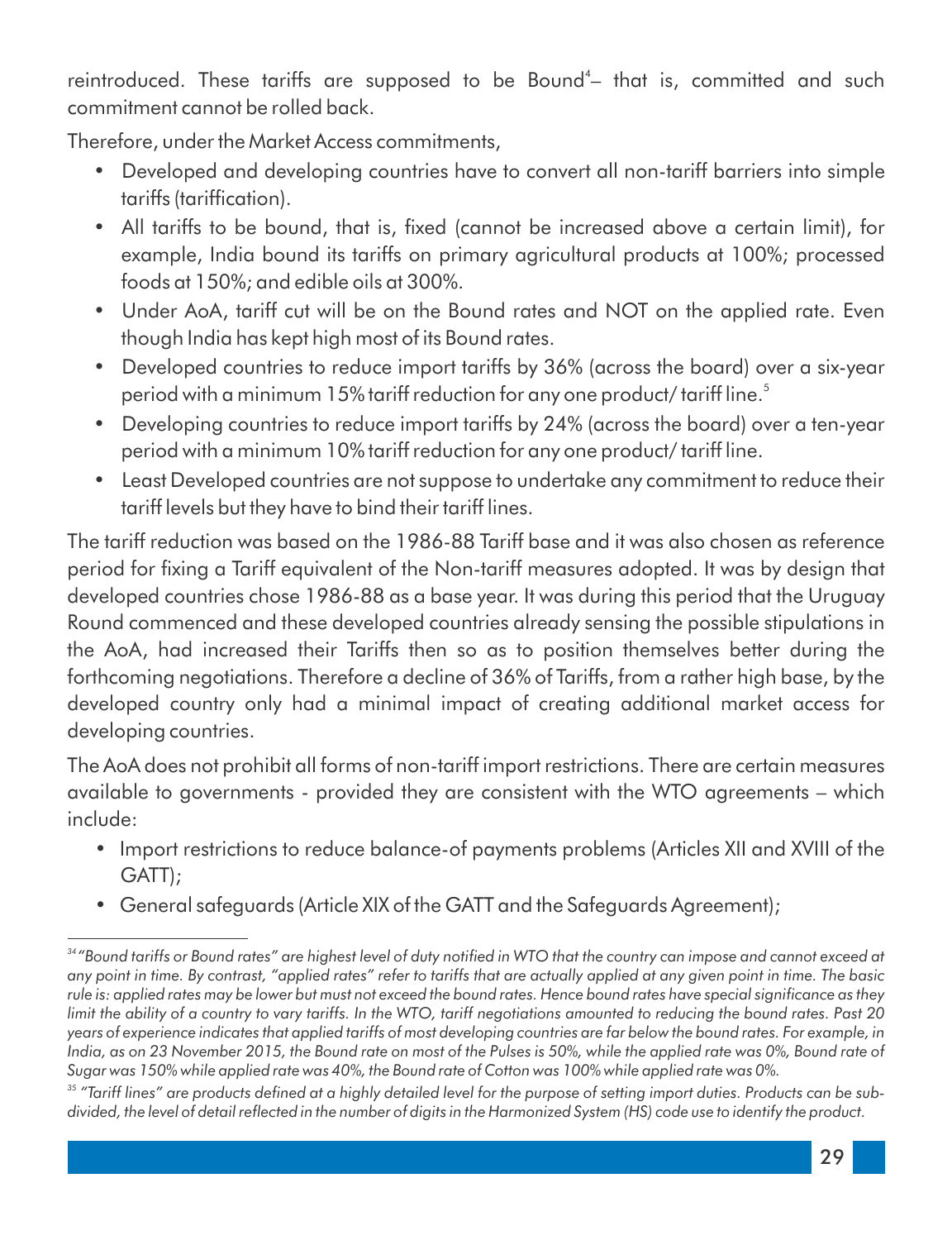reintroduced. These tariffs are supposed to be Bound<sup>4</sup> that is, committed and such commitment cannot be rolled back.

Therefore, under the Market Access commitments,

- Developed and developing countries have to convert all non-tariff barriers into simple tariffs (tariffication).
- All tariffs to be bound, that is, fixed (cannot be increased above a certain limit), for example, India bound its tariffs on primary agricultural products at 100%; processed foods at 150%; and edible oils at 300%.
- Under AoA, tariff cut will be on the Bound rates and NOT on the applied rate. Even though India has kept high most of its Bound rates.
- Developed countries to reduce import tariffs by 36% (across the board) over a six-year 5 period with a minimum 15% tariff reduction for any one product/ tariff line.
- Developing countries to reduce import tariffs by 24% (across the board) over a ten-year period with a minimum 10% tariff reduction for any one product/ tariff line.
- Least Developed countries are not suppose to undertake any commitment to reduce their tariff levels but they have to bind their tariff lines.

The tariff reduction was based on the 1986-88 Tariff base and it was also chosen as reference period for fixing a Tariff equivalent of the Non-tariff measures adopted. It was by design that developed countries chose 1986-88 as a base year. It was during this period that the Uruguay Round commenced and these developed countries already sensing the possible stipulations in the AoA, had increased their Tariffs then so as to position themselves better during the forthcoming negotiations. Therefore a decline of 36% of Tariffs, from a rather high base, by the developed country only had a minimal impact of creating additional market access for developing countries.

The AoA does not prohibit all forms of non-tariff import restrictions. There are certain measures available to governments - provided they are consistent with the WTO agreements – which include:

- Import restrictions to reduce balance-of payments problems (Articles XII and XVIII of the GATT);
- General safeguards (Article XIX of the GATT and the Safeguards Agreement);

<sup>&</sup>lt;sup>34</sup>*"Bound tariffs or Bound rates" are highest level of duty notified in WTO that the country can impose and cannot exceed at any point in time. By contrast, "applied rates" refer to tariffs that are actually applied at any given point in time. The basic*  rule is: applied rates may be lower but must not exceed the bound rates. Hence bound rates have special significance as they *limit the ability of a country to vary tariffs. In the WTO, tariff negotiations amounted to reducing the bound rates. Past 20 years of experience indicates that applied tariffs of most developing countries are far below the bound rates. For example, in India, as on 23 November 2015, the Bound rate on most of the Pulses is 50%, while the applied rate was 0%, Bound rate of Sugar was 150% while applied rate was 40%, the Bound rate of Cotton was 100% while applied rate was 0%.*

<sup>&</sup>lt;sup>35</sup> "Tariff lines" are products defined at a highly detailed level for the purpose of setting import duties. Products can be subdivided, the level of detail reflected in the number of digits in the Harmonized System (HS) code use to identify the product.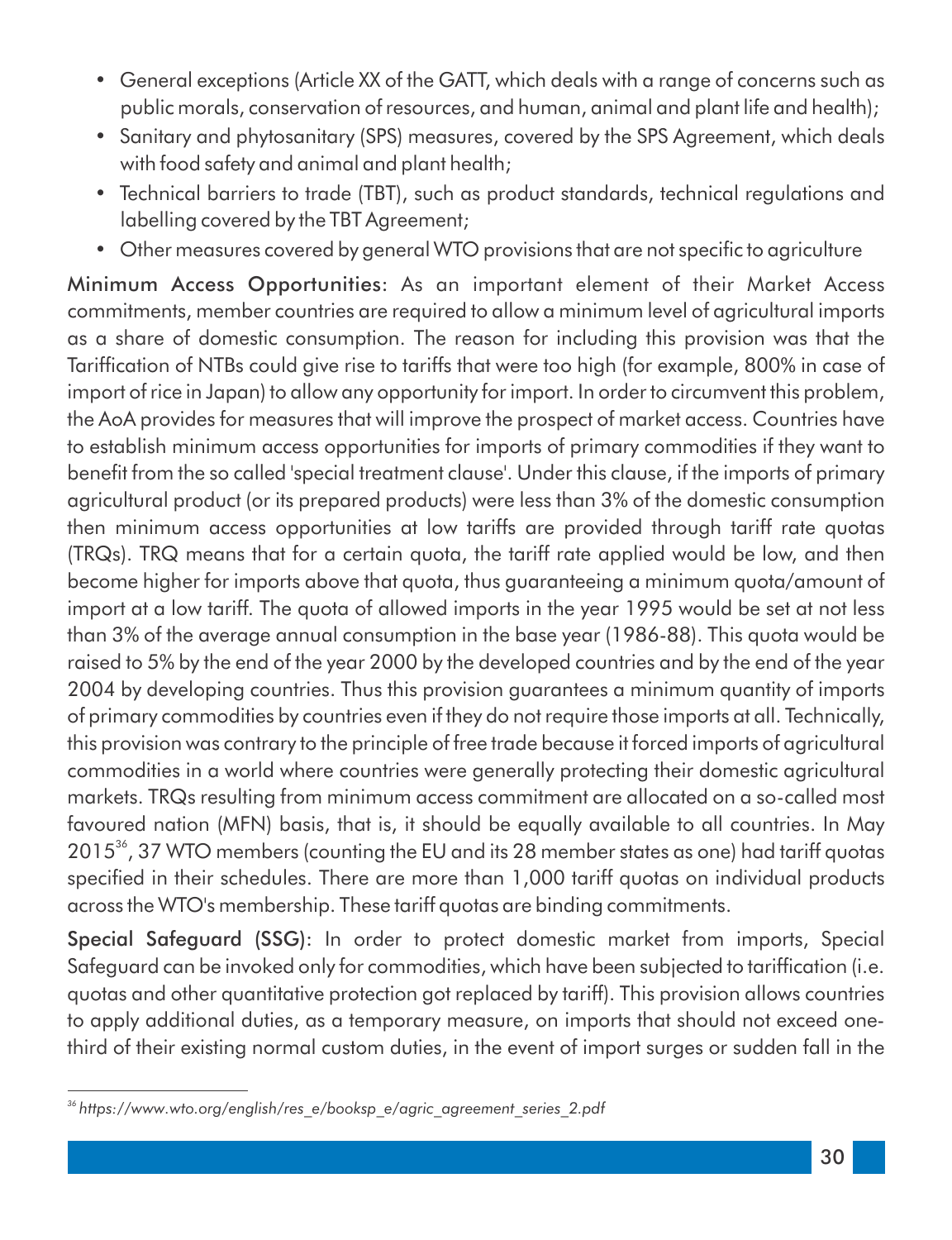- General exceptions (Article XX of the GATT, which deals with a range of concerns such as public morals, conservation of resources, and human, animal and plant life and health);
- Sanitary and phytosanitary (SPS) measures, covered by the SPS Agreement, which deals with food safety and animal and plant health;
- Technical barriers to trade (TBT), such as product standards, technical regulations and labelling covered by the TBT Agreement;
- Other measures covered by general WTO provisions that are not specific to agriculture

Minimum Access Opportunities: As an important element of their Market Access commitments, member countries are required to allow a minimum level of agricultural imports as a share of domestic consumption. The reason for including this provision was that the Tariffication of NTBs could give rise to tariffs that were too high (for example, 800% in case of import of rice in Japan) to allow any opportunity for import. In order to circumvent this problem, the AoA provides for measures that will improve the prospect of market access. Countries have to establish minimum access opportunities for imports of primary commodities if they want to benefit from the so called 'special treatment clause'. Under this clause, if the imports of primary agricultural product (or its prepared products) were less than 3% of the domestic consumption then minimum access opportunities at low tariffs are provided through tariff rate quotas (TRQs). TRQ means that for a certain quota, the tariff rate applied would be low, and then become higher for imports above that quota, thus guaranteeing a minimum quota/amount of import at a low tariff. The quota of allowed imports in the year 1995 would be set at not less than 3% of the average annual consumption in the base year (1986-88). This quota would be raised to 5% by the end of the year 2000 by the developed countries and by the end of the year 2004 by developing countries. Thus this provision guarantees a minimum quantity of imports of primary commodities by countries even if they do not require those imports at all. Technically, this provision was contrary to the principle of free trade because it forced imports of agricultural commodities in a world where countries were generally protecting their domestic agricultural markets. TRQs resulting from minimum access commitment are allocated on a so-called most favoured nation (MFN) basis, that is, it should be equally available to all countries. In May 2015<sup>36</sup>, 37 WTO members (counting the EU and its 28 member states as one) had tariff quotas specified in their schedules. There are more than 1,000 tariff quotas on individual products across the WTO's membership. These tariff quotas are binding commitments.

Special Safeguard (SSG): In order to protect domestic market from imports, Special Safeguard can be invoked only for commodities, which have been subjected to tariffication (i.e. quotas and other quantitative protection got replaced by tariff). This provision allows countries to apply additional duties, as a temporary measure, on imports that should not exceed onethird of their existing normal custom duties, in the event of import surges or sudden fall in the

*<sup>36</sup> https://www.wto.org/english/res\_e/booksp\_e/agric\_agreement\_series\_2.pdf*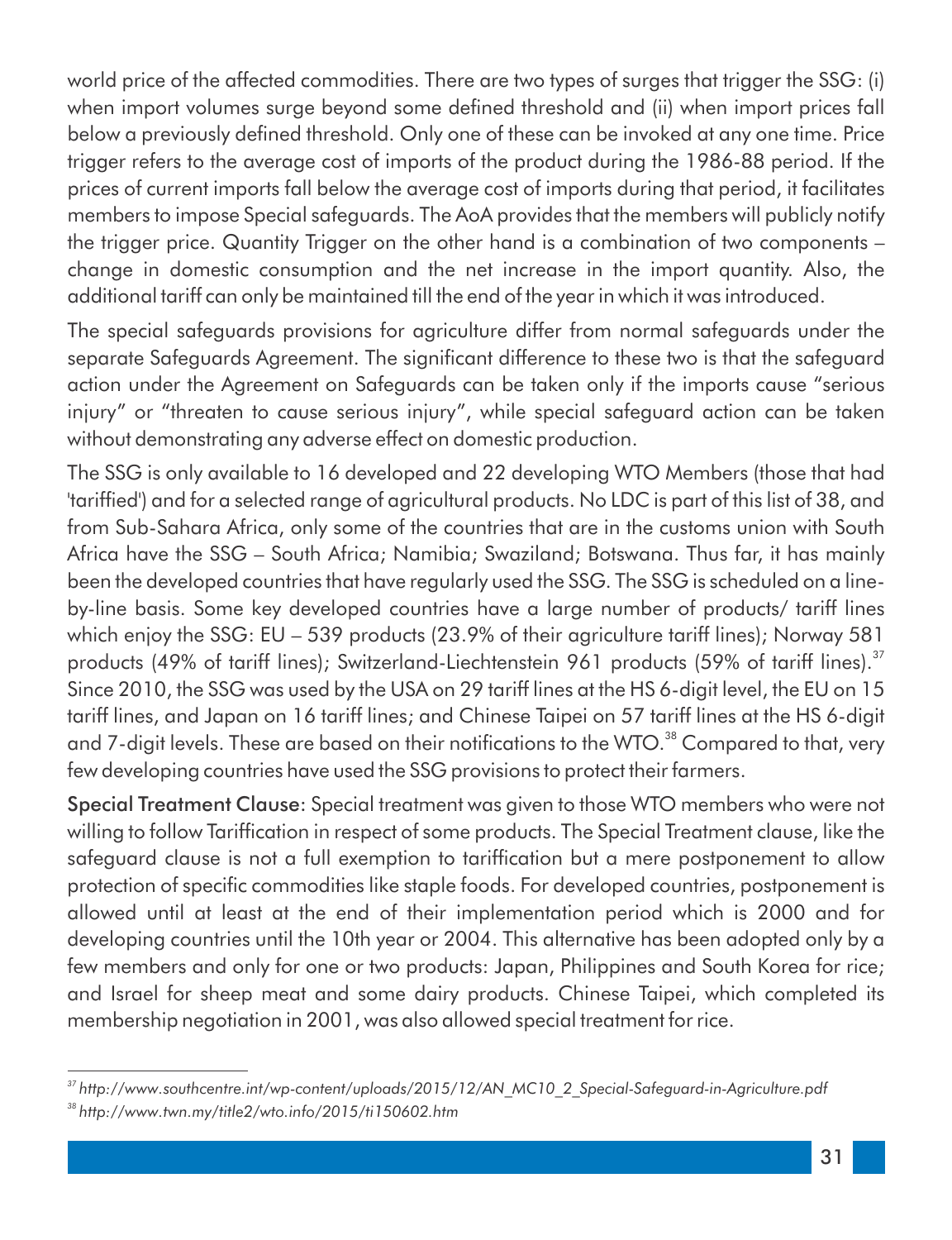world price of the affected commodities. There are two types of surges that trigger the SSG: (i) when import volumes surge beyond some defined threshold and (ii) when import prices fall below a previously defined threshold. Only one of these can be invoked at any one time. Price trigger refers to the average cost of imports of the product during the 1986-88 period. If the prices of current imports fall below the average cost of imports during that period, it facilitates members to impose Special safeguards. The AoA provides that the members will publicly notify the trigger price. Quantity Trigger on the other hand is a combination of two components – change in domestic consumption and the net increase in the import quantity. Also, the additional tariff can only be maintained till the end of the year in which it was introduced.

The special safeguards provisions for agriculture differ from normal safeguards under the separate Safeguards Agreement. The significant difference to these two is that the safeguard action under the Agreement on Safeguards can be taken only if the imports cause "serious injury" or "threaten to cause serious injury", while special safeguard action can be taken without demonstrating any adverse effect on domestic production.

The SSG is only available to 16 developed and 22 developing WTO Members (those that had 'tarifed') and for a selected range of agricultural products. No LDC is part of this list of 38, and from Sub-Sahara Africa, only some of the countries that are in the customs union with South Africa have the SSG – South Africa; Namibia; Swaziland; Botswana. Thus far, it has mainly been the developed countries that have regularly used the SSG. The SSG is scheduled on a lineby-line basis. Some key developed countries have a large number of products/ tariff lines which enjoy the SSG: EU – 539 products (23.9% of their agriculture tariff lines); Norway 581 products (49% of tariff lines); Switzerland-Liechtenstein 961 products (59% of tariff lines).<sup>37</sup> Since 2010, the SSG was used by the USA on 29 tariff lines at the HS 6-digit level, the EU on 15 tariff lines, and Japan on 16 tariff lines; and Chinese Taipei on 57 tariff lines at the HS 6-digit and 7-digit levels. These are based on their notifications to the WTO.<sup>38</sup> Compared to that, very few developing countries have used the SSG provisions to protect their farmers.

Special Treatment Clause: Special treatment was given to those WTO members who were not willing to follow Tariffication in respect of some products. The Special Treatment clause, like the safeguard clause is not a full exemption to tariffication but a mere postponement to allow protection of specific commodities like staple foods. For developed countries, postponement is allowed until at least at the end of their implementation period which is 2000 and for developing countries until the 10th year or 2004. This alternative has been adopted only by a few members and only for one or two products: Japan, Philippines and South Korea for rice; and Israel for sheep meat and some dairy products. Chinese Taipei, which completed its membership negotiation in 2001, was also allowed special treatment for rice.

*<sup>37</sup> http://www.southcentre.int/wp-content/uploads/2015/12/AN\_MC10\_2\_Special-Safeguard-in-Agriculture.pdf <sup>38</sup> http://www.twn.my/title2/wto.info/2015/ti150602.htm*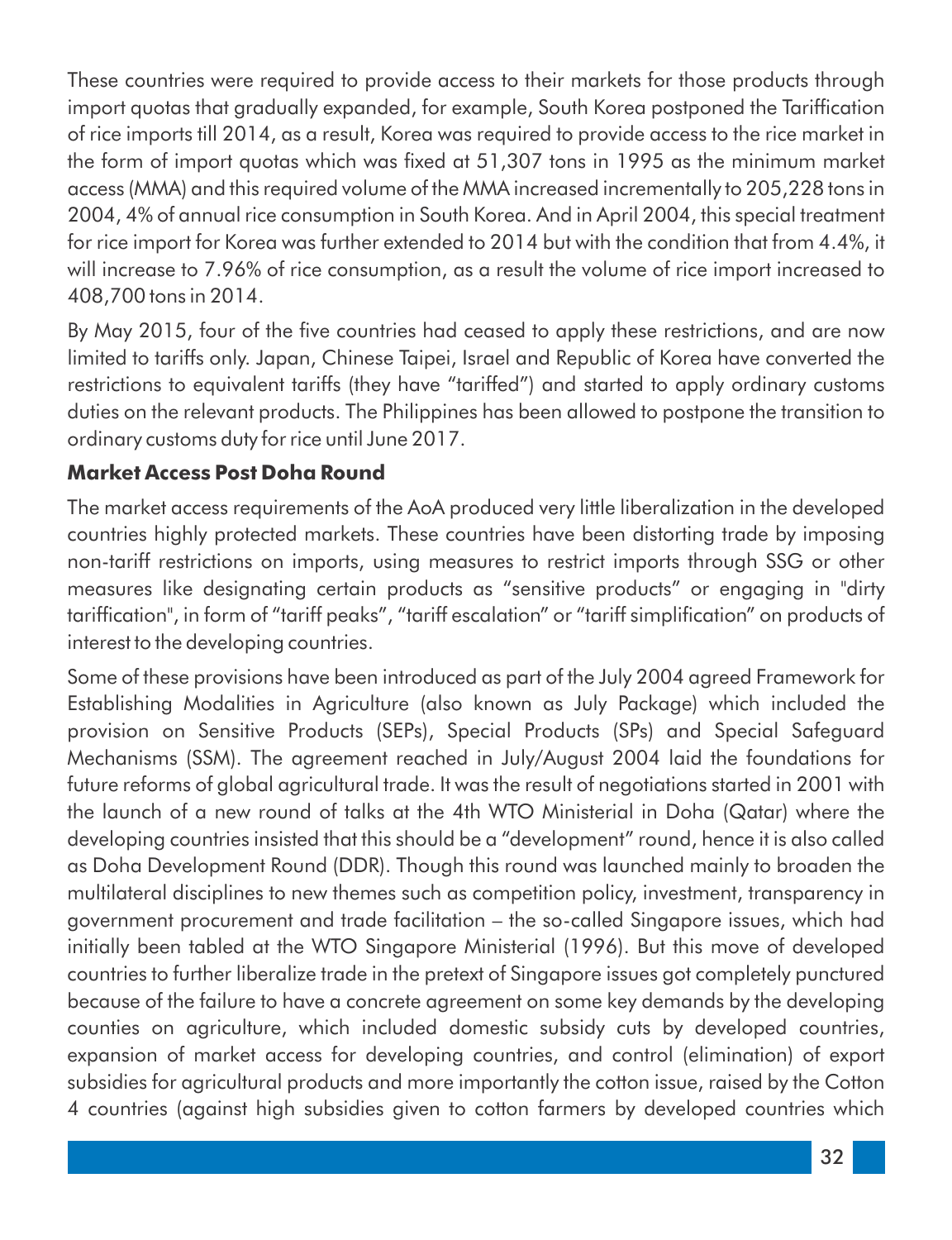These countries were required to provide access to their markets for those products through import quotas that gradually expanded, for example, South Korea postponed the Tariffication of rice imports till 2014, as a result, Korea was required to provide access to the rice market in the form of import quotas which was fixed at 51,307 tons in 1995 as the minimum market access (MMA) and this required volume of the MMA increased incrementally to 205,228 tons in 2004, 4% of annual rice consumption in South Korea. And in April 2004, this special treatment for rice import for Korea was further extended to 2014 but with the condition that from 4.4%, it will increase to 7.96% of rice consumption, as a result the volume of rice import increased to 408,700 tons in 2014.

By May 2015, four of the five countries had ceased to apply these restrictions, and are now limited to tariffs only. Japan, Chinese Taipei, Israel and Republic of Korea have converted the restrictions to equivalent tariffs (they have "tariffed") and started to apply ordinary customs duties on the relevant products. The Philippines has been allowed to postpone the transition to ordinary customs duty for rice until June 2017.

#### **Market Access Post Doha Round**

The market access requirements of the AoA produced very little liberalization in the developed countries highly protected markets. These countries have been distorting trade by imposing non-tariff restrictions on imports, using measures to restrict imports through SSG or other measures like designating certain products as "sensitive products" or engaging in "dirty tariffication", in form of "tariff peaks", "tariff escalation" or "tariff simplification" on products of interest to the developing countries.

Some of these provisions have been introduced as part of the July 2004 agreed Framework for Establishing Modalities in Agriculture (also known as July Package) which included the provision on Sensitive Products (SEPs), Special Products (SPs) and Special Safeguard Mechanisms (SSM). The agreement reached in July/August 2004 laid the foundations for future reforms of global agricultural trade. It was the result of negotiations started in 2001 with the launch of a new round of talks at the 4th WTO Ministerial in Doha (Qatar) where the developing countries insisted that this should be a "development" round, hence it is also called as Doha Development Round (DDR). Though this round was launched mainly to broaden the multilateral disciplines to new themes such as competition policy, investment, transparency in government procurement and trade facilitation – the so-called Singapore issues, which had initially been tabled at the WTO Singapore Ministerial (1996). But this move of developed countries to further liberalize trade in the pretext of Singapore issues got completely punctured because of the failure to have a concrete agreement on some key demands by the developing counties on agriculture, which included domestic subsidy cuts by developed countries, expansion of market access for developing countries, and control (elimination) of export subsidies for agricultural products and more importantly the cotton issue, raised by the Cotton 4 countries (against high subsidies given to cotton farmers by developed countries which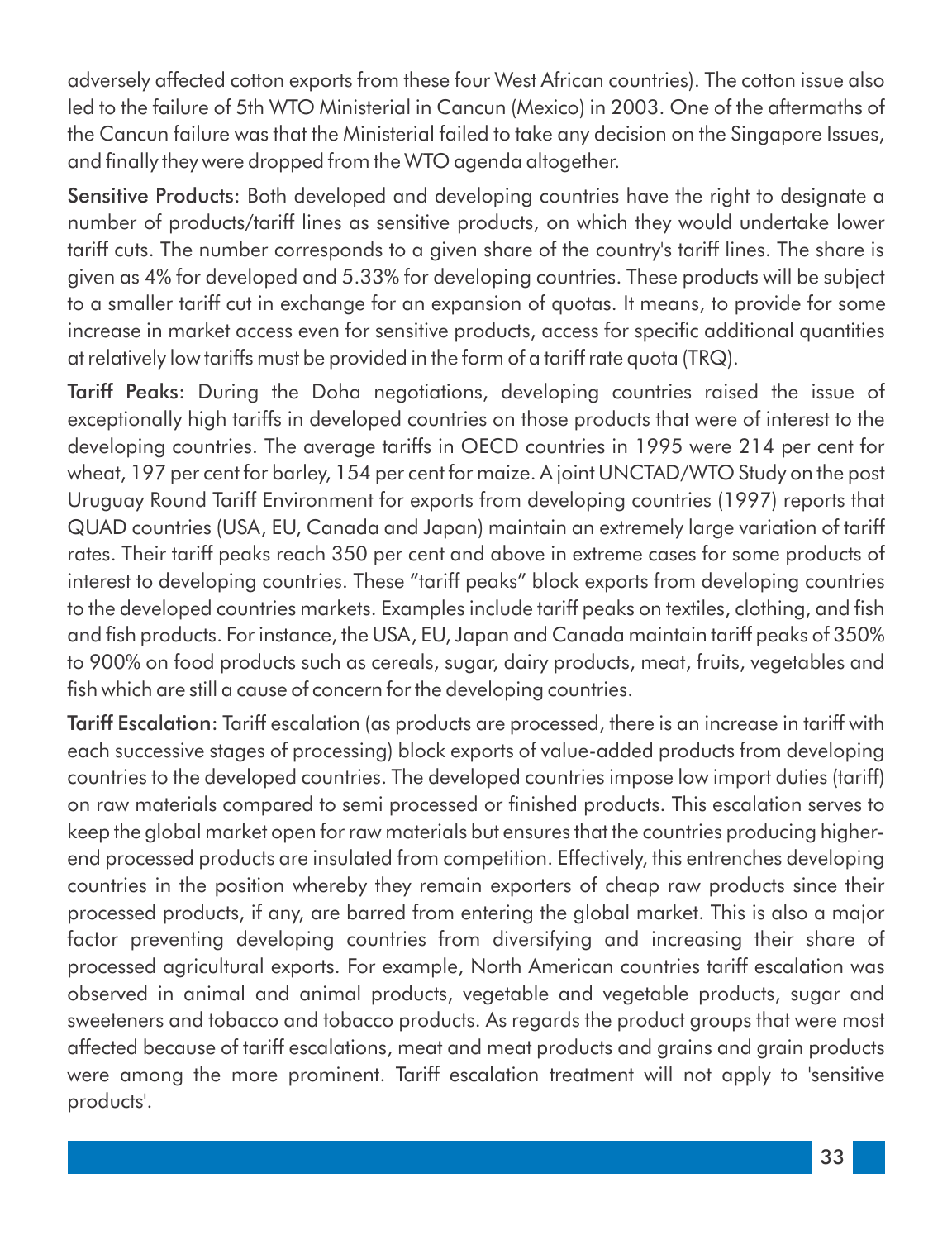adversely affected cotton exports from these four West African countries). The cotton issue also led to the failure of 5th WTO Ministerial in Cancun (Mexico) in 2003. One of the aftermaths of the Cancun failure was that the Ministerial failed to take any decision on the Singapore Issues, and finally they were dropped from the WTO agenda altogether.

Sensitive Products: Both developed and developing countries have the right to designate a number of products/tariff lines as sensitive products, on which they would undertake lower tariff cuts. The number corresponds to a given share of the country's tariff lines. The share is given as 4% for developed and 5.33% for developing countries. These products will be subject to a smaller tariff cut in exchange for an expansion of quotas. It means, to provide for some increase in market access even for sensitive products, access for specific additional quantities at relatively low tariffs must be provided in the form of a tariff rate quota (TRQ).

Tariff Peaks: During the Doha negotiations, developing countries raised the issue of exceptionally high tariffs in developed countries on those products that were of interest to the developing countries. The average tariffs in OECD countries in 1995 were 214 per cent for wheat, 197 per cent for barley, 154 per cent for maize. A joint UNCTAD/WTO Study on the post Uruguay Round Tariff Environment for exports from developing countries (1997) reports that QUAD countries (USA, EU, Canada and Japan) maintain an extremely large variation of tariff rates. Their tariff peaks reach 350 per cent and above in extreme cases for some products of interest to developing countries. These "tariff peaks" block exports from developing countries to the developed countries markets. Examples include tariff peaks on textiles, clothing, and fish and fish products. For instance, the USA, EU, Japan and Canada maintain tariff peaks of 350% to 900% on food products such as cereals, sugar, dairy products, meat, fruits, vegetables and fish which are still a cause of concern for the developing countries.

Tariff Escalation: Tariff escalation (as products are processed, there is an increase in tariff with each successive stages of processing) block exports of value-added products from developing countries to the developed countries. The developed countries impose low import duties (tariff) on raw materials compared to semi processed or finished products. This escalation serves to keep the global market open for raw materials but ensures that the countries producing higherend processed products are insulated from competition. Effectively, this entrenches developing countries in the position whereby they remain exporters of cheap raw products since their processed products, if any, are barred from entering the global market. This is also a major factor preventing developing countries from diversifying and increasing their share of processed agricultural exports. For example, North American countries tariff escalation was observed in animal and animal products, vegetable and vegetable products, sugar and sweeteners and tobacco and tobacco products. As regards the product groups that were most affected because of tariff escalations, meat and meat products and grains and grain products were among the more prominent. Tariff escalation treatment will not apply to 'sensitive products'.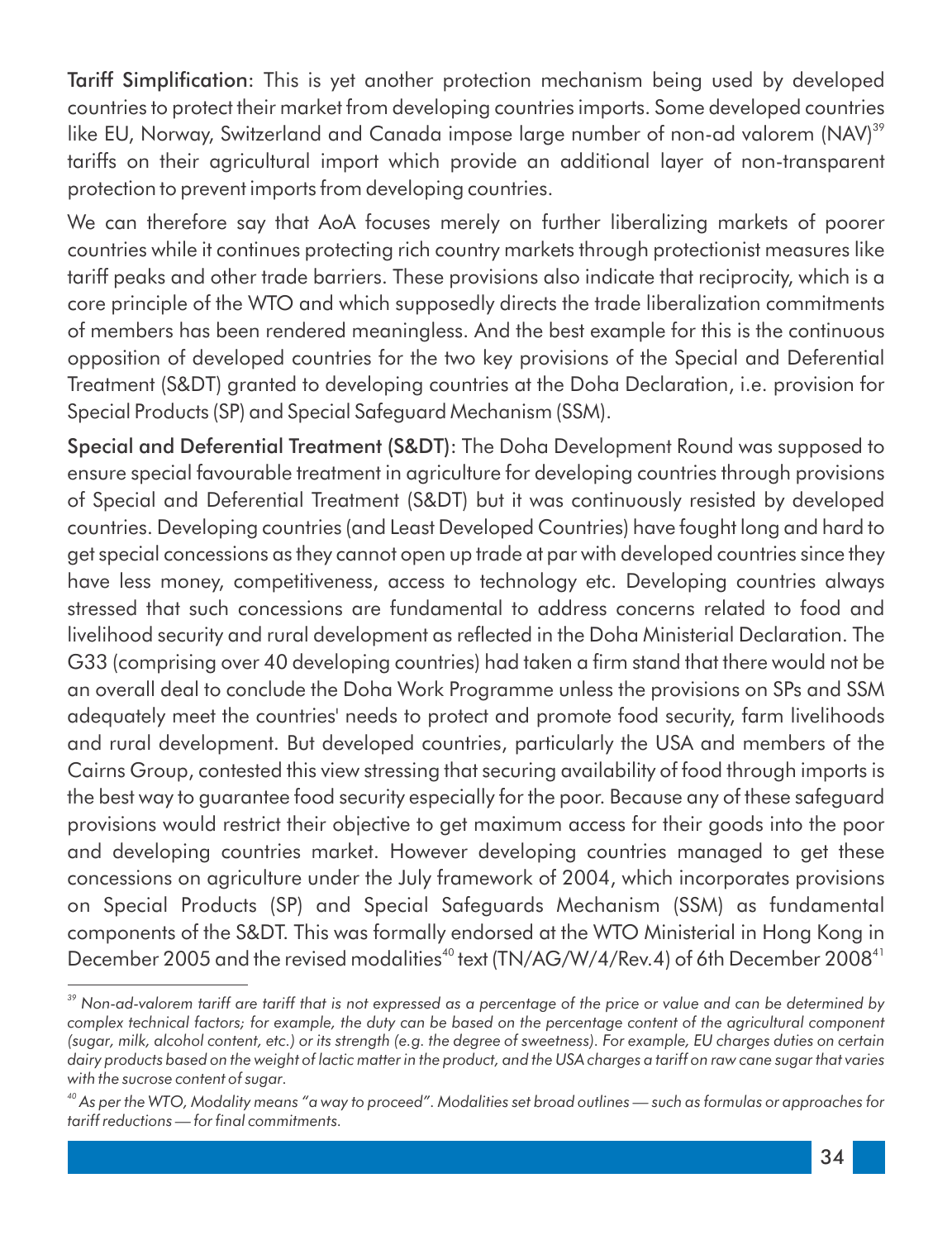Tariff Simplication: This is yet another protection mechanism being used by developed countries to protect their market from developing countries imports. Some developed countries like EU, Norway, Switzerland and Canada impose large number of non-ad valorem (NAV)<sup>39</sup> tariffs on their agricultural import which provide an additional layer of non-transparent protection to prevent imports from developing countries.

We can therefore say that AoA focuses merely on further liberalizing markets of poorer countries while it continues protecting rich country markets through protectionist measures like tariff peaks and other trade barriers. These provisions also indicate that reciprocity, which is a core principle of the WTO and which supposedly directs the trade liberalization commitments of members has been rendered meaningless. And the best example for this is the continuous opposition of developed countries for the two key provisions of the Special and Deferential Treatment (S&DT) granted to developing countries at the Doha Declaration, i.e. provision for Special Products (SP) and Special Safeguard Mechanism (SSM).

Special and Deferential Treatment (S&DT): The Doha Development Round was supposed to ensure special favourable treatment in agriculture for developing countries through provisions of Special and Deferential Treatment (S&DT) but it was continuously resisted by developed countries. Developing countries (and Least Developed Countries) have fought long and hard to get special concessions as they cannot open up trade at par with developed countries since they have less money, competitiveness, access to technology etc. Developing countries always stressed that such concessions are fundamental to address concerns related to food and livelihood security and rural development as reflected in the Doha Ministerial Declaration. The G33 (comprising over 40 developing countries) had taken a firm stand that there would not be an overall deal to conclude the Doha Work Programme unless the provisions on SPs and SSM adequately meet the countries' needs to protect and promote food security, farm livelihoods and rural development. But developed countries, particularly the USA and members of the Cairns Group, contested this view stressing that securing availability of food through imports is the best way to guarantee food security especially for the poor. Because any of these safeguard provisions would restrict their objective to get maximum access for their goods into the poor and developing countries market. However developing countries managed to get these concessions on agriculture under the July framework of 2004, which incorporates provisions on Special Products (SP) and Special Safeguards Mechanism (SSM) as fundamental components of the S&DT. This was formally endorsed at the WTO Ministerial in Hong Kong in December 2005 and the revised modalities<sup>40</sup> text (TN/AG/W/4/Rev.4) of 6th December 2008<sup>41</sup>

*<sup>39</sup> Non-ad-valorem tariff are tariff that is not expressed as a percentage of the price or value and can be determined by*  complex technical factors; for example, the duty can be based on the percentage content of the agricultural component *(sugar, milk, alcohol content, etc.) or its strength (e.g. the degree of sweetness). For example, EU charges duties on certain*  dairy products based on the weight of lactic matter in the product, and the USA charges a tariff on raw cane sugar that varies *with the sucrose content of sugar.*

*<sup>40</sup> As per the WTO, Modality means "a way to proceed". Modalities set broad outlines — such as formulas or approaches for*   $t$ *ariff reductions — for final commitments.*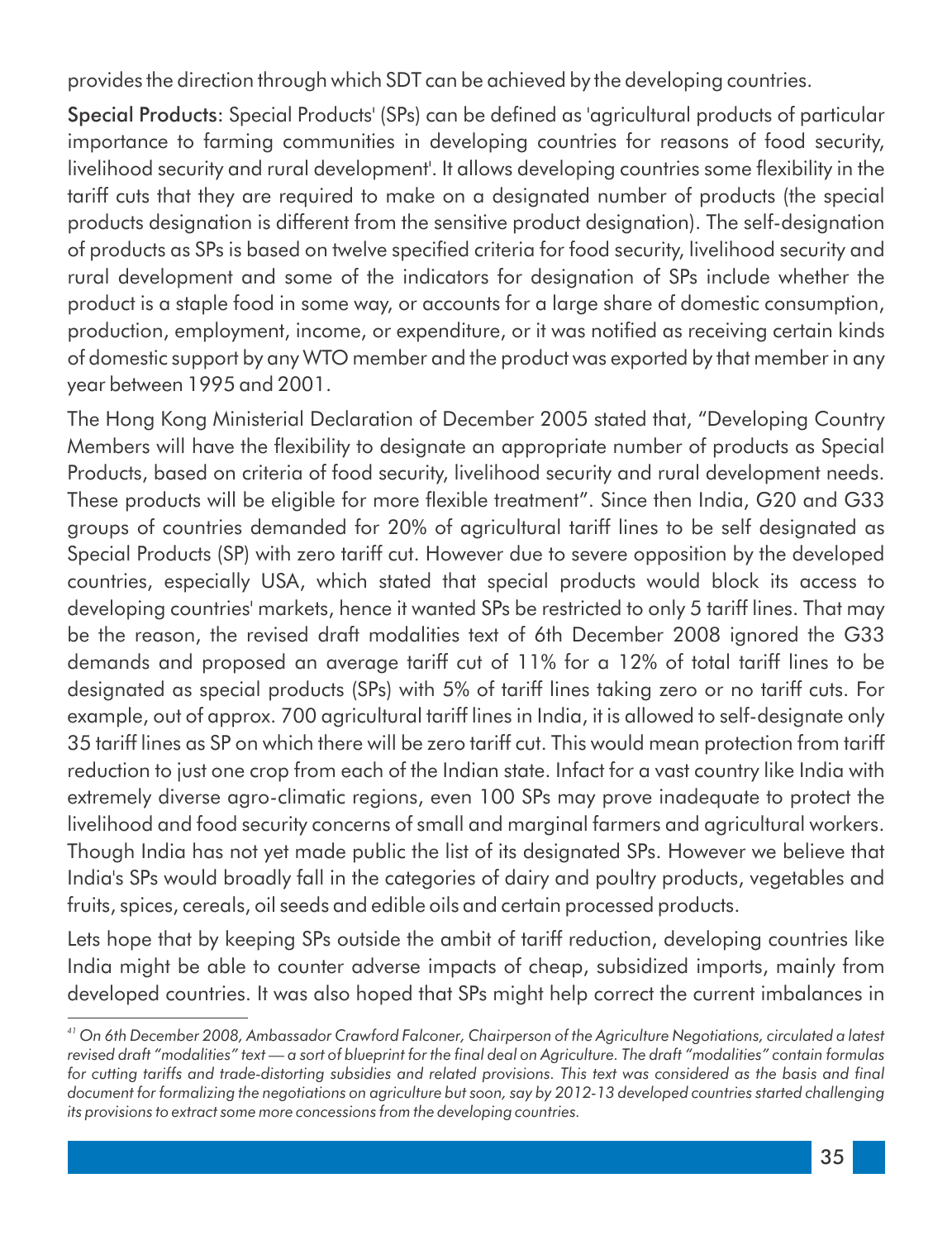provides the direction through which SDT can be achieved by the developing countries.

Special Products: Special Products' (SPs) can be defined as 'agricultural products of particular importance to farming communities in developing countries for reasons of food security, livelihood security and rural development'. It allows developing countries some flexibility in the tariff cuts that they are required to make on a designated number of products (the special products designation is different from the sensitive product designation). The self-designation of products as SPs is based on twelve specified criteria for food security, livelihood security and rural development and some of the indicators for designation of SPs include whether the product is a staple food in some way, or accounts for a large share of domestic consumption, production, employment, income, or expenditure, or it was notified as receiving certain kinds of domestic support by any WTO member and the product was exported by that member in any year between 1995 and 2001.

The Hong Kong Ministerial Declaration of December 2005 stated that, "Developing Country Members will have the flexibility to designate an appropriate number of products as Special Products, based on criteria of food security, livelihood security and rural development needs. These products will be eligible for more flexible treatment". Since then India, G20 and G33 groups of countries demanded for 20% of agricultural tariff lines to be self designated as Special Products (SP) with zero tariff cut. However due to severe opposition by the developed countries, especially USA, which stated that special products would block its access to developing countries' markets, hence it wanted SPs be restricted to only 5 tariff lines. That may be the reason, the revised draft modalities text of 6th December 2008 ignored the G33 demands and proposed an average tariff cut of 11% for a 12% of total tariff lines to be designated as special products (SPs) with 5% of tariff lines taking zero or no tariff cuts. For example, out of approx. 700 agricultural tariff lines in India, it is allowed to self-designate only 35 tariff lines as SP on which there will be zero tariff cut. This would mean protection from tariff reduction to just one crop from each of the Indian state. Infact for a vast country like India with extremely diverse agro-climatic regions, even 100 SPs may prove inadequate to protect the livelihood and food security concerns of small and marginal farmers and agricultural workers. Though India has not yet made public the list of its designated SPs. However we believe that India's SPs would broadly fall in the categories of dairy and poultry products, vegetables and fruits, spices, cereals, oil seeds and edible oils and certain processed products.

Lets hope that by keeping SPs outside the ambit of tariff reduction, developing countries like India might be able to counter adverse impacts of cheap, subsidized imports, mainly from developed countries. It was also hoped that SPs might help correct the current imbalances in

*<sup>41</sup> On 6th December 2008, Ambassador Crawford Falconer, Chairperson of the Agriculture Negotiations, circulated a latest*  revised draft "modalities" text — a sort of blueprint for the final deal on Agriculture. The draft "modalities" contain formulas *for cutting tariffs and trade-distorting subsidies and related provisions. This text was considered as the basis and final document for formalizing the negotiations on agriculture but soon, say by 2012-13 developed countries started challenging its provisions to extract some more concessions from the developing countries.*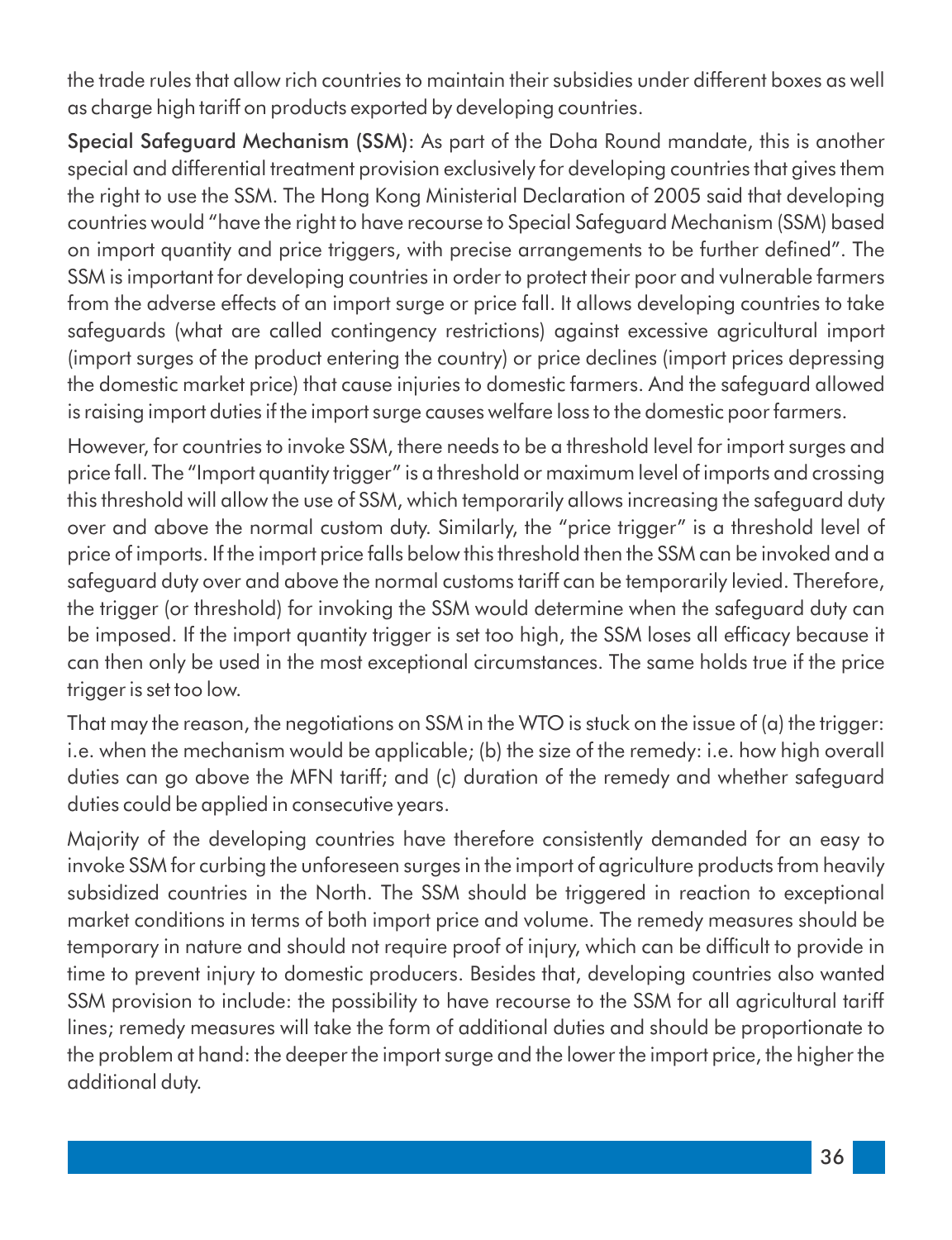the trade rules that allow rich countries to maintain their subsidies under different boxes as well as charge high tariff on products exported by developing countries.

Special Safeguard Mechanism (SSM): As part of the Doha Round mandate, this is another special and differential treatment provision exclusively for developing countries that gives them the right to use the SSM. The Hong Kong Ministerial Declaration of 2005 said that developing countries would "have the right to have recourse to Special Safeguard Mechanism (SSM) based on import quantity and price triggers, with precise arrangements to be further defined". The SSM is important for developing countries in order to protect their poor and vulnerable farmers from the adverse effects of an import surge or price fall. It allows developing countries to take safeguards (what are called contingency restrictions) against excessive agricultural import (import surges of the product entering the country) or price declines (import prices depressing the domestic market price) that cause injuries to domestic farmers. And the safeguard allowed is raising import duties if the import surge causes welfare loss to the domestic poor farmers.

However, for countries to invoke SSM, there needs to be a threshold level for import surges and price fall. The "Import quantity trigger" is a threshold or maximum level of imports and crossing this threshold will allow the use of SSM, which temporarily allows increasing the safeguard duty over and above the normal custom duty. Similarly, the "price trigger" is a threshold level of price of imports. If the import price falls below this threshold then the SSM can be invoked and a safeguard duty over and above the normal customs tariff can be temporarily levied. Therefore, the trigger (or threshold) for invoking the SSM would determine when the safeguard duty can be imposed. If the import quantity trigger is set too high, the SSM loses all efficacy because it can then only be used in the most exceptional circumstances. The same holds true if the price trigger is set too low.

That may the reason, the negotiations on SSM in the WTO is stuck on the issue of (a) the trigger: i.e. when the mechanism would be applicable; (b) the size of the remedy: i.e. how high overall duties can go above the MFN tariff; and (c) duration of the remedy and whether safeguard duties could be applied in consecutive years.

Majority of the developing countries have therefore consistently demanded for an easy to invoke SSM for curbing the unforeseen surges in the import of agriculture products from heavily subsidized countries in the North. The SSM should be triggered in reaction to exceptional market conditions in terms of both import price and volume. The remedy measures should be temporary in nature and should not require proof of injury, which can be difficult to provide in time to prevent injury to domestic producers. Besides that, developing countries also wanted SSM provision to include: the possibility to have recourse to the SSM for all agricultural tariff lines; remedy measures will take the form of additional duties and should be proportionate to the problem at hand: the deeper the import surge and the lower the import price, the higher the additional duty.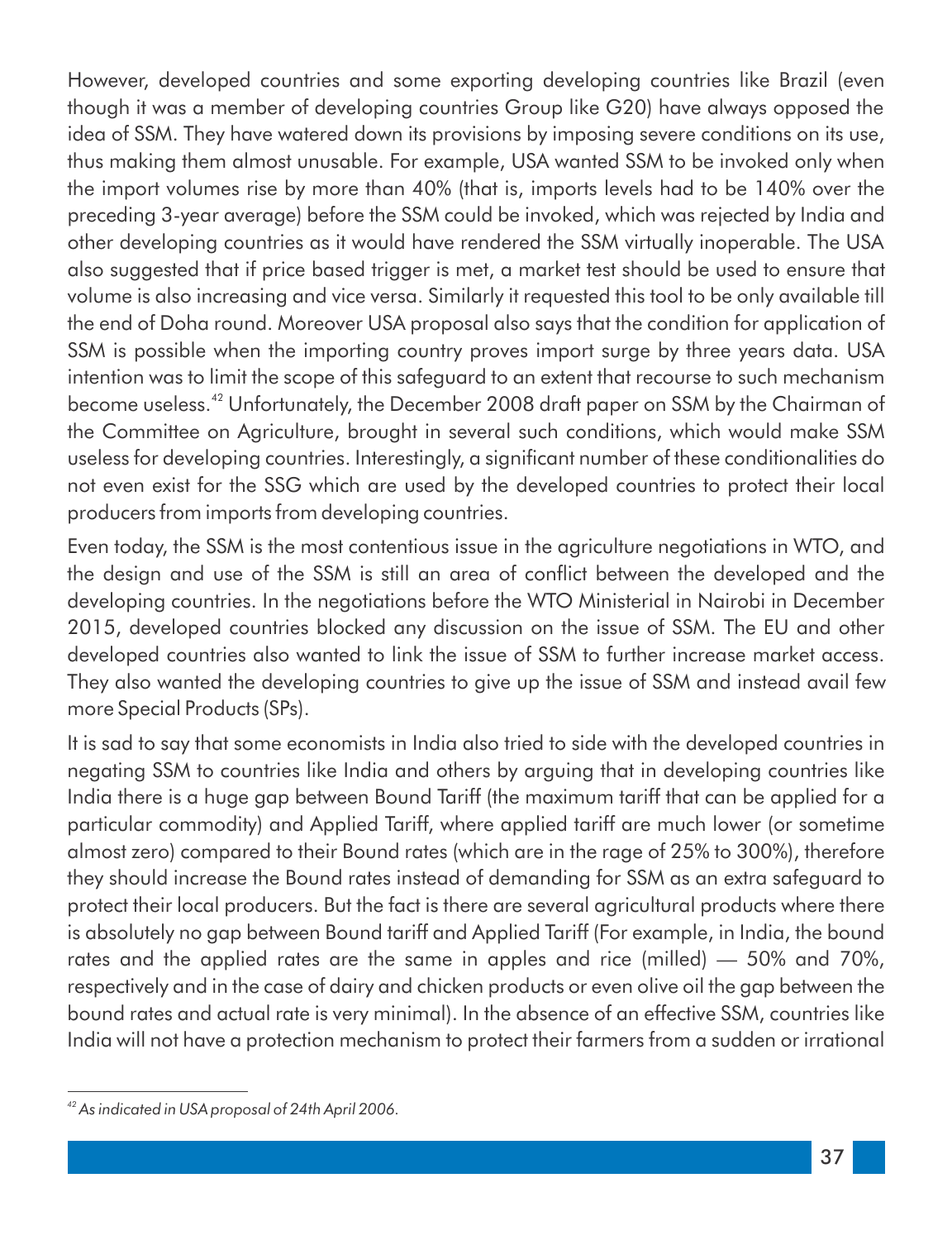However, developed countries and some exporting developing countries like Brazil (even though it was a member of developing countries Group like G20) have always opposed the idea of SSM. They have watered down its provisions by imposing severe conditions on its use, thus making them almost unusable. For example, USA wanted SSM to be invoked only when the import volumes rise by more than 40% (that is, imports levels had to be 140% over the preceding 3-year average) before the SSM could be invoked, which was rejected by India and other developing countries as it would have rendered the SSM virtually inoperable. The USA also suggested that if price based trigger is met, a market test should be used to ensure that volume is also increasing and vice versa. Similarly it requested this tool to be only available till the end of Doha round. Moreover USA proposal also says that the condition for application of SSM is possible when the importing country proves import surge by three years data. USA intention was to limit the scope of this safeguard to an extent that recourse to such mechanism become useless.<sup>42</sup> Unfortunately, the December 2008 draft paper on SSM by the Chairman of the Committee on Agriculture, brought in several such conditions, which would make SSM useless for developing countries. Interestingly, a significant number of these conditionalities do not even exist for the SSG which are used by the developed countries to protect their local producers from imports from developing countries.

Even today, the SSM is the most contentious issue in the agriculture negotiations in WTO, and the design and use of the SSM is still an area of conflict between the developed and the developing countries. In the negotiations before the WTO Ministerial in Nairobi in December 2015, developed countries blocked any discussion on the issue of SSM. The EU and other developed countries also wanted to link the issue of SSM to further increase market access. They also wanted the developing countries to give up the issue of SSM and instead avail few more Special Products (SPs).

It is sad to say that some economists in India also tried to side with the developed countries in negating SSM to countries like India and others by arguing that in developing countries like India there is a huge gap between Bound Tariff (the maximum tariff that can be applied for a particular commodity) and Applied Tariff, where applied tariff are much lower (or sometime almost zero) compared to their Bound rates (which are in the rage of 25% to 300%), therefore they should increase the Bound rates instead of demanding for SSM as an extra safeguard to protect their local producers. But the fact is there are several agricultural products where there is absolutely no gap between Bound tariff and Applied Tariff (For example, in India, the bound rates and the applied rates are the same in apples and rice (milled) — 50% and 70%, respectively and in the case of dairy and chicken products or even olive oil the gap between the bound rates and actual rate is very minimal). In the absence of an effective SSM, countries like India will not have a protection mechanism to protect their farmers from a sudden or irrational

*<sup>42</sup> As indicated in USA proposal of 24th April 2006.*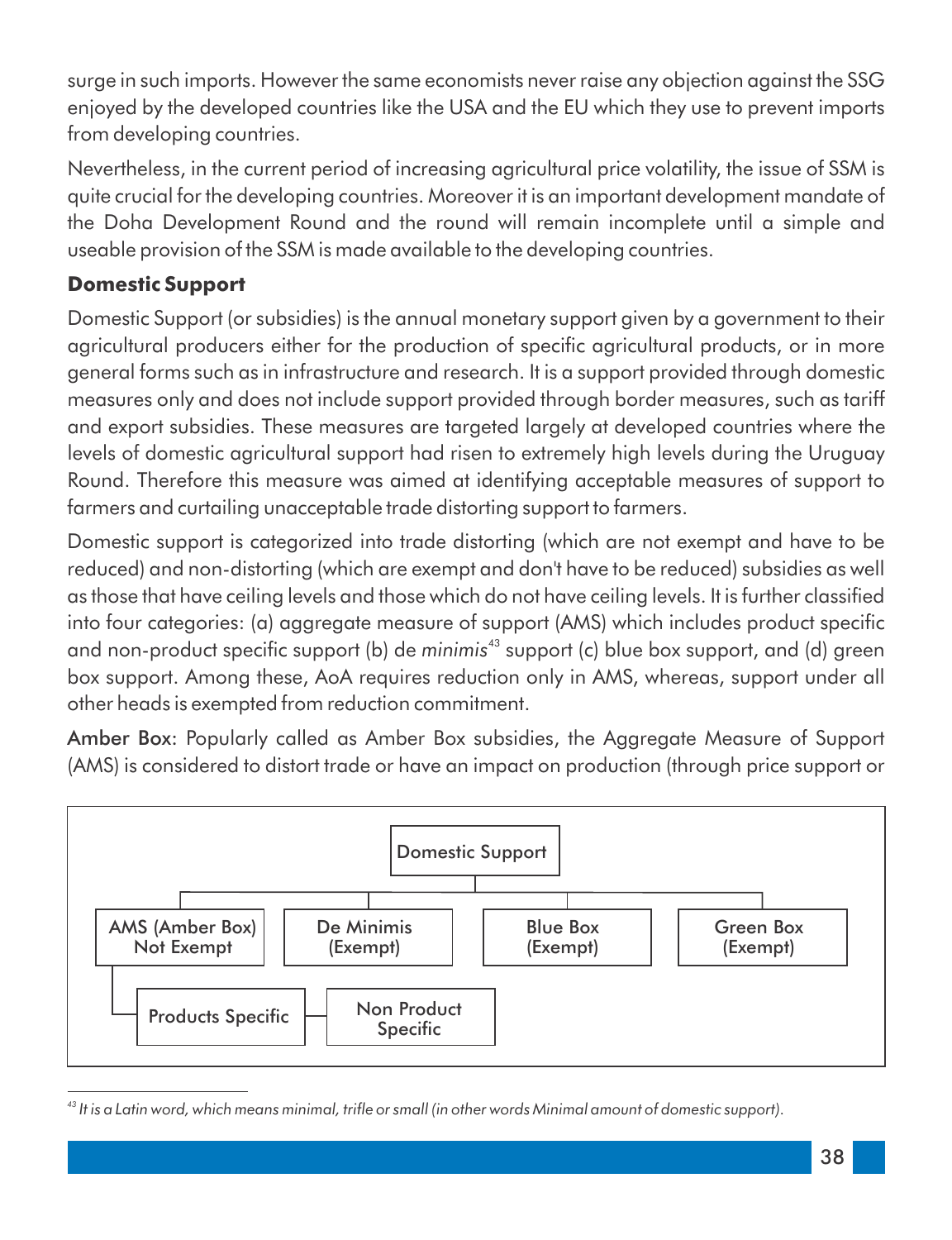surge in such imports. However the same economists never raise any objection against the SSG enjoyed by the developed countries like the USA and the EU which they use to prevent imports from developing countries.

Nevertheless, in the current period of increasing agricultural price volatility, the issue of SSM is quite crucial for the developing countries. Moreover it is an important development mandate of the Doha Development Round and the round will remain incomplete until a simple and useable provision of the SSM is made available to the developing countries.

#### **Domestic Support**

Domestic Support (or subsidies) is the annual monetary support given by a government to their agricultural producers either for the production of specific agricultural products, or in more general forms such as in infrastructure and research. It is a support provided through domestic measures only and does not include support provided through border measures, such as tariff and export subsidies. These measures are targeted largely at developed countries where the levels of domestic agricultural support had risen to extremely high levels during the Uruguay Round. Therefore this measure was aimed at identifying acceptable measures of support to farmers and curtailing unacceptable trade distorting support to farmers.

Domestic support is categorized into trade distorting (which are not exempt and have to be reduced) and non-distorting (which are exempt and don't have to be reduced) subsidies as well as those that have ceiling levels and those which do not have ceiling levels. It is further classified into four categories: (a) aggregate measure of support (AMS) which includes product specific and non-product specific support (b) de *minimis*<sup>43</sup> support (c) blue box support, and (d) green box support. Among these, AoA requires reduction only in AMS, whereas, support under all other heads is exempted from reduction commitment.

Amber Box: Popularly called as Amber Box subsidies, the Aggregate Measure of Support (AMS) is considered to distort trade or have an impact on production (through price support or



<sup>&</sup>lt;sup>43</sup> It is a Latin word, which means minimal, trifle or small (in other words Minimal amount of domestic support).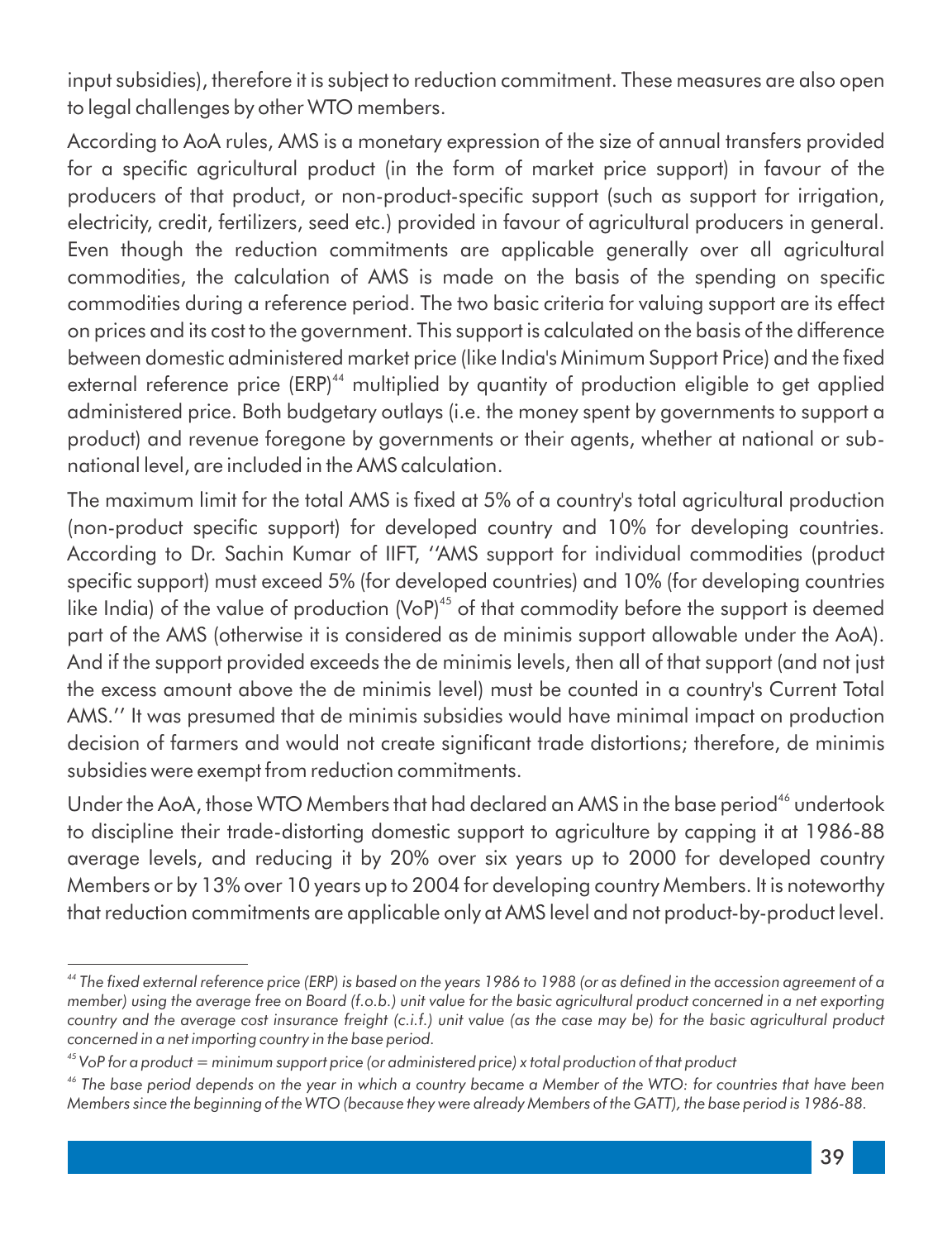input subsidies), therefore it is subject to reduction commitment. These measures are also open to legal challenges by other WTO members.

According to AoA rules, AMS is a monetary expression of the size of annual transfers provided for a specific agricultural product (in the form of market price support) in favour of the producers of that product, or non-product-specific support (such as support for irrigation, electricity, credit, fertilizers, seed etc.) provided in favour of agricultural producers in general. Even though the reduction commitments are applicable generally over all agricultural commodities, the calculation of AMS is made on the basis of the spending on specific commodities during a reference period. The two basic criteria for valuing support are its effect on prices and its cost to the government. This support is calculated on the basis of the difference between domestic administered market price (like India's Minimum Support Price) and the fixed external reference price (ERP)<sup>44</sup> multiplied by quantity of production eligible to get applied administered price. Both budgetary outlays (i.e. the money spent by governments to support a product) and revenue foregone by governments or their agents, whether at national or subnational level, are included in the AMS calculation.

The maximum limit for the total AMS is fixed at 5% of a country's total agricultural production (non-product specific support) for developed country and 10% for developing countries. According to Dr. Sachin Kumar of IIFT, ''AMS support for individual commodities (product specific support) must exceed 5% (for developed countries) and 10% (for developing countries like India) of the value of production (VoP)<sup>45</sup> of that commodity before the support is deemed part of the AMS (otherwise it is considered as de minimis support allowable under the AoA). And if the support provided exceeds the de minimis levels, then all of that support (and not just the excess amount above the de minimis level) must be counted in a country's Current Total AMS.'' It was presumed that de minimis subsidies would have minimal impact on production decision of farmers and would not create significant trade distortions; therefore, de minimis subsidies were exempt from reduction commitments.

Under the AoA, those WTO Members that had declared an AMS in the base period<sup>46</sup> undertook to discipline their trade-distorting domestic support to agriculture by capping it at 1986-88 average levels, and reducing it by 20% over six years up to 2000 for developed country Members or by 13% over 10 years up to 2004 for developing country Members. It is noteworthy that reduction commitments are applicable only at AMS level and not product-by-product level.

<sup>&</sup>lt;sup>44</sup> The fixed external reference price (ERP) is based on the years 1986 to 1988 (or as defined in the accession agreement of a *member)* using the average free on Board (f.o.b.) unit value for the basic agricultural product concerned in a net exporting *country and the average cost insurance freight (c.i.f.) unit value (as the case may be) for the basic agricultural product concerned in a net importing country in the base period.*

*<sup>45</sup> VoP for a product = minimum support price (or administered price) x total production of that product*

*<sup>46</sup> The base period depends on the year in which a country became a Member of the WTO: for countries that have been Members since the beginning of the WTO (because they were already Members of the GATT), the base period is 1986-88.*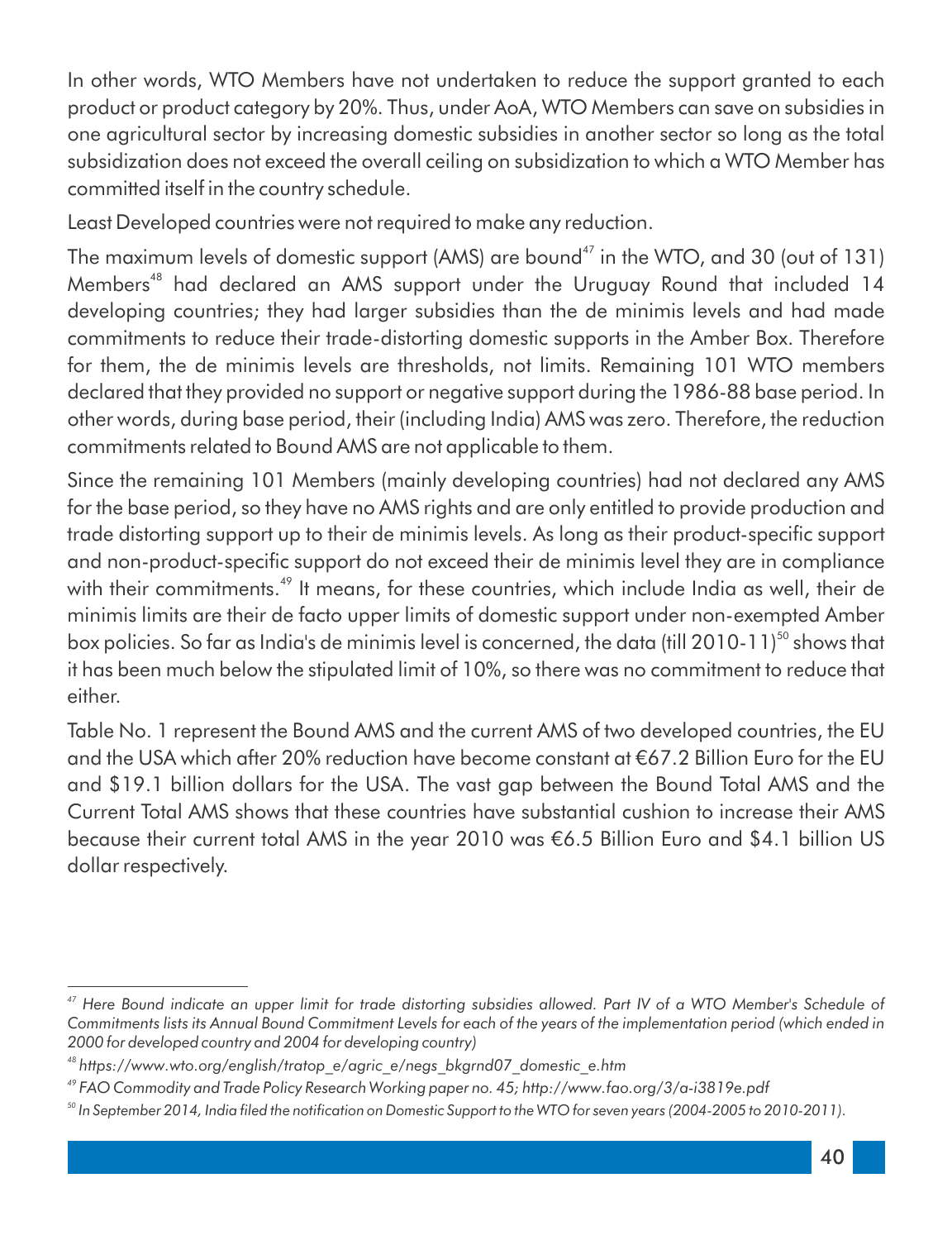In other words, WTO Members have not undertaken to reduce the support granted to each product or product category by 20%. Thus, under AoA, WTO Members can save on subsidies in one agricultural sector by increasing domestic subsidies in another sector so long as the total subsidization does not exceed the overall ceiling on subsidization to which a WTO Member has committed itself in the country schedule.

Least Developed countries were not required to make any reduction.

The maximum levels of domestic support (AMS) are bound<sup> $47$ </sup> in the WTO, and 30 (out of 131) Members<sup>48</sup> had declared an AMS support under the Uruguay Round that included 14 developing countries; they had larger subsidies than the de minimis levels and had made commitments to reduce their trade-distorting domestic supports in the Amber Box. Therefore for them, the de minimis levels are thresholds, not limits. Remaining 101 WTO members declared that they provided no support or negative support during the 1986-88 base period. In other words, during base period, their (including India) AMS was zero. Therefore, the reduction commitments related to Bound AMS are not applicable to them.

Since the remaining 101 Members (mainly developing countries) had not declared any AMS for the base period, so they have no AMS rights and are only entitled to provide production and trade distorting support up to their de minimis levels. As long as their product-specific support and non-product-specific support do not exceed their de minimis level they are in compliance with their commitments.<sup>49</sup> It means, for these countries, which include India as well, their de minimis limits are their de facto upper limits of domestic support under non-exempted Amber box policies. So far as India's de minimis level is concerned, the data (till 2010-11)<sup>50</sup> shows that it has been much below the stipulated limit of 10%, so there was no commitment to reduce that either.

Table No. 1 represent the Bound AMS and the current AMS of two developed countries, the EU and the USA which after 20% reduction have become constant at 67.2 Billion Euro for the EU and \$19.1 billion dollars for the USA. The vast gap between the Bound Total AMS and the Current Total AMS shows that these countries have substantial cushion to increase their AMS because their current total AMS in the year 2010 was €6.5 Billion Euro and \$4.1 billion US dollar respectively.

<sup>&</sup>lt;sup>47</sup> Here Bound indicate an upper limit for trade distorting subsidies allowed. Part IV of a WTO Member's Schedule of *Commitments lists its Annual Bound Commitment Levels for each of the years of the implementation period (which ended in 2000 for developed country and 2004 for developing country)*

*<sup>48</sup> https://www.wto.org/english/tratop\_e/agric\_e/negs\_bkgrnd07\_domestic\_e.htm*

*<sup>49</sup> FAO Commodity and Trade Policy Research Working paper no. 45; http://www.fao.org/3/a-i3819e.pdf* 

<sup>&</sup>lt;sup>50</sup> In September 2014, India filed the notification on Domestic Support to the WTO for seven years (2004-2005 to 2010-2011).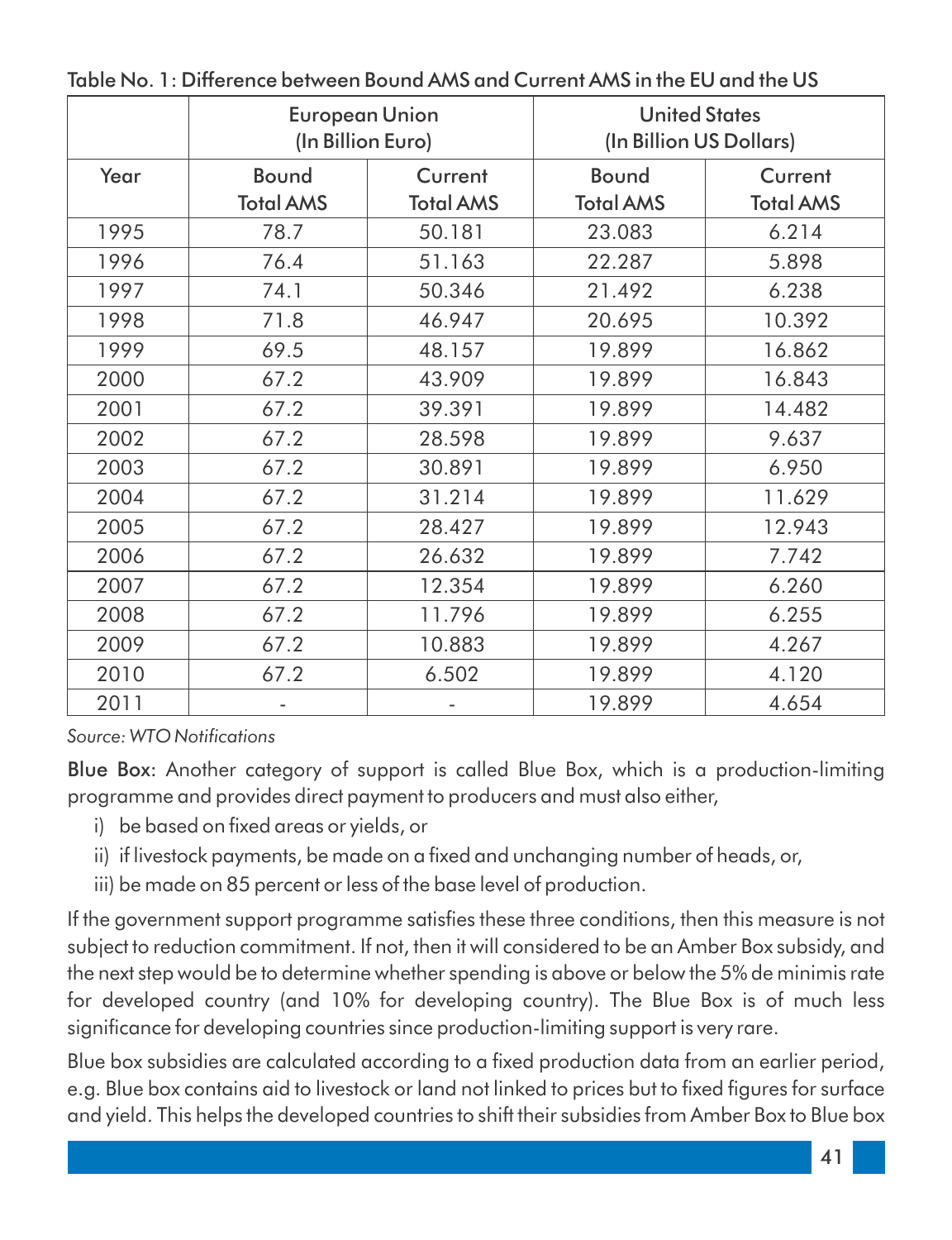|      | <b>European Union</b> | (In Billion Euro) | <b>United States</b><br>(In Billion US Dollars) |                  |
|------|-----------------------|-------------------|-------------------------------------------------|------------------|
| Year | Bound                 | Current           | Bound                                           | Current          |
|      | <b>Total AMS</b>      | <b>Total AMS</b>  | <b>Total AMS</b>                                | <b>Total AMS</b> |
| 1995 | 78.7                  | 50.181            | 23.083                                          | 6.214            |
| 1996 | 76.4                  | 51.163            | 22.287                                          | 5.898            |
| 1997 | 74.1                  | 50.346            | 21.492                                          | 6.238            |
| 1998 | 71.8                  | 46.947            | 20.695                                          | 10.392           |
| 1999 | 69.5                  | 48.157            | 19.899                                          | 16.862           |
| 2000 | 67.2                  | 43.909            | 19.899                                          | 16.843           |
| 2001 | 67.2                  | 39.391            | 19.899                                          | 14.482           |
| 2002 | 67.2                  | 28.598            | 19.899                                          | 9.637            |
| 2003 | 67.2                  | 30.891            | 19.899                                          | 6.950            |
| 2004 | 67.2                  | 31.214            | 19.899                                          | 11.629           |
| 2005 | 67.2                  | 28.427            | 19.899                                          | 12.943           |
| 2006 | 67.2                  | 26.632            | 19.899                                          | 7.742            |
| 2007 | 67.2                  | 12.354            | 19.899                                          | 6.260            |
| 2008 | 67.2                  | 11.796            | 19.899                                          | 6.255            |
| 2009 | 67.2                  | 10.883            | 19.899                                          | 4.267            |
| 2010 | 67.2                  | 6.502             | 19.899                                          | 4.120            |
| 2011 |                       |                   | 19.899                                          | 4.654            |

Table No. 1: Difference between Bound AMS and Current AMS in the EU and the US

*Source: WTO Notications*

Blue Box: Another category of support is called Blue Box, which is a production-limiting programme and provides direct payment to producers and must also either,

- i) be based on fixed areas or vields, or
- ii) if livestock payments, be made on a fixed and unchanging number of heads, or,
- iii) be made on 85 percent or less of the base level of production.

If the government support programme satisfies these three conditions, then this measure is not subject to reduction commitment. If not, then it will considered to be an Amber Box subsidy, and the next step would be to determine whether spending is above or below the 5% de minimis rate for developed country (and 10% for developing country). The Blue Box is of much less significance for developing countries since production-limiting support is very rare.

Blue box subsidies are calculated according to a fixed production data from an earlier period, e.g. Blue box contains aid to livestock or land not linked to prices but to fixed figures for surface and yield. This helps the developed countries to shift their subsidies from Amber Box to Blue box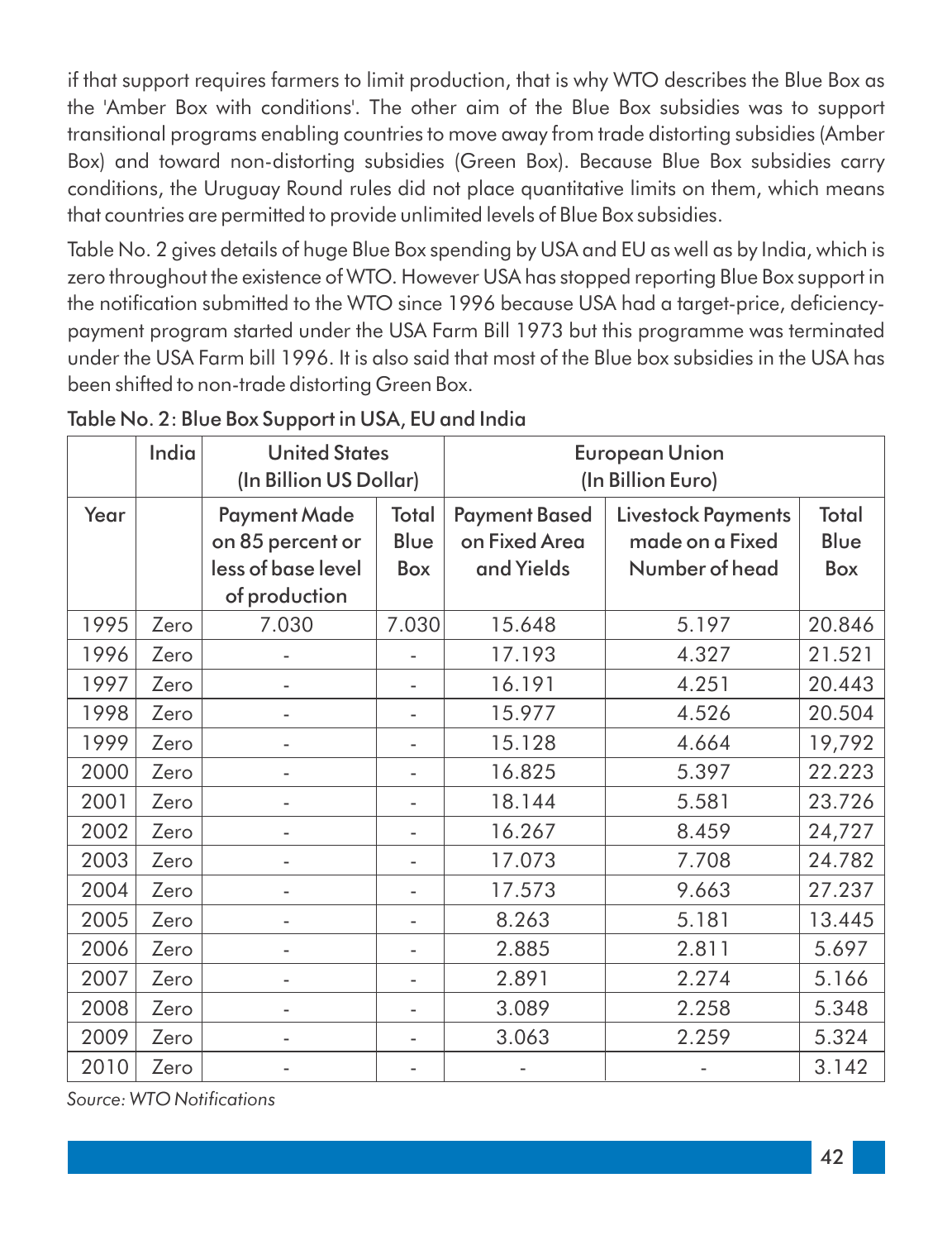if that support requires farmers to limit production, that is why WTO describes the Blue Box as the 'Amber Box with conditions'. The other aim of the Blue Box subsidies was to support transitional programs enabling countries to move away from trade distorting subsidies (Amber Box) and toward non-distorting subsidies (Green Box). Because Blue Box subsidies carry conditions, the Uruguay Round rules did not place quantitative limits on them, which means that countries are permitted to provide unlimited levels of Blue Box subsidies.

Table No. 2 gives details of huge Blue Box spending by USA and EU as well as by India, which is zero throughout the existence of WTO. However USA has stopped reporting Blue Box support in the notification submitted to the WTO since 1996 because USA had a target-price, deficiencypayment program started under the USA Farm Bill 1973 but this programme was terminated under the USA Farm bill 1996. It is also said that most of the Blue box subsidies in the USA has been shifted to non-trade distorting Green Box.

|      | India | <b>United States</b><br>(In Billion US Dollar)                                 |                      | <b>European Union</b><br>(In Billion Euro)          |                                                                |                      |
|------|-------|--------------------------------------------------------------------------------|----------------------|-----------------------------------------------------|----------------------------------------------------------------|----------------------|
| Year |       | <b>Payment Made</b><br>on 85 percent or<br>less of base level<br>of production | Total<br>Blue<br>Box | <b>Payment Based</b><br>on Fixed Area<br>and Yields | <b>Livestock Payments</b><br>made on a Fixed<br>Number of head | Total<br>Blue<br>Box |
| 1995 | Zero  | 7.030                                                                          | 7.030                | 15.648                                              | 5.197                                                          | 20.846               |
| 1996 | Zero  |                                                                                |                      | 17.193                                              | 4.327                                                          | 21.521               |
| 1997 | Zero  |                                                                                |                      | 16.191                                              | 4.251                                                          | 20.443               |
| 1998 | Zero  | $\overline{a}$                                                                 |                      | 15.977                                              | 4.526                                                          | 20.504               |
| 1999 | Zero  |                                                                                |                      | 15.128                                              | 4.664                                                          | 19,792               |
| 2000 | Zero  |                                                                                |                      | 16.825                                              | 5.397                                                          | 22.223               |
| 2001 | Zero  | $\bar{\phantom{a}}$                                                            |                      | 18.144                                              | 5.581                                                          | 23.726               |
| 2002 | Zero  |                                                                                |                      | 16.267                                              | 8.459                                                          | 24,727               |
| 2003 | Zero  |                                                                                |                      | 17.073                                              | 7.708                                                          | 24.782               |
| 2004 | Zero  |                                                                                |                      | 17.573                                              | 9.663                                                          | 27.237               |
| 2005 | Zero  |                                                                                |                      | 8.263                                               | 5.181                                                          | 13.445               |
| 2006 | Zero  |                                                                                |                      | 2.885                                               | 2.811                                                          | 5.697                |
| 2007 | Zero  |                                                                                |                      | 2.891                                               | 2.274                                                          | 5.166                |
| 2008 | Zero  | ä,                                                                             |                      | 3.089                                               | 2.258                                                          | 5.348                |
| 2009 | Zero  |                                                                                |                      | 3.063                                               | 2.259                                                          | 5.324                |
| 2010 | Zero  |                                                                                |                      |                                                     |                                                                | 3.142                |

#### Table No. 2: Blue Box Support in USA, EU and India

*Source: WTO Notications*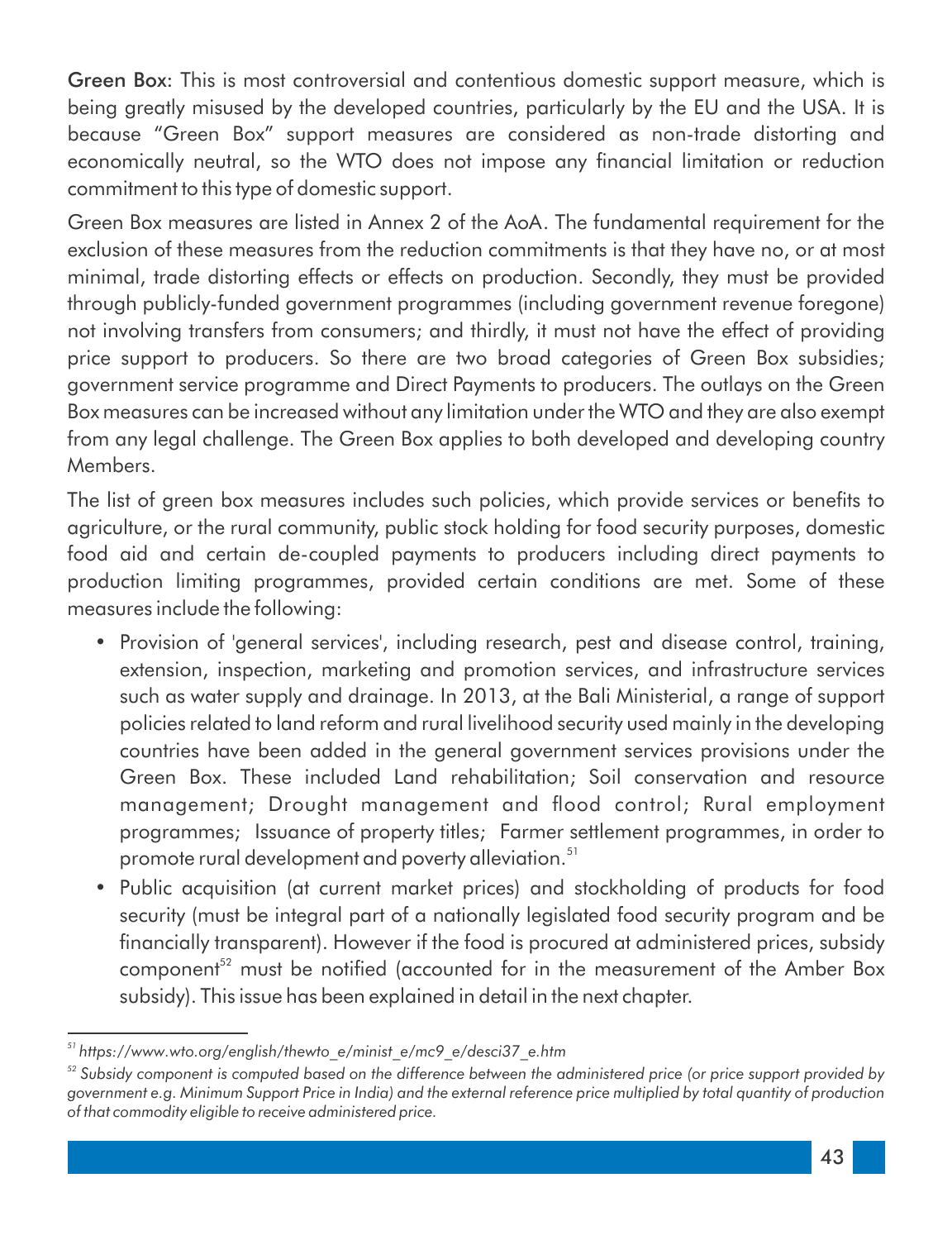Green Box: This is most controversial and contentious domestic support measure, which is being greatly misused by the developed countries, particularly by the EU and the USA. It is because "Green Box" support measures are considered as non-trade distorting and economically neutral, so the WTO does not impose any financial limitation or reduction commitment to this type of domestic support.

Green Box measures are listed in Annex 2 of the AoA. The fundamental requirement for the exclusion of these measures from the reduction commitments is that they have no, or at most minimal, trade distorting effects or effects on production. Secondly, they must be provided through publicly-funded government programmes (including government revenue foregone) not involving transfers from consumers; and thirdly, it must not have the effect of providing price support to producers. So there are two broad categories of Green Box subsidies; government service programme and Direct Payments to producers. The outlays on the Green Box measures can be increased without any limitation under the WTO and they are also exempt from any legal challenge. The Green Box applies to both developed and developing country Members.

The list of green box measures includes such policies, which provide services or benefits to agriculture, or the rural community, public stock holding for food security purposes, domestic food aid and certain de-coupled payments to producers including direct payments to production limiting programmes, provided certain conditions are met. Some of these measures include the following:

- Provision of 'general services', including research, pest and disease control, training, extension, inspection, marketing and promotion services, and infrastructure services such as water supply and drainage. In 2013, at the Bali Ministerial, a range of support policies related to land reform and rural livelihood security used mainly in the developing countries have been added in the general government services provisions under the Green Box. These included Land rehabilitation; Soil conservation and resource management; Drought management and flood control; Rural employment programmes; Issuance of property titles; Farmer settlement programmes, in order to promote rural development and poverty alleviation.<sup>51</sup>
- Public acquisition (at current market prices) and stockholding of products for food security (must be integral part of a nationally legislated food security program and be financially transparent). However if the food is procured at administered prices, subsidy component<sup>52</sup> must be notified (accounted for in the measurement of the Amber Box subsidy). This issue has been explained in detail in the next chapter.

*<sup>51</sup> https://www.wto.org/english/thewto\_e/minist\_e/mc9\_e/desci37\_e.htm*

*<sup>52</sup> Subsidy component is computed based on the difference between the administered price (or price support provided by government e.g. Minimum Support Price in India) and the external reference price multiplied by total quantity of production of that commodity eligible to receive administered price.*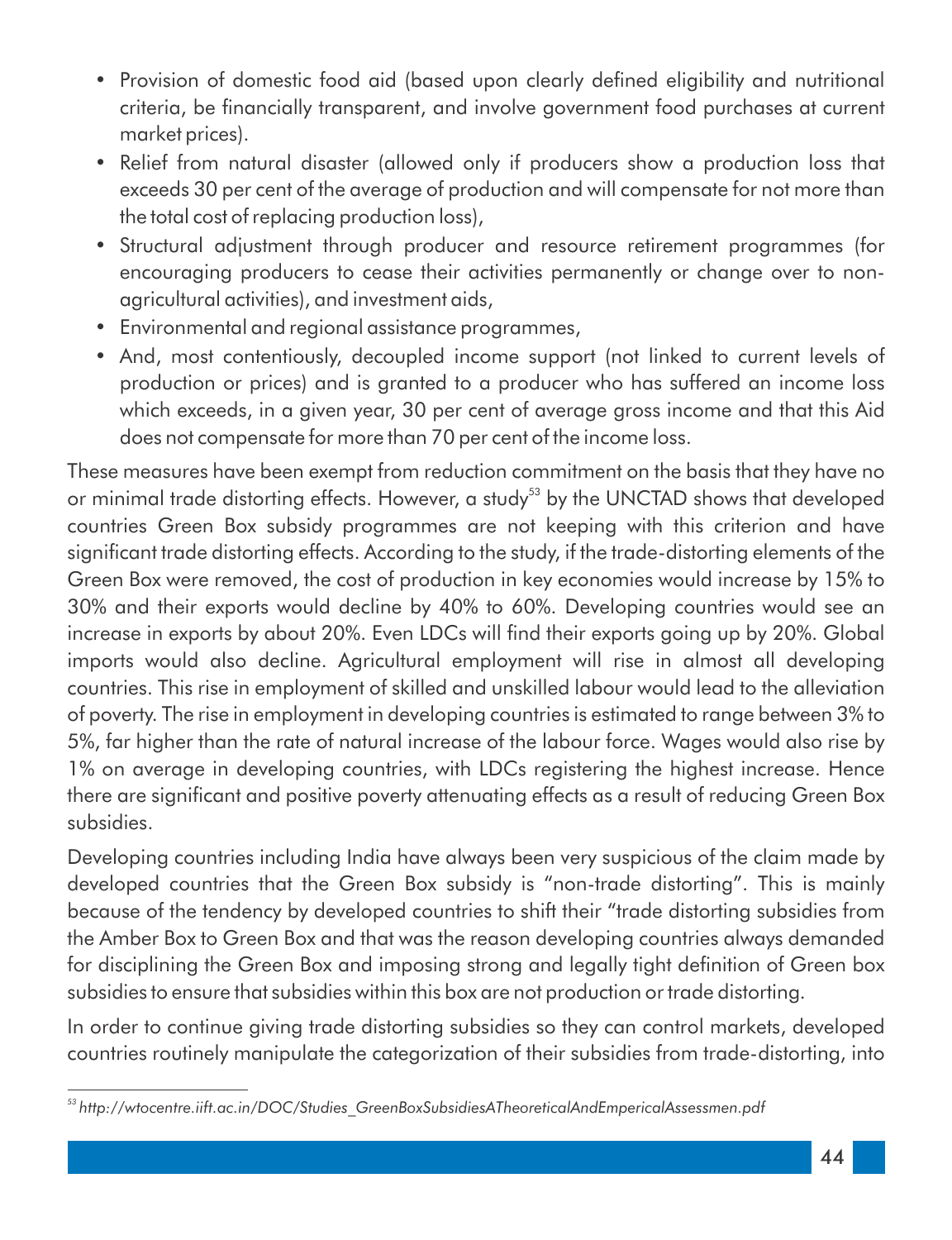- Provision of domestic food aid (based upon clearly defined eligibility and nutritional criteria, be financially transparent, and involve government food purchases at current market prices).
- Relief from natural disaster (allowed only if producers show a production loss that exceeds 30 per cent of the average of production and will compensate for not more than the total cost of replacing production loss),
- Structural adjustment through producer and resource retirement programmes (for encouraging producers to cease their activities permanently or change over to nonagricultural activities), and investment aids,
- Environmental and regional assistance programmes,
- And, most contentiously, decoupled income support (not linked to current levels of production or prices) and is granted to a producer who has suffered an income loss which exceeds, in a given year, 30 per cent of average gross income and that this Aid does not compensate for more than 70 per cent of the income loss.

These measures have been exempt from reduction commitment on the basis that they have no or minimal trade distorting effects. However, a study<sup>53</sup> by the UNCTAD shows that developed countries Green Box subsidy programmes are not keeping with this criterion and have significant trade distorting effects. According to the study, if the trade-distorting elements of the Green Box were removed, the cost of production in key economies would increase by 15% to 30% and their exports would decline by 40% to 60%. Developing countries would see an increase in exports by about 20%. Even LDCs will find their exports going up by 20%. Global imports would also decline. Agricultural employment will rise in almost all developing countries. This rise in employment of skilled and unskilled labour would lead to the alleviation of poverty. The rise in employment in developing countries is estimated to range between 3% to 5%, far higher than the rate of natural increase of the labour force. Wages would also rise by 1% on average in developing countries, with LDCs registering the highest increase. Hence there are significant and positive poverty attenuating effects as a result of reducing Green Box subsidies.

Developing countries including India have always been very suspicious of the claim made by developed countries that the Green Box subsidy is "non-trade distorting". This is mainly because of the tendency by developed countries to shift their "trade distorting subsidies from the Amber Box to Green Box and that was the reason developing countries always demanded for disciplining the Green Box and imposing strong and legally tight definition of Green box subsidies to ensure that subsidies within this box are not production or trade distorting.

In order to continue giving trade distorting subsidies so they can control markets, developed countries routinely manipulate the categorization of their subsidies from trade-distorting, into

*<sup>53</sup> http://wtocentre.iift.ac.in/DOC/Studies\_GreenBoxSubsidiesATheoreticalAndEmpericalAssessmen.pdf*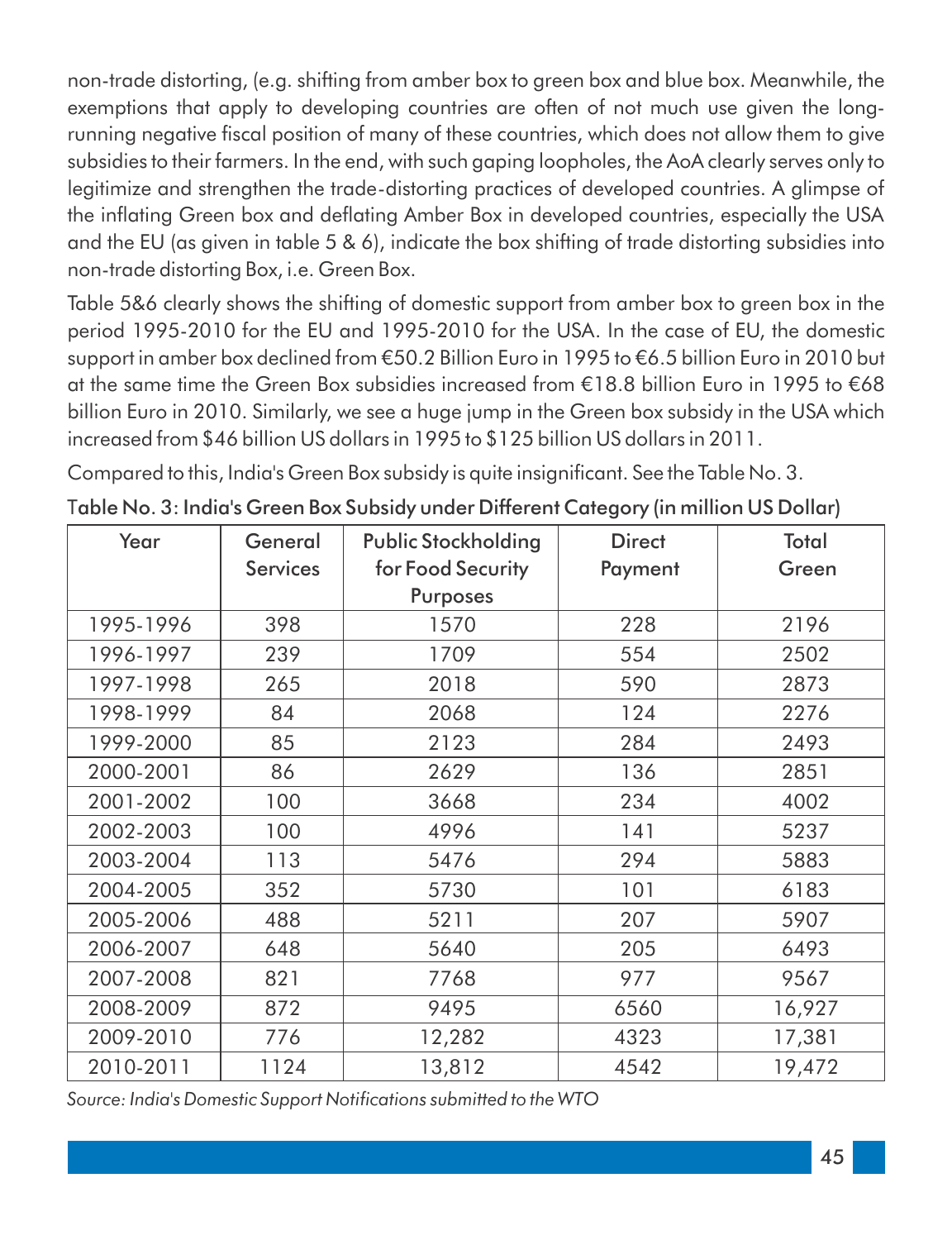non-trade distorting, (e.g. shifting from amber box to green box and blue box. Meanwhile, the exemptions that apply to developing countries are often of not much use given the longrunning negative fiscal position of many of these countries, which does not allow them to give subsidies to their farmers. In the end, with such gaping loopholes, the AoA clearly serves only to legitimize and strengthen the trade-distorting practices of developed countries. A glimpse of the inflating Green box and deflating Amber Box in developed countries, especially the USA and the EU (as given in table 5 & 6), indicate the box shifting of trade distorting subsidies into non-trade distorting Box, i.e. Green Box.

Table 5&6 clearly shows the shifting of domestic support from amber box to green box in the period 1995-2010 for the EU and 1995-2010 for the USA. In the case of EU, the domestic support in amber box declined from €50.2 Billion Euro in 1995 to €6.5 billion Euro in 2010 but at the same time the Green Box subsidies increased from  $E18.8$  billion Euro in 1995 to  $E68$ billion Euro in 2010. Similarly, we see a huge jump in the Green box subsidy in the USA which increased from \$46 billion US dollars in 1995 to \$125 billion US dollars in 2011.

Compared to this, India's Green Box subsidy is quite insignificant. See the Table No. 3.

| Year      | General         | <b>Public Stockholding</b> | <b>Direct</b> | Total  |
|-----------|-----------------|----------------------------|---------------|--------|
|           | <b>Services</b> | for Food Security          | Payment       | Green  |
|           |                 | <b>Purposes</b>            |               |        |
| 1995-1996 | 398             | 1570                       | 228           | 2196   |
| 1996-1997 | 239             | 1709                       | 554           | 2502   |
| 1997-1998 | 265             | 2018                       | 590           | 2873   |
| 1998-1999 | 84              | 2068                       | 124           | 2276   |
| 1999-2000 | 85              | 2123                       | 284           | 2493   |
| 2000-2001 | 86              | 2629                       | 136           | 2851   |
| 2001-2002 | 100             | 3668                       | 234           | 4002   |
| 2002-2003 | 100             | 4996                       | 141           | 5237   |
| 2003-2004 | 113             | 5476                       | 294           | 5883   |
| 2004-2005 | 352             | 5730                       | 101           | 6183   |
| 2005-2006 | 488             | 5211                       | 207           | 5907   |
| 2006-2007 | 648             | 5640                       | 205           | 6493   |
| 2007-2008 | 821             | 7768                       | 977           | 9567   |
| 2008-2009 | 872             | 9495                       | 6560          | 16,927 |
| 2009-2010 | 776             | 12,282                     | 4323          | 17,381 |
| 2010-2011 | 1124            | 13,812                     | 4542          | 19,472 |

Table No. 3: India's Green Box Subsidy under Different Category (in million US Dollar)

Source: India's Domestic Support Notifications submitted to the WTO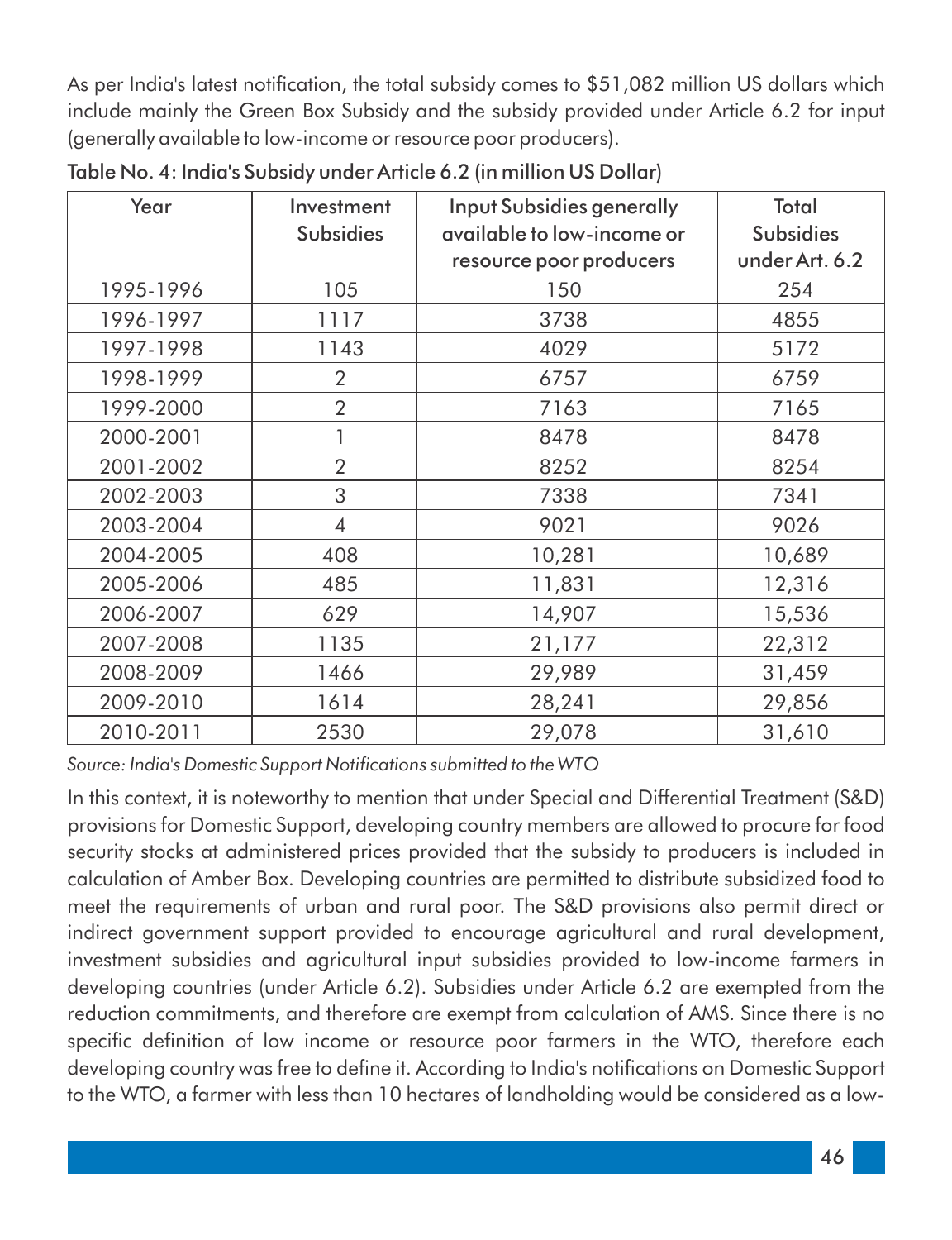As per India's latest notification, the total subsidy comes to \$51,082 million US dollars which include mainly the Green Box Subsidy and the subsidy provided under Article 6.2 for input (generally available to low-income or resource poor producers).

| Year      | Investment<br><b>Subsidies</b> | <b>Input Subsidies generally</b><br>available to low-income or<br>resource poor producers | Total<br><b>Subsidies</b><br>under Art. 6.2 |
|-----------|--------------------------------|-------------------------------------------------------------------------------------------|---------------------------------------------|
| 1995-1996 | 105                            | 150                                                                                       | 254                                         |
| 1996-1997 | 1117                           | 3738                                                                                      | 4855                                        |
| 1997-1998 | 1143                           | 4029                                                                                      | 5172                                        |
| 1998-1999 | $\overline{2}$                 | 6757                                                                                      | 6759                                        |
| 1999-2000 | $\overline{2}$                 | 7163                                                                                      | 7165                                        |
| 2000-2001 |                                | 8478                                                                                      | 8478                                        |
| 2001-2002 | $\overline{2}$                 | 8252                                                                                      | 8254                                        |
| 2002-2003 | 3                              | 7338                                                                                      | 7341                                        |
| 2003-2004 | $\overline{4}$                 | 9021                                                                                      | 9026                                        |
| 2004-2005 | 408                            | 10,281                                                                                    | 10,689                                      |
| 2005-2006 | 485                            | 11,831                                                                                    | 12,316                                      |
| 2006-2007 | 629                            | 14,907                                                                                    | 15,536                                      |
| 2007-2008 | 1135                           | 21,177                                                                                    | 22,312                                      |
| 2008-2009 | 1466                           | 29,989                                                                                    | 31,459                                      |
| 2009-2010 | 1614                           | 28,241                                                                                    | 29,856                                      |
| 2010-2011 | 2530                           | 29,078                                                                                    | 31,610                                      |

Table No. 4: India's Subsidy under Article 6.2 (in million US Dollar)

Source: India's Domestic Support Notifications submitted to the WTO

In this context, it is noteworthy to mention that under Special and Differential Treatment (S&D) provisions for Domestic Support, developing country members are allowed to procure for food security stocks at administered prices provided that the subsidy to producers is included in calculation of Amber Box. Developing countries are permitted to distribute subsidized food to meet the requirements of urban and rural poor. The S&D provisions also permit direct or indirect government support provided to encourage agricultural and rural development, investment subsidies and agricultural input subsidies provided to low-income farmers in developing countries (under Article 6.2). Subsidies under Article 6.2 are exempted from the reduction commitments, and therefore are exempt from calculation of AMS. Since there is no specific definition of low income or resource poor farmers in the WTO, therefore each developing country was free to define it. According to India's notifications on Domestic Support to the WTO, a farmer with less than 10 hectares of landholding would be considered as a low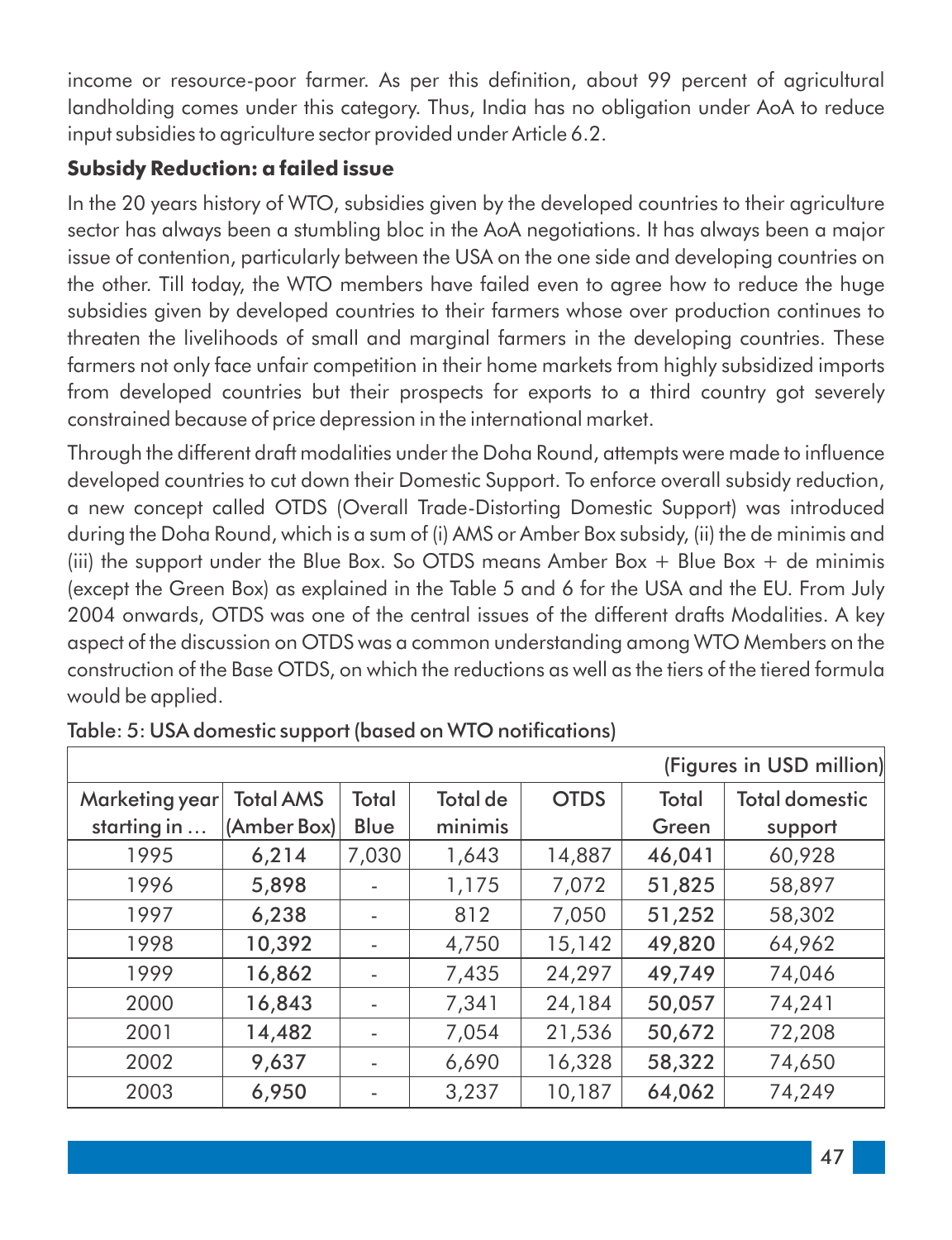income or resource-poor farmer. As per this definition, about 99 percent of agricultural landholding comes under this category. Thus, India has no obligation under AoA to reduce input subsidies to agriculture sector provided under Article 6.2.

#### **Subsidy Reduction: a failed issue**

In the 20 years history of WTO, subsidies given by the developed countries to their agriculture sector has always been a stumbling bloc in the AoA negotiations. It has always been a major issue of contention, particularly between the USA on the one side and developing countries on the other. Till today, the WTO members have failed even to agree how to reduce the huge subsidies given by developed countries to their farmers whose over production continues to threaten the livelihoods of small and marginal farmers in the developing countries. These farmers not only face unfair competition in their home markets from highly subsidized imports from developed countries but their prospects for exports to a third country got severely constrained because of price depression in the international market.

Through the different draft modalities under the Doha Round, attempts were made to influence developed countries to cut down their Domestic Support. To enforce overall subsidy reduction, a new concept called OTDS (Overall Trade-Distorting Domestic Support) was introduced during the Doha Round, which is a sum of (i) AMS or Amber Box subsidy, (ii) the de minimis and (iii) the support under the Blue Box. So OTDS means Amber Box  $+$  Blue Box  $+$  de minimis (except the Green Box) as explained in the Table 5 and 6 for the USA and the EU. From July 2004 onwards, OTDS was one of the central issues of the different drafts Modalities. A key aspect of the discussion on OTDS was a common understanding among WTO Members on the construction of the Base OTDS, on which the reductions as well as the tiers of the tiered formula would be applied.

| (Figures in USD million) |                  |       |                 |             |        |                       |  |
|--------------------------|------------------|-------|-----------------|-------------|--------|-----------------------|--|
| Marketing year           | <b>Total AMS</b> | Total | <b>Total de</b> | <b>OTDS</b> | Total  | <b>Total domestic</b> |  |
| starting in $\dots$      | (Amber Box)      | Blue  | minimis         |             | Green  | support               |  |
| 1995                     | 6,214            | 7,030 | 1,643           | 14,887      | 46,041 | 60,928                |  |
| 1996                     | 5,898            |       | 1,175           | 7,072       | 51,825 | 58,897                |  |
| 1997                     | 6,238            |       | 812             | 7,050       | 51,252 | 58,302                |  |
| 1998                     | 10,392           |       | 4,750           | 15,142      | 49,820 | 64,962                |  |
| 1999                     | 16,862           |       | 7,435           | 24,297      | 49,749 | 74,046                |  |
| 2000                     | 16,843           |       | 7,341           | 24,184      | 50,057 | 74,241                |  |
| 2001                     | 14,482           |       | 7,054           | 21,536      | 50,672 | 72,208                |  |
| 2002                     | 9,637            |       | 6,690           | 16,328      | 58,322 | 74,650                |  |
| 2003                     | 6,950            |       | 3,237           | 10,187      | 64,062 | 74,249                |  |

Table: 5: USA domestic support (based on WTO notifications)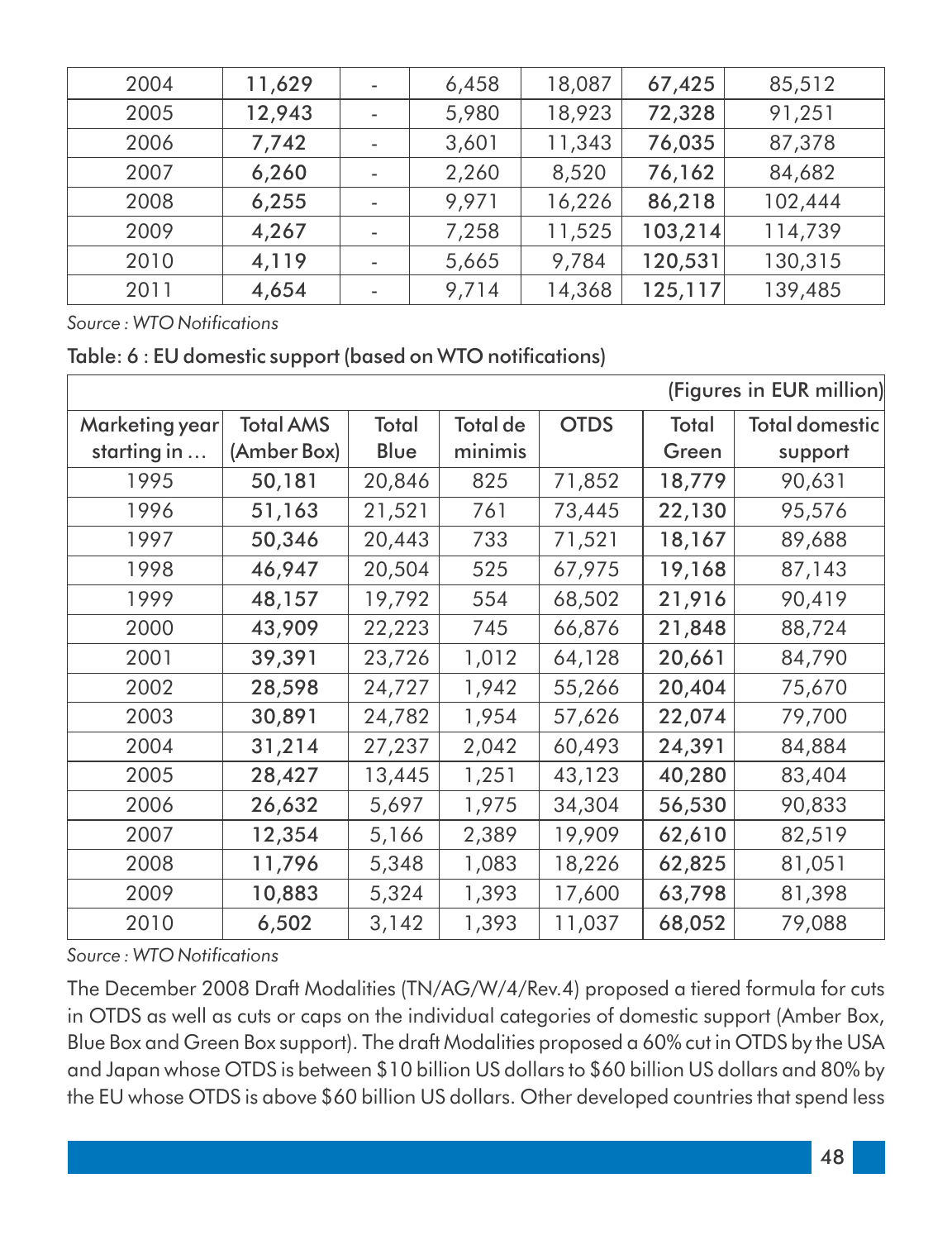| 2004 | 11,629 | 6,458 | 18,087 | 67,425  | 85,512  |
|------|--------|-------|--------|---------|---------|
| 2005 | 12,943 | 5,980 | 18,923 | 72,328  | 91,251  |
| 2006 | 7,742  | 3,601 | 11,343 | 76,035  | 87,378  |
| 2007 | 6,260  | 2,260 | 8,520  | 76,162  | 84,682  |
| 2008 | 6,255  | 9,971 | 16,226 | 86,218  | 102,444 |
| 2009 | 4,267  | 7,258 | 11,525 | 103,214 | 114,739 |
| 2010 | 4,119  | 5,665 | 9,784  | 120,531 | 130,315 |
| 2011 | 4,654  | 9,714 | 14,368 | 125,117 | 139,485 |

 $Source: WTO$  *Notifications* 

Table: 6 : EU domestic support (based on WTO notifications)

| (Figures in EUR million) |                  |        |                 |             |        |                       |
|--------------------------|------------------|--------|-----------------|-------------|--------|-----------------------|
| Marketing year           | <b>Total AMS</b> | Total  | <b>Total de</b> | <b>OTDS</b> | Total  | <b>Total domestic</b> |
| starting in              | (Amber Box)      | Blue   | minimis         |             | Green  | support               |
| 1995                     | 50,181           | 20,846 | 825             | 71,852      | 18,779 | 90,631                |
| 1996                     | 51,163           | 21,521 | 761             | 73,445      | 22,130 | 95,576                |
| 1997                     | 50,346           | 20,443 | 733             | 71,521      | 18,167 | 89,688                |
| 1998                     | 46,947           | 20,504 | 525             | 67,975      | 19,168 | 87,143                |
| 1999                     | 48,157           | 19,792 | 554             | 68,502      | 21,916 | 90,419                |
| 2000                     | 43,909           | 22,223 | 745             | 66,876      | 21,848 | 88,724                |
| 2001                     | 39,391           | 23,726 | 1,012           | 64,128      | 20,661 | 84,790                |
| 2002                     | 28,598           | 24,727 | 1,942           | 55,266      | 20,404 | 75,670                |
| 2003                     | 30,891           | 24,782 | 1,954           | 57,626      | 22,074 | 79,700                |
| 2004                     | 31,214           | 27,237 | 2,042           | 60,493      | 24,391 | 84,884                |
| 2005                     | 28,427           | 13,445 | 1,251           | 43,123      | 40,280 | 83,404                |
| 2006                     | 26,632           | 5,697  | 1,975           | 34,304      | 56,530 | 90,833                |
| 2007                     | 12,354           | 5,166  | 2,389           | 19,909      | 62,610 | 82,519                |
| 2008                     | 11,796           | 5,348  | 1,083           | 18,226      | 62,825 | 81,051                |
| 2009                     | 10,883           | 5,324  | 1,393           | 17,600      | 63,798 | 81,398                |
| 2010                     | 6,502            | 3,142  | 1,393           | 11,037      | 68,052 | 79,088                |

*Source : WTO Notications*

The December 2008 Draft Modalities (TN/AG/W/4/Rev.4) proposed a tiered formula for cuts in OTDS as well as cuts or caps on the individual categories of domestic support (Amber Box, Blue Box and Green Box support). The draft Modalities proposed a 60% cut in OTDS by the USA and Japan whose OTDS is between \$10 billion US dollars to \$60 billion US dollars and 80% by the EU whose OTDS is above \$60 billion US dollars. Other developed countries that spend less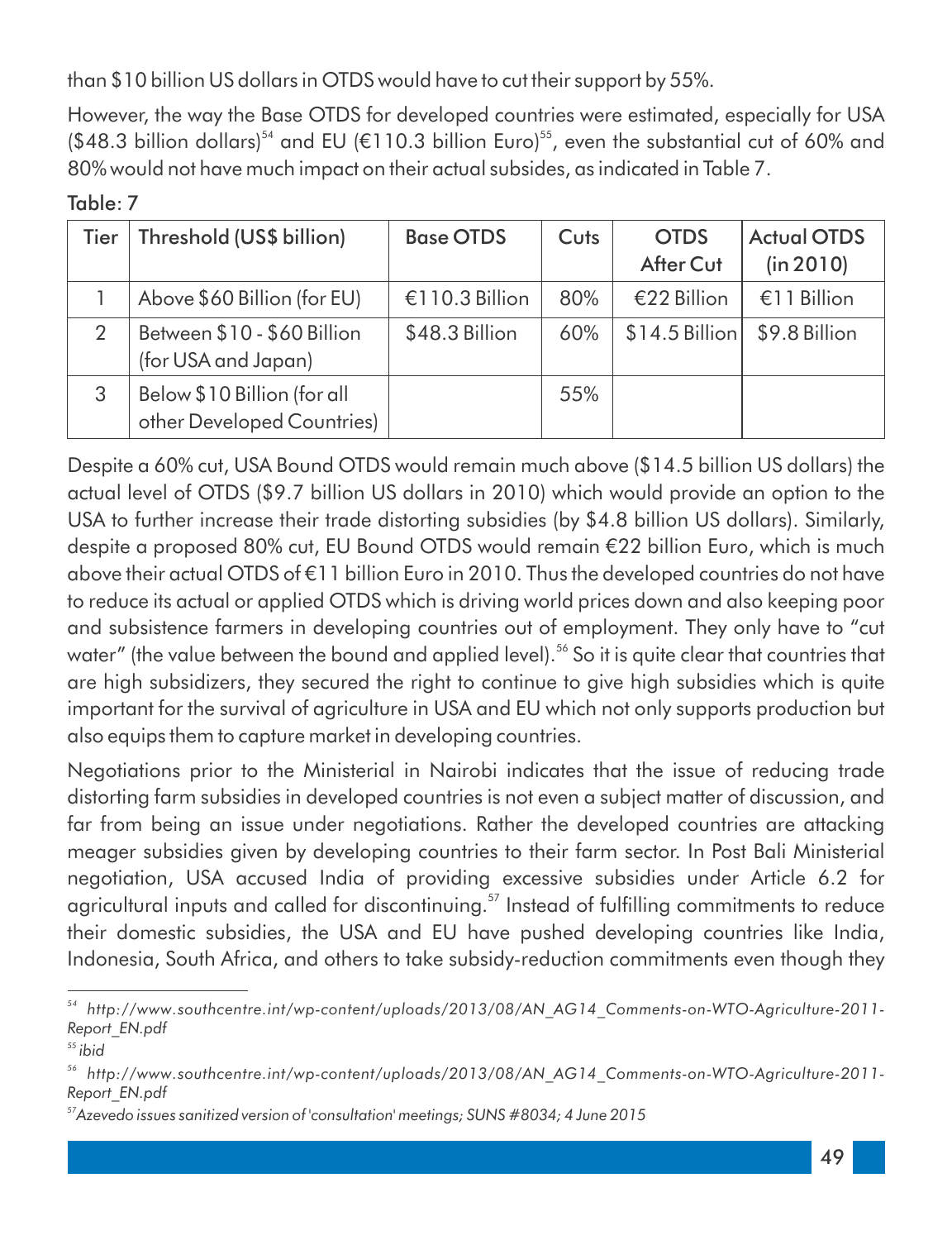than \$10 billion US dollars in OTDS would have to cut their support by 55%.

However, the way the Base OTDS for developed countries were estimated, especially for USA  $$48.3$  billion dollars)<sup>54</sup> and EU ( $$110.3$  billion Euro)<sup>55</sup>, even the substantial cut of 60% and 80% would not have much impact on their actual subsides, as indicated in Table 7.

| ۰ | . .<br>u. |  |
|---|-----------|--|
|   |           |  |

| Tier | Threshold (US\$ billion)                                  | <b>Base OTDS</b> | Cuts | <b>OTDS</b><br>After Cut | <b>Actual OTDS</b><br>(in 2010) |
|------|-----------------------------------------------------------|------------------|------|--------------------------|---------------------------------|
|      | Above \$60 Billion (for EU)                               | €110.3 Billion   | 80%  | €22 Billion              | €11 Billion                     |
| 2    | Between \$10 - \$60 Billion<br>(for USA and Japan)        | \$48.3 Billion   | 60%  | $$14.5$ Billion          | \$9.8 Billion                   |
| 3    | Below \$10 Billion (for all<br>other Developed Countries) |                  | 55%  |                          |                                 |

Despite a 60% cut, USA Bound OTDS would remain much above (\$14.5 billion US dollars) the actual level of OTDS (\$9.7 billion US dollars in 2010) which would provide an option to the USA to further increase their trade distorting subsidies (by \$4.8 billion US dollars). Similarly, despite a proposed 80% cut, EU Bound OTDS would remain €22 billion Euro, which is much above their actual OTDS of  $E$ 11 billion Euro in 2010. Thus the developed countries do not have to reduce its actual or applied OTDS which is driving world prices down and also keeping poor and subsistence farmers in developing countries out of employment. They only have to "cut water" (the value between the bound and applied level).<sup>56</sup> So it is quite clear that countries that are high subsidizers, they secured the right to continue to give high subsidies which is quite important for the survival of agriculture in USA and EU which not only supports production but also equips them to capture market in developing countries.

Negotiations prior to the Ministerial in Nairobi indicates that the issue of reducing trade distorting farm subsidies in developed countries is not even a subject matter of discussion, and far from being an issue under negotiations. Rather the developed countries are attacking meager subsidies given by developing countries to their farm sector. In Post Bali Ministerial negotiation, USA accused India of providing excessive subsidies under Article 6.2 for agricultural inputs and called for discontinuing.<sup>57</sup> Instead of fulfilling commitments to reduce their domestic subsidies, the USA and EU have pushed developing countries like India, Indonesia, South Africa, and others to take subsidy-reduction commitments even though they

*<sup>54</sup> http://www.southcentre.int/wp-content/uploads/2013/08/AN\_AG14\_Comments-on-WTO-Agriculture-2011- Report\_EN.pdf*

*<sup>55</sup> ibid*

*<sup>56</sup> http://www.southcentre.int/wp-content/uploads/2013/08/AN\_AG14\_Comments-on-WTO-Agriculture-2011- Report\_EN.pdf*

*<sup>57</sup>Azevedo issues sanitized version of 'consultation' meetings; SUNS #8034; 4 June 2015*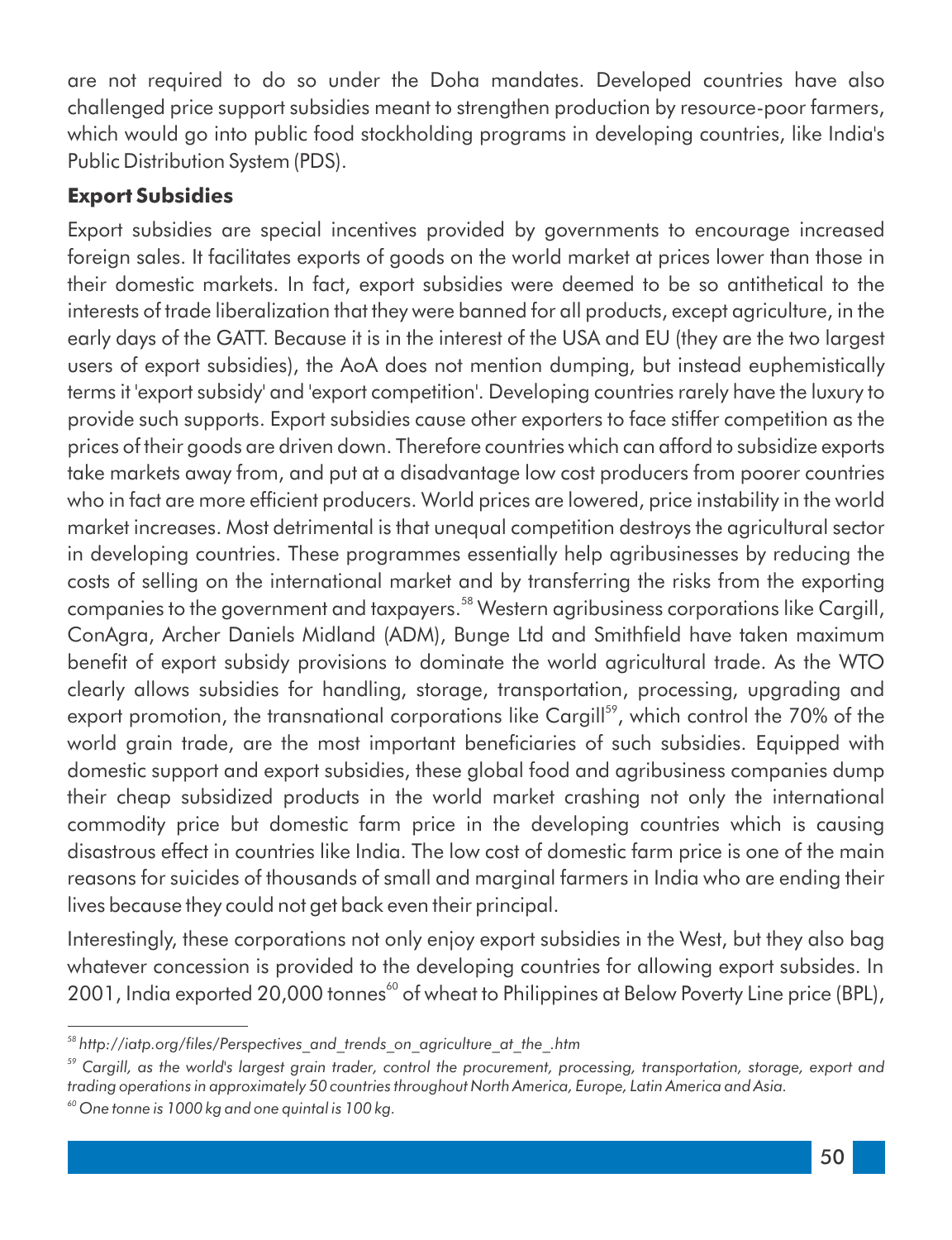are not required to do so under the Doha mandates. Developed countries have also challenged price support subsidies meant to strengthen production by resource-poor farmers, which would go into public food stockholding programs in developing countries, like India's Public Distribution System (PDS).

#### **Export Subsidies**

Export subsidies are special incentives provided by governments to encourage increased foreign sales. It facilitates exports of goods on the world market at prices lower than those in their domestic markets. In fact, export subsidies were deemed to be so antithetical to the interests of trade liberalization that they were banned for all products, except agriculture, in the early days of the GATT. Because it is in the interest of the USA and EU (they are the two largest users of export subsidies), the AoA does not mention dumping, but instead euphemistically terms it 'export subsidy' and 'export competition'. Developing countries rarely have the luxury to provide such supports. Export subsidies cause other exporters to face stiffer competition as the prices of their goods are driven down. Therefore countries which can afford to subsidize exports take markets away from, and put at a disadvantage low cost producers from poorer countries who in fact are more efficient producers. World prices are lowered, price instability in the world market increases. Most detrimental is that unequal competition destroys the agricultural sector in developing countries. These programmes essentially help agribusinesses by reducing the costs of selling on the international market and by transferring the risks from the exporting companies to the government and taxpayers.<sup>58</sup> Western agribusiness corporations like Cargill, ConAgra, Archer Daniels Midland (ADM), Bunge Ltd and Smithfield have taken maximum benefit of export subsidy provisions to dominate the world agricultural trade. As the WTO clearly allows subsidies for handling, storage, transportation, processing, upgrading and export promotion, the transnational corporations like Cargill<sup>59</sup>, which control the 70% of the world grain trade, are the most important beneficiaries of such subsidies. Equipped with domestic support and export subsidies, these global food and agribusiness companies dump their cheap subsidized products in the world market crashing not only the international commodity price but domestic farm price in the developing countries which is causing disastrous effect in countries like India. The low cost of domestic farm price is one of the main reasons for suicides of thousands of small and marginal farmers in India who are ending their lives because they could not get back even their principal.

Interestingly, these corporations not only enjoy export subsidies in the West, but they also bag whatever concession is provided to the developing countries for allowing export subsides. In 2001, India exported 20,000 tonnes<sup>60</sup> of wheat to Philippines at Below Poverty Line price (BPL),

<sup>&</sup>lt;sup>58</sup> http://iatp.org/files/Perspectives\_and\_trends\_on\_agriculture\_at\_the\_.htm

*<sup>59</sup> Cargill, as the world's largest grain trader, control the procurement, processing, transportation, storage, export and trading operations in approximately 50 countries throughout North America, Europe, Latin America and Asia.*

*<sup>60</sup> One tonne is 1000 kg and one quintal is 100 kg.*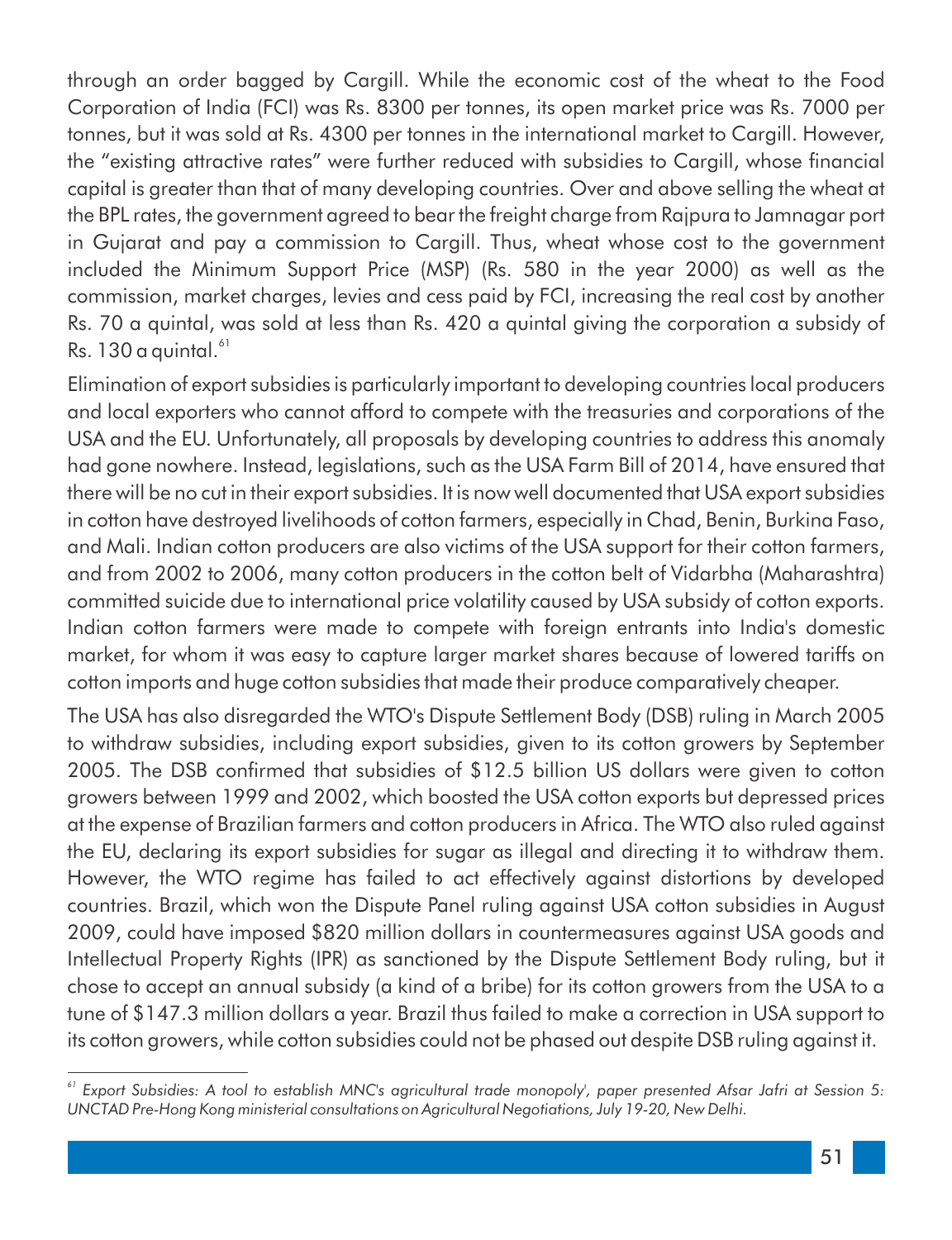through an order bagged by Cargill. While the economic cost of the wheat to the Food Corporation of India (FCI) was Rs. 8300 per tonnes, its open market price was Rs. 7000 per tonnes, but it was sold at Rs. 4300 per tonnes in the international market to Cargill. However, the "existing attractive rates" were further reduced with subsidies to Cargill, whose financial capital is greater than that of many developing countries. Over and above selling the wheat at the BPL rates, the government agreed to bear the freight charge from Rajpura to Jamnagar port in Gujarat and pay a commission to Cargill. Thus, wheat whose cost to the government included the Minimum Support Price (MSP) (Rs. 580 in the year 2000) as well as the commission, market charges, levies and cess paid by FCI, increasing the real cost by another Rs. 70 a quintal, was sold at less than Rs. 420 a quintal giving the corporation a subsidy of  $Rs. 130$  a quintal. $^{61}$ 

Elimination of export subsidies is particularly important to developing countries local producers and local exporters who cannot afford to compete with the treasuries and corporations of the USA and the EU. Unfortunately, all proposals by developing countries to address this anomaly had gone nowhere. Instead, legislations, such as the USA Farm Bill of 2014, have ensured that there will be no cut in their export subsidies. It is now well documented that USA export subsidies in cotton have destroyed livelihoods of cotton farmers, especially in Chad, Benin, Burkina Faso, and Mali. Indian cotton producers are also victims of the USA support for their cotton farmers, and from 2002 to 2006, many cotton producers in the cotton belt of Vidarbha (Maharashtra) committed suicide due to international price volatility caused by USA subsidy of cotton exports. Indian cotton farmers were made to compete with foreign entrants into India's domestic market, for whom it was easy to capture larger market shares because of lowered tariffs on cotton imports and huge cotton subsidies that made their produce comparatively cheaper.

The USA has also disregarded the WTO's Dispute Settlement Body (DSB) ruling in March 2005 to withdraw subsidies, including export subsidies, given to its cotton growers by September 2005. The DSB conrmed that subsidies of \$12.5 billion US dollars were given to cotton growers between 1999 and 2002, which boosted the USA cotton exports but depressed prices at the expense of Brazilian farmers and cotton producers in Africa. The WTO also ruled against the EU, declaring its export subsidies for sugar as illegal and directing it to withdraw them. However, the WTO regime has failed to act effectively against distortions by developed countries. Brazil, which won the Dispute Panel ruling against USA cotton subsidies in August 2009, could have imposed \$820 million dollars in countermeasures against USA goods and Intellectual Property Rights (IPR) as sanctioned by the Dispute Settlement Body ruling, but it chose to accept an annual subsidy (a kind of a bribe) for its cotton growers from the USA to a tune of \$147.3 million dollars a year. Brazil thus failed to make a correction in USA support to its cotton growers, while cotton subsidies could not be phased out despite DSB ruling against it.

*<sup>61</sup> Export Subsidies: A tool to establish MNC's agricultural trade monopoly', paper presented Afsar Jafri at Session 5: UNCTAD Pre-Hong Kong ministerial consultations on Agricultural Negotiations, July 19-20, New Delhi.*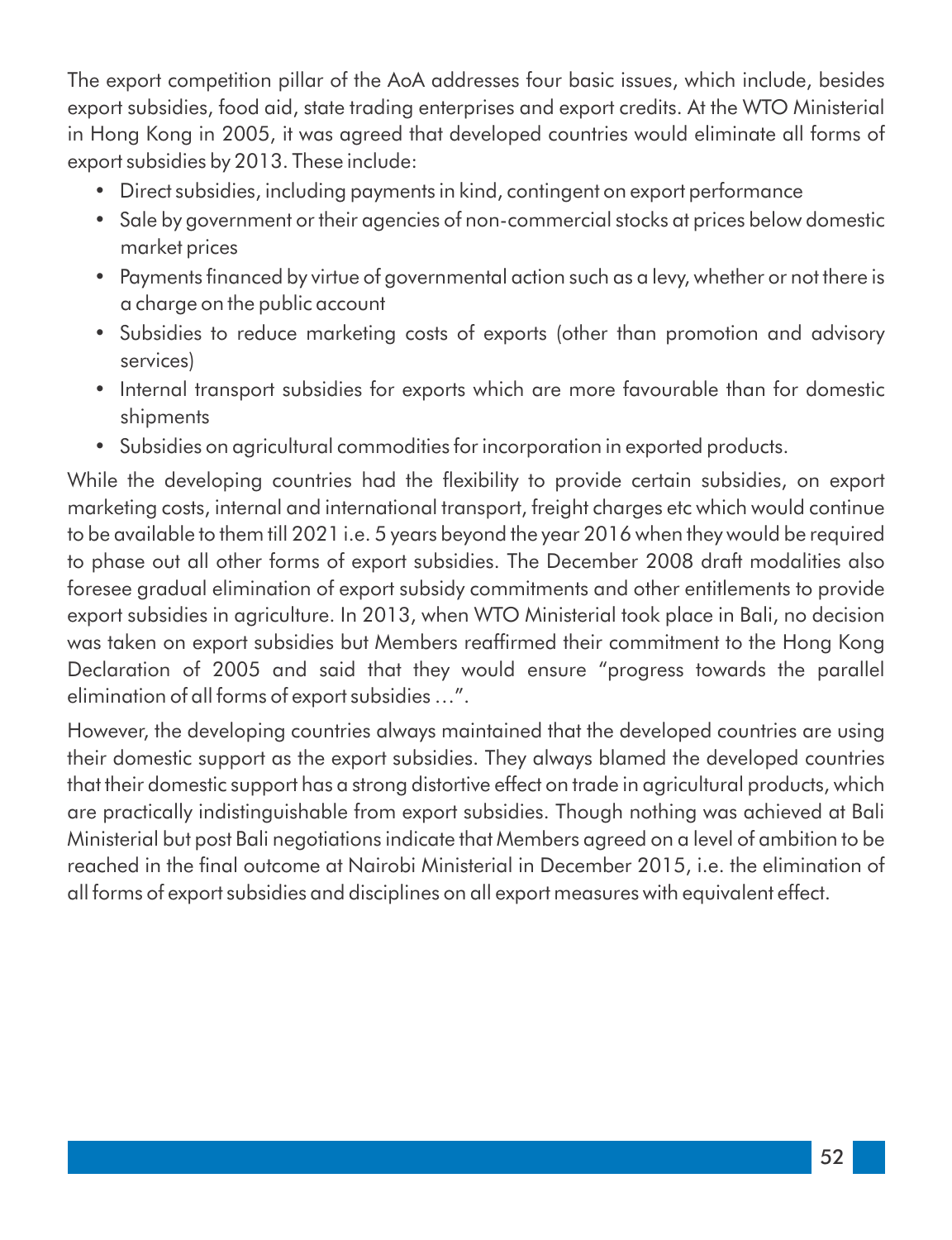The export competition pillar of the AoA addresses four basic issues, which include, besides export subsidies, food aid, state trading enterprises and export credits. At the WTO Ministerial in Hong Kong in 2005, it was agreed that developed countries would eliminate all forms of export subsidies by 2013. These include:

- Direct subsidies, including payments in kind, contingent on export performance
- Sale by government or their agencies of non-commercial stocks at prices below domestic market prices
- Payments financed by virtue of governmental action such as a levy, whether or not there is a charge on the public account
- Subsidies to reduce marketing costs of exports (other than promotion and advisory services)
- Internal transport subsidies for exports which are more favourable than for domestic shipments
- Subsidies on agricultural commodities for incorporation in exported products.

While the developing countries had the flexibility to provide certain subsidies, on export marketing costs, internal and international transport, freight charges etc which would continue to be available to them till 2021 i.e. 5 years beyond the year 2016 when they would be required to phase out all other forms of export subsidies. The December 2008 draft modalities also foresee gradual elimination of export subsidy commitments and other entitlements to provide export subsidies in agriculture. In 2013, when WTO Ministerial took place in Bali, no decision was taken on export subsidies but Members reafrmed their commitment to the Hong Kong Declaration of 2005 and said that they would ensure "progress towards the parallel elimination of all forms of export subsidies …".

However, the developing countries always maintained that the developed countries are using their domestic support as the export subsidies. They always blamed the developed countries that their domestic support has a strong distortive effect on trade in agricultural products, which are practically indistinguishable from export subsidies. Though nothing was achieved at Bali Ministerial but post Bali negotiations indicate that Members agreed on a level of ambition to be reached in the final outcome at Nairobi Ministerial in December 2015, i.e. the elimination of all forms of export subsidies and disciplines on all export measures with equivalent effect.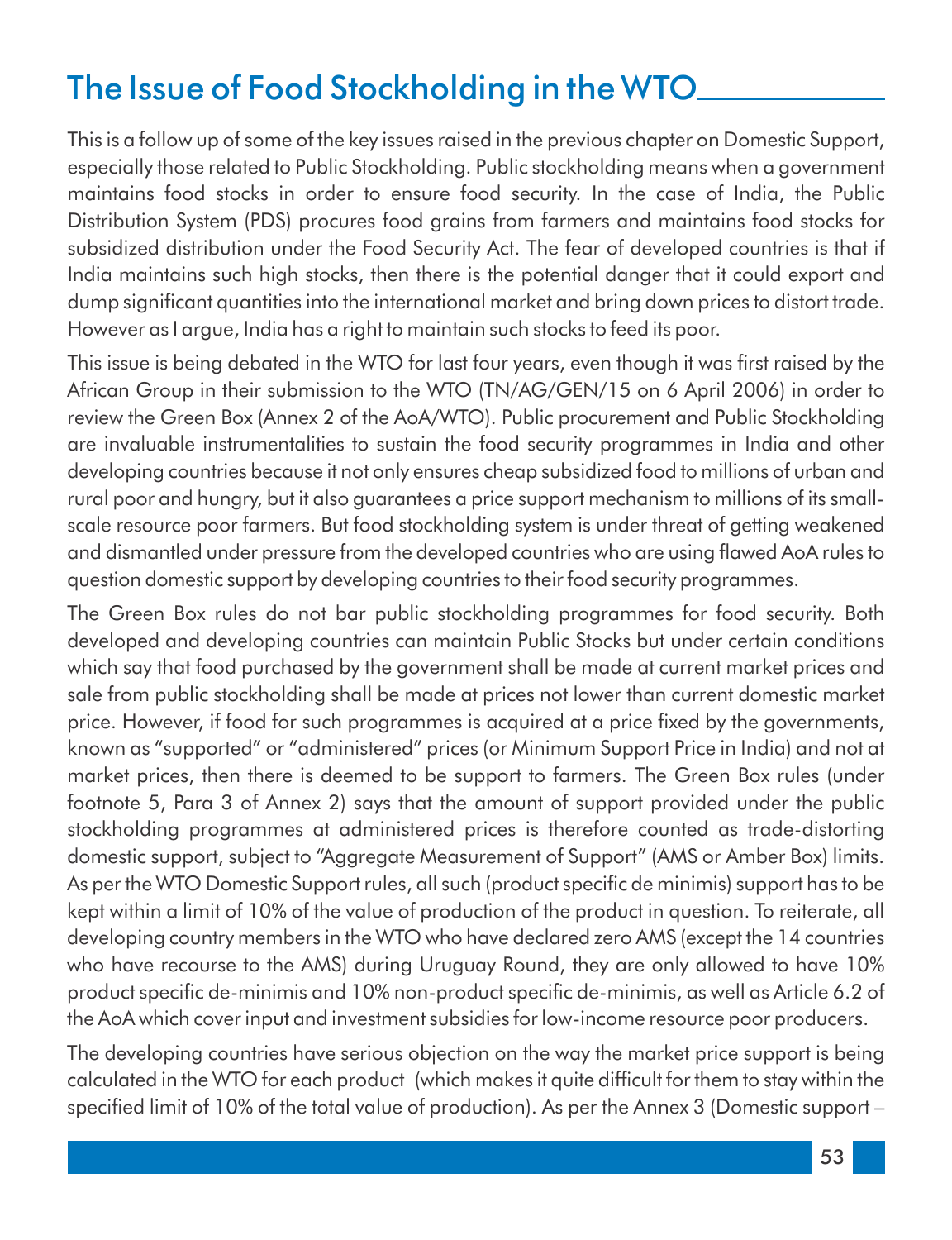## The Issue of Food Stockholding in the WTO

This is a follow up of some of the key issues raised in the previous chapter on Domestic Support, especially those related to Public Stockholding. Public stockholding means when a government maintains food stocks in order to ensure food security. In the case of India, the Public Distribution System (PDS) procures food grains from farmers and maintains food stocks for subsidized distribution under the Food Security Act. The fear of developed countries is that if India maintains such high stocks, then there is the potential danger that it could export and dump significant quantities into the international market and bring down prices to distort trade. However as I argue, India has a right to maintain such stocks to feed its poor.

This issue is being debated in the WTO for last four years, even though it was first raised by the African Group in their submission to the WTO (TN/AG/GEN/15 on 6 April 2006) in order to review the Green Box (Annex 2 of the AoA/WTO). Public procurement and Public Stockholding are invaluable instrumentalities to sustain the food security programmes in India and other developing countries because it not only ensures cheap subsidized food to millions of urban and rural poor and hungry, but it also guarantees a price support mechanism to millions of its smallscale resource poor farmers. But food stockholding system is under threat of getting weakened and dismantled under pressure from the developed countries who are using flawed AoA rules to question domestic support by developing countries to their food security programmes.

The Green Box rules do not bar public stockholding programmes for food security. Both developed and developing countries can maintain Public Stocks but under certain conditions which say that food purchased by the government shall be made at current market prices and sale from public stockholding shall be made at prices not lower than current domestic market price. However, if food for such programmes is acquired at a price fixed by the governments, known as "supported" or "administered" prices (or Minimum Support Price in India) and not at market prices, then there is deemed to be support to farmers. The Green Box rules (under footnote 5, Para 3 of Annex 2) says that the amount of support provided under the public stockholding programmes at administered prices is therefore counted as trade-distorting domestic support, subject to "Aggregate Measurement of Support" (AMS or Amber Box) limits. As per the WTO Domestic Support rules, all such (product specific de minimis) support has to be kept within a limit of 10% of the value of production of the product in question. To reiterate, all developing country members in the WTO who have declared zero AMS (except the 14 countries who have recourse to the AMS) during Uruguay Round, they are only allowed to have 10% product specific de-minimis and 10% non-product specific de-minimis, as well as Article 6.2 of the AoA which cover input and investment subsidies for low-income resource poor producers.

The developing countries have serious objection on the way the market price support is being calculated in the WTO for each product (which makes it quite difficult for them to stay within the specified limit of 10% of the total value of production). As per the Annex 3 (Domestic support –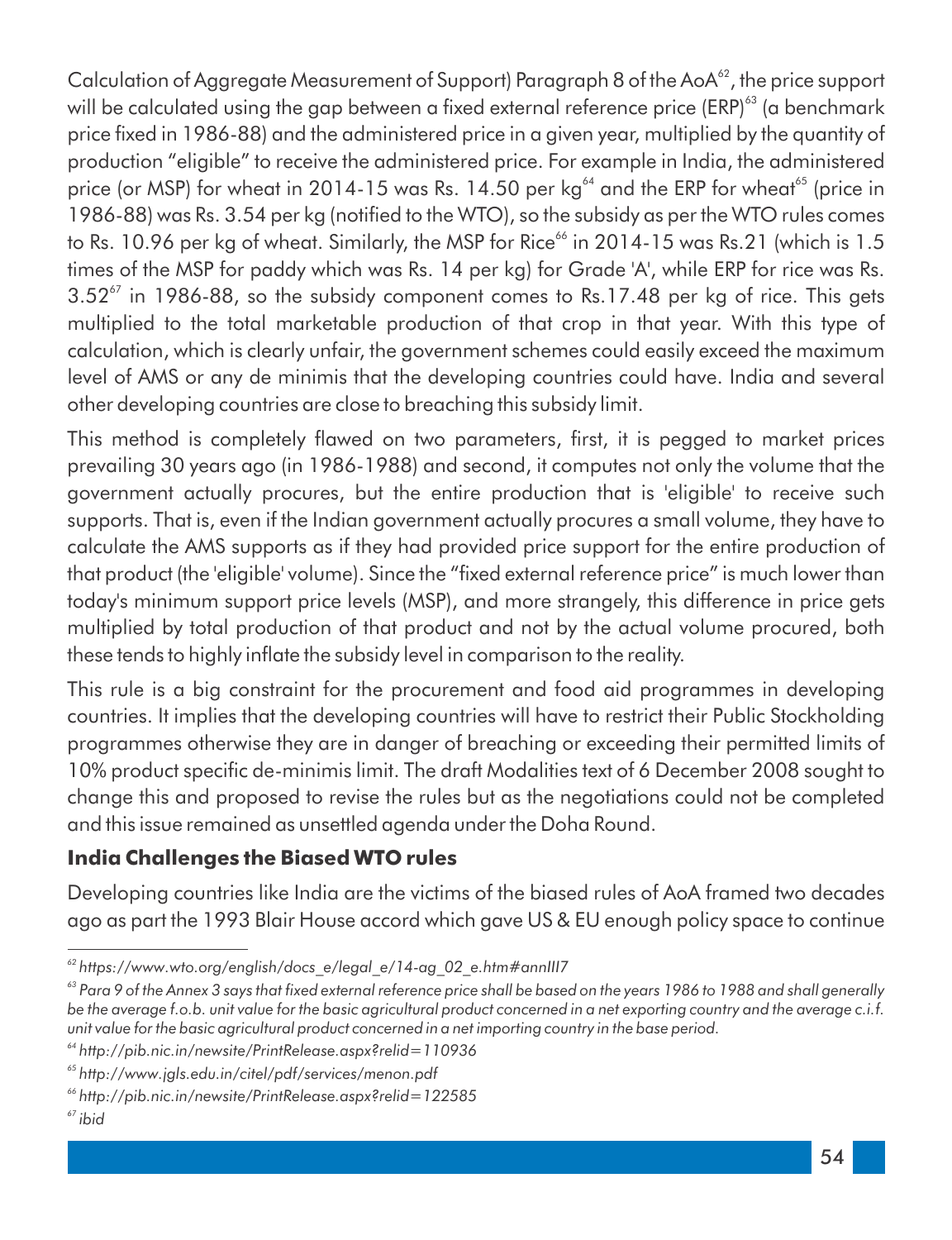Calculation of Aggregate Measurement of Support) Paragraph 8 of the AoA<sup>62</sup>, the price support will be calculated using the gap between a fixed external reference price (ERP)<sup>63</sup> (a benchmark price fixed in 1986-88) and the administered price in a given year, multiplied by the quantity of production "eligible" to receive the administered price. For example in India, the administered price (or MSP) for wheat in 2014-15 was Rs. 14.50 per  $kg<sup>64</sup>$  and the ERP for wheat<sup>65</sup> (price in 1986-88) was Rs. 3.54 per kg (notified to the WTO), so the subsidy as per the WTO rules comes to Rs. 10.96 per kg of wheat. Similarly, the MSP for Rice<sup>66</sup> in 2014-15 was Rs.21 (which is 1.5 times of the MSP for paddy which was Rs. 14 per kg) for Grade 'A', while ERP for rice was Rs.  $3.52<sup>67</sup>$  in 1986-88, so the subsidy component comes to Rs.17.48 per kg of rice. This gets multiplied to the total marketable production of that crop in that year. With this type of calculation, which is clearly unfair, the government schemes could easily exceed the maximum level of AMS or any de minimis that the developing countries could have. India and several other developing countries are close to breaching this subsidy limit.

This method is completely flawed on two parameters, first, it is pegged to market prices prevailing 30 years ago (in 1986-1988) and second, it computes not only the volume that the government actually procures, but the entire production that is 'eligible' to receive such supports. That is, even if the Indian government actually procures a small volume, they have to calculate the AMS supports as if they had provided price support for the entire production of that product (the 'eligible' volume). Since the "fixed external reference price" is much lower than today's minimum support price levels (MSP), and more strangely, this difference in price gets multiplied by total production of that product and not by the actual volume procured, both these tends to highly inflate the subsidy level in comparison to the reality.

This rule is a big constraint for the procurement and food aid programmes in developing countries. It implies that the developing countries will have to restrict their Public Stockholding programmes otherwise they are in danger of breaching or exceeding their permitted limits of 10% product specific de-minimis limit. The draft Modalities text of 6 December 2008 sought to change this and proposed to revise the rules but as the negotiations could not be completed and this issue remained as unsettled agenda under the Doha Round.

#### **India Challenges the Biased WTO rules**

Developing countries like India are the victims of the biased rules of AoA framed two decades ago as part the 1993 Blair House accord which gave US & EU enough policy space to continue

*<sup>62</sup> https://www.wto.org/english/docs\_e/legal\_e/14-ag\_02\_e.htm#annIII7*

<sup>&</sup>lt;sup>63</sup> Para 9 of the Annex 3 says that fixed external reference price shall be based on the years 1986 to 1988 and shall generally *be the average f.o.b. unit value for the basic agricultural product concerned in a net exporting country and the average c.i.f. unit value for the basic agricultural product concerned in a net importing country in the base period.*

*<sup>64</sup> http://pib.nic.in/newsite/PrintRelease.aspx?relid=110936*

*<sup>65</sup> http://www.jgls.edu.in/citel/pdf/services/menon.pdf*

*<sup>66</sup> http://pib.nic.in/newsite/PrintRelease.aspx?relid=122585*

*<sup>67</sup> ibid*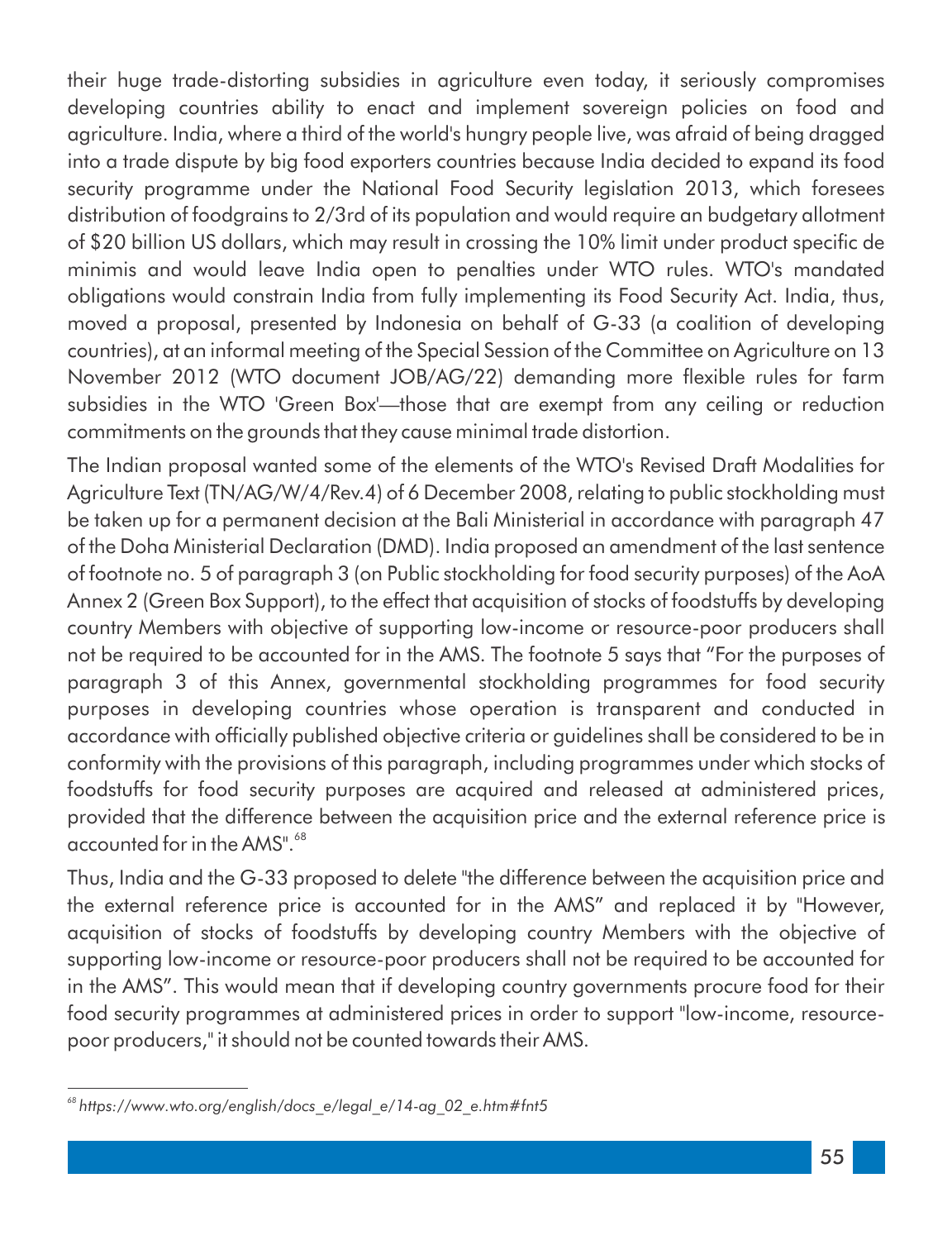their huge trade-distorting subsidies in agriculture even today, it seriously compromises developing countries ability to enact and implement sovereign policies on food and agriculture. India, where a third of the world's hungry people live, was afraid of being dragged into a trade dispute by big food exporters countries because India decided to expand its food security programme under the National Food Security legislation 2013, which foresees distribution of foodgrains to 2/3rd of its population and would require an budgetary allotment of \$20 billion US dollars, which may result in crossing the 10% limit under product specific de minimis and would leave India open to penalties under WTO rules. WTO's mandated obligations would constrain India from fully implementing its Food Security Act. India, thus, moved a proposal, presented by Indonesia on behalf of G-33 (a coalition of developing countries), at an informal meeting of the Special Session of the Committee on Agriculture on 13 November 2012 (WTO document JOB/AG/22) demanding more flexible rules for farm subsidies in the WTO 'Green Box'—those that are exempt from any ceiling or reduction commitments on the grounds that they cause minimal trade distortion.

The Indian proposal wanted some of the elements of the WTO's Revised Draft Modalities for Agriculture Text (TN/AG/W/4/Rev.4) of 6 December 2008, relating to public stockholding must be taken up for a permanent decision at the Bali Ministerial in accordance with paragraph 47 of the Doha Ministerial Declaration (DMD). India proposed an amendment of the last sentence of footnote no. 5 of paragraph 3 (on Public stockholding for food security purposes) of the AoA Annex 2 (Green Box Support), to the effect that acquisition of stocks of foodstuffs by developing country Members with objective of supporting low-income or resource-poor producers shall not be required to be accounted for in the AMS. The footnote 5 says that "For the purposes of paragraph 3 of this Annex, governmental stockholding programmes for food security purposes in developing countries whose operation is transparent and conducted in accordance with officially published objective criteria or guidelines shall be considered to be in conformity with the provisions of this paragraph, including programmes under which stocks of foodstuffs for food security purposes are acquired and released at administered prices, provided that the difference between the acquisition price and the external reference price is accounted for in the AMS".<sup>68</sup>

Thus, India and the G-33 proposed to delete "the difference between the acquisition price and the external reference price is accounted for in the AMS" and replaced it by "However, acquisition of stocks of foodstuffs by developing country Members with the objective of supporting low-income or resource-poor producers shall not be required to be accounted for in the AMS". This would mean that if developing country governments procure food for their food security programmes at administered prices in order to support "low-income, resourcepoor producers," it should not be counted towards their AMS.

*<sup>68</sup> https://www.wto.org/english/docs\_e/legal\_e/14-ag\_02\_e.htm#fnt5*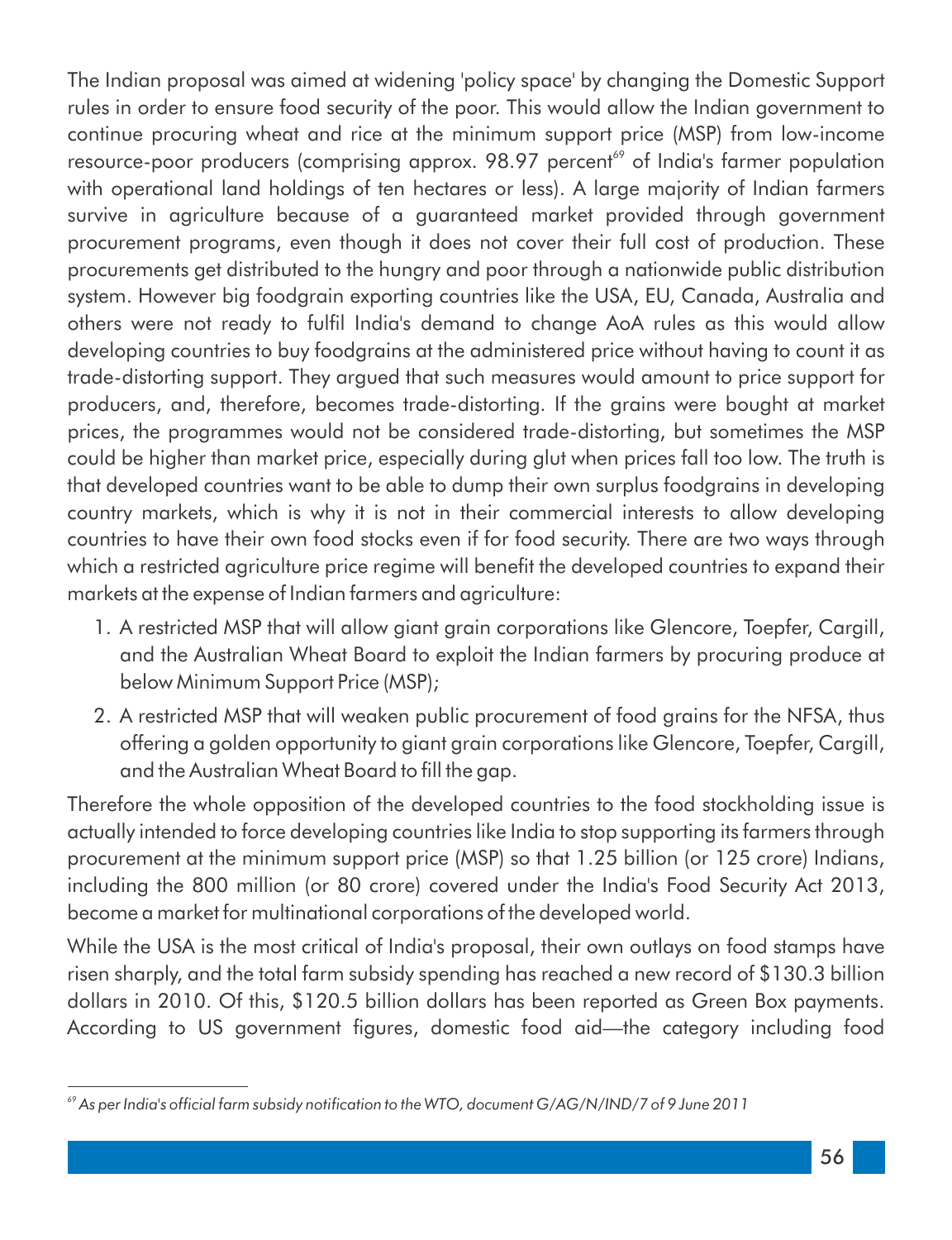The Indian proposal was aimed at widening 'policy space' by changing the Domestic Support rules in order to ensure food security of the poor. This would allow the Indian government to continue procuring wheat and rice at the minimum support price (MSP) from low-income resource-poor producers (comprising approx. 98.97 percent<sup>69</sup> of India's farmer population with operational land holdings of ten hectares or less). A large majority of Indian farmers survive in agriculture because of a guaranteed market provided through government procurement programs, even though it does not cover their full cost of production. These procurements get distributed to the hungry and poor through a nationwide public distribution system. However big foodgrain exporting countries like the USA, EU, Canada, Australia and others were not ready to full India's demand to change AoA rules as this would allow developing countries to buy foodgrains at the administered price without having to count it as trade-distorting support. They argued that such measures would amount to price support for producers, and, therefore, becomes trade-distorting. If the grains were bought at market prices, the programmes would not be considered trade-distorting, but sometimes the MSP could be higher than market price, especially during glut when prices fall too low. The truth is that developed countries want to be able to dump their own surplus foodgrains in developing country markets, which is why it is not in their commercial interests to allow developing countries to have their own food stocks even if for food security. There are two ways through which a restricted agriculture price regime will benefit the developed countries to expand their markets at the expense of Indian farmers and agriculture:

- 1. A restricted MSP that will allow giant grain corporations like Glencore, Toepfer, Cargill, and the Australian Wheat Board to exploit the Indian farmers by procuring produce at below Minimum Support Price (MSP);
- 2. A restricted MSP that will weaken public procurement of food grains for the NFSA, thus offering a golden opportunity to giant grain corporations like Glencore, Toepfer, Cargill, and the Australian Wheat Board to fill the gap.

Therefore the whole opposition of the developed countries to the food stockholding issue is actually intended to force developing countries like India to stop supporting its farmers through procurement at the minimum support price (MSP) so that 1.25 billion (or 125 crore) Indians, including the 800 million (or 80 crore) covered under the India's Food Security Act 2013, become a market for multinational corporations of the developed world.

While the USA is the most critical of India's proposal, their own outlays on food stamps have risen sharply, and the total farm subsidy spending has reached a new record of \$130.3 billion dollars in 2010. Of this, \$120.5 billion dollars has been reported as Green Box payments. According to US government figures, domestic food aid—the category including food

<sup>&</sup>lt;sup>69</sup> As per India's official farm subsidy notification to the WTO, document G/AG/N/IND/7 of 9 June 2011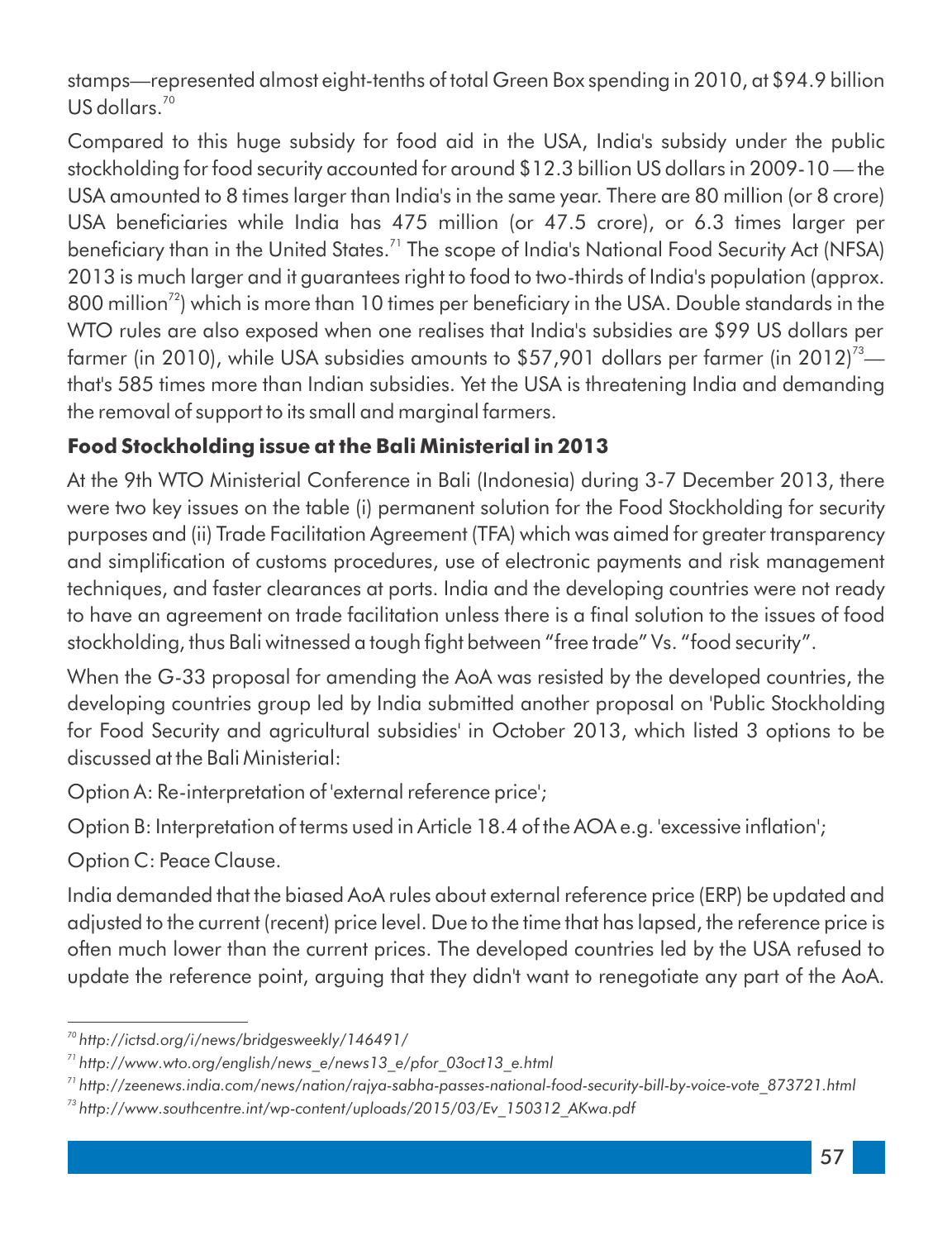stamps—represented almost eight-tenths of total Green Box spending in 2010, at \$94.9 billion  $US$  dollars.<sup>70</sup>

Compared to this huge subsidy for food aid in the USA, India's subsidy under the public stockholding for food security accounted for around \$12.3 billion US dollars in 2009-10 — the USA amounted to 8 times larger than India's in the same year. There are 80 million (or 8 crore) USA beneficiaries while India has 475 million (or 47.5 crore), or 6.3 times larger per beneficiary than in the United States.<sup>71</sup> The scope of India's National Food Security Act (NFSA) 2013 is much larger and it guarantees right to food to two-thirds of India's population (approx. 800 million<sup> $72$ </sup>) which is more than 10 times per beneficiary in the USA. Double standards in the WTO rules are also exposed when one realises that India's subsidies are \$99 US dollars per farmer (in 2010), while USA subsidies amounts to \$57,901 dollars per farmer (in 2012)<sup>73</sup> that's 585 times more than Indian subsidies. Yet the USA is threatening India and demanding the removal of support to its small and marginal farmers.

#### **Food Stockholding issue at the Bali Ministerial in 2013**

At the 9th WTO Ministerial Conference in Bali (Indonesia) during 3-7 December 2013, there were two key issues on the table (i) permanent solution for the Food Stockholding for security purposes and (ii) Trade Facilitation Agreement (TFA) which was aimed for greater transparency and simplication of customs procedures, use of electronic payments and risk management techniques, and faster clearances at ports. India and the developing countries were not ready to have an agreement on trade facilitation unless there is a final solution to the issues of food stockholding, thus Bali witnessed a tough fight between "free trade" Vs. "food security".

When the G-33 proposal for amending the AoA was resisted by the developed countries, the developing countries group led by India submitted another proposal on 'Public Stockholding for Food Security and agricultural subsidies' in October 2013, which listed 3 options to be discussed at the Bali Ministerial:

Option A: Re-interpretation of 'external reference price';

Option B: Interpretation of terms used in Article 18.4 of the AOA e.g. 'excessive inflation';

Option C: Peace Clause.

India demanded that the biased AoA rules about external reference price (ERP) be updated and adjusted to the current (recent) price level. Due to the time that has lapsed, the reference price is often much lower than the current prices. The developed countries led by the USA refused to update the reference point, arguing that they didn't want to renegotiate any part of the AoA.

*<sup>70</sup> http://ictsd.org/i/news/bridgesweekly/146491/*

*<sup>71</sup> http://www.wto.org/english/news\_e/news13\_e/pfor\_03oct13\_e.html*

*<sup>71</sup> http://zeenews.india.com/news/nation/rajya-sabha-passes-national-food-security-bill-by-voice-vote\_873721.html*

*<sup>73</sup> http://www.southcentre.int/wp-content/uploads/2015/03/Ev\_150312\_AKwa.pdf*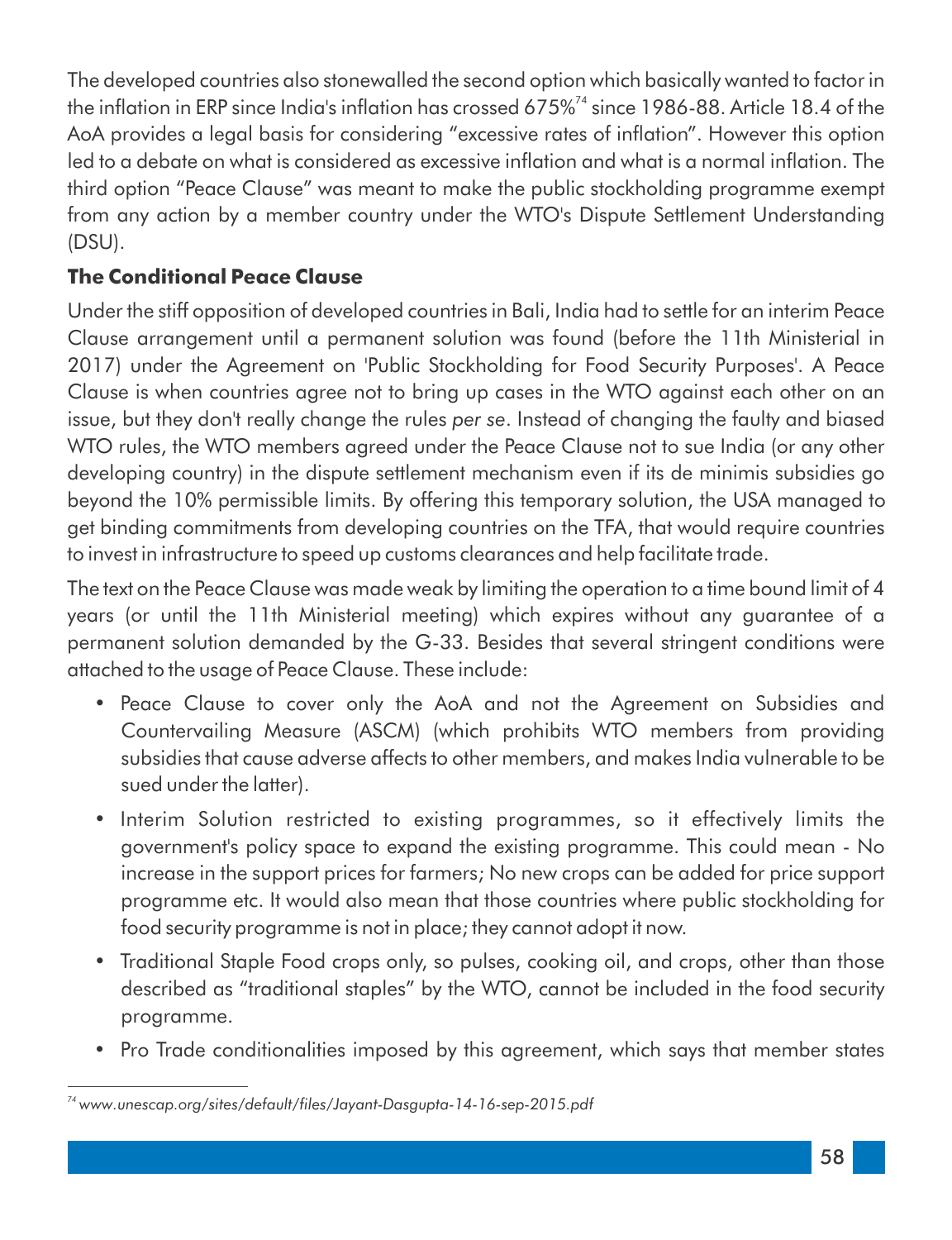The developed countries also stonewalled the second option which basically wanted to factor in the inflation in ERP since India's inflation has crossed 675%<sup> $74$ </sup> since 1986-88. Article 18.4 of the AoA provides a legal basis for considering "excessive rates of inflation". However this option led to a debate on what is considered as excessive inflation and what is a normal inflation. The third option "Peace Clause" was meant to make the public stockholding programme exempt from any action by a member country under the WTO's Dispute Settlement Understanding (DSU).

#### **The Conditional Peace Clause**

Under the stiff opposition of developed countries in Bali, India had to settle for an interim Peace Clause arrangement until a permanent solution was found (before the 11th Ministerial in 2017) under the Agreement on 'Public Stockholding for Food Security Purposes'. A Peace Clause is when countries agree not to bring up cases in the WTO against each other on an issue, but they don't really change the rules *per se*. Instead of changing the faulty and biased WTO rules, the WTO members agreed under the Peace Clause not to sue India (or any other developing country) in the dispute settlement mechanism even if its de minimis subsidies go beyond the 10% permissible limits. By offering this temporary solution, the USA managed to get binding commitments from developing countries on the TFA, that would require countries to invest in infrastructure to speed up customs clearances and help facilitate trade.

The text on the Peace Clause was made weak by limiting the operation to a time bound limit of 4 years (or until the 11th Ministerial meeting) which expires without any guarantee of a permanent solution demanded by the G-33. Besides that several stringent conditions were attached to the usage of Peace Clause. These include:

- Peace Clause to cover only the AoA and not the Agreement on Subsidies and Countervailing Measure (ASCM) (which prohibits WTO members from providing subsidies that cause adverse affects to other members, and makes India vulnerable to be sued under the latter).
- Interim Solution restricted to existing programmes, so it effectively limits the government's policy space to expand the existing programme. This could mean - No increase in the support prices for farmers; No new crops can be added for price support programme etc. It would also mean that those countries where public stockholding for food security programme is not in place; they cannot adopt it now.
- Traditional Staple Food crops only, so pulses, cooking oil, and crops, other than those described as "traditional staples" by the WTO, cannot be included in the food security programme.
- Pro Trade conditionalities imposed by this agreement, which says that member states

*<sup>74</sup> www.unescap.org/sites/default/les/Jayant-Dasgupta-14-16-sep-2015.pdf*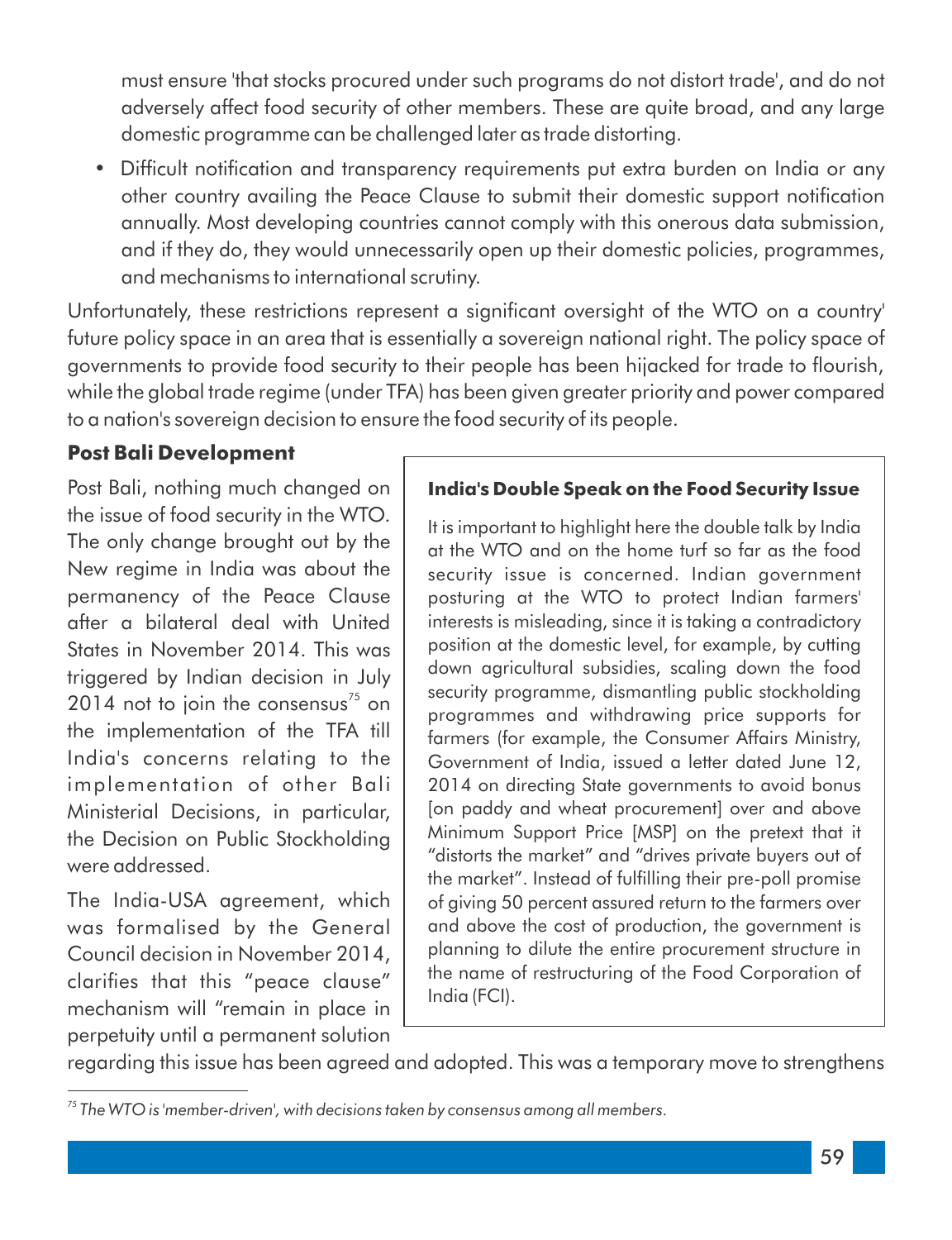must ensure 'that stocks procured under such programs do not distort trade', and do not adversely affect food security of other members. These are quite broad, and any large domestic programme can be challenged later as trade distorting.

• Difficult notification and transparency requirements put extra burden on India or any other country availing the Peace Clause to submit their domestic support notification annually. Most developing countries cannot comply with this onerous data submission, and if they do, they would unnecessarily open up their domestic policies, programmes, and mechanisms to international scrutiny.

Unfortunately, these restrictions represent a significant oversight of the WTO on a country' future policy space in an area that is essentially a sovereign national right. The policy space of governments to provide food security to their people has been hijacked for trade to flourish, while the global trade regime (under TFA) has been given greater priority and power compared to a nation's sovereign decision to ensure the food security of its people.

#### **Post Bali Development**

Post Bali, nothing much changed on the issue of food security in the WTO. The only change brought out by the New regime in India was about the permanency of the Peace Clause after a bilateral deal with United States in November 2014. This was triggered by Indian decision in July 2014 not to join the consensus $<sup>75</sup>$  on</sup> the implementation of the TFA till India's concerns relating to the implementation of other Bali Ministerial Decisions, in particular, the Decision on Public Stockholding were addressed.

The India-USA agreement, which was formalised by the General Council decision in November 2014, clarifies that this "peace clause" mechanism will "remain in place in perpetuity until a permanent solution

#### **India's Double Speak on the Food Security Issue**

It is important to highlight here the double talk by India at the WTO and on the home turf so far as the food security issue is concerned. Indian government posturing at the WTO to protect Indian farmers' interests is misleading, since it is taking a contradictory position at the domestic level, for example, by cutting down agricultural subsidies, scaling down the food security programme, dismantling public stockholding programmes and withdrawing price supports for farmers (for example, the Consumer Affairs Ministry, Government of India, issued a letter dated June 12, 2014 on directing State governments to avoid bonus [on paddy and wheat procurement] over and above Minimum Support Price [MSP] on the pretext that it "distorts the market" and "drives private buyers out of the market". Instead of fulfilling their pre-poll promise of giving 50 percent assured return to the farmers over and above the cost of production, the government is planning to dilute the entire procurement structure in the name of restructuring of the Food Corporation of India (FCI).

regarding this issue has been agreed and adopted. This was a temporary move to strengthens

*<sup>75</sup> The WTO is 'member-driven', with decisions taken by consensus among all members.*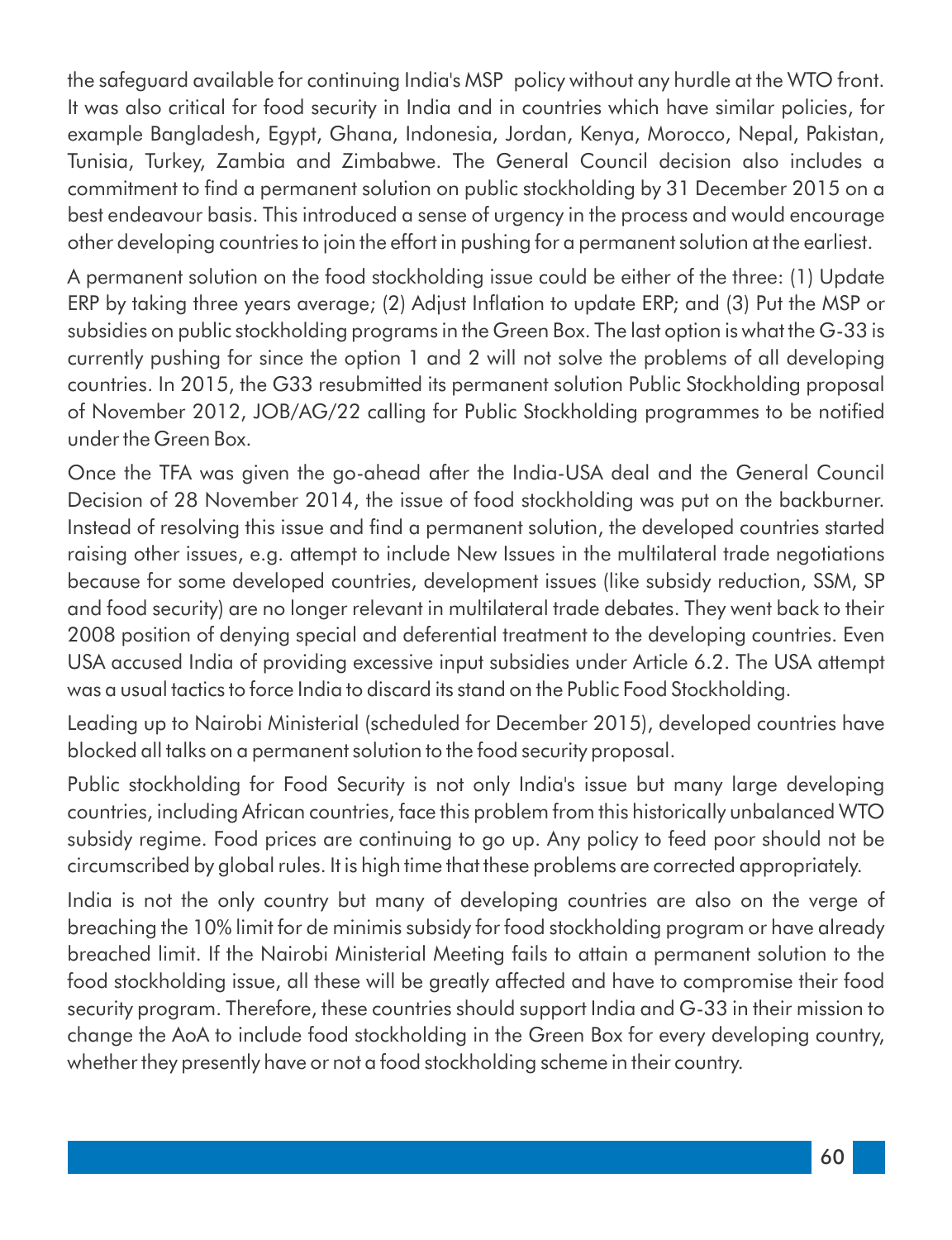the safeguard available for continuing India's MSP policy without any hurdle at the WTO front. It was also critical for food security in India and in countries which have similar policies, for example Bangladesh, Egypt, Ghana, Indonesia, Jordan, Kenya, Morocco, Nepal, Pakistan, Tunisia, Turkey, Zambia and Zimbabwe. The General Council decision also includes a commitment to find a permanent solution on public stockholding by 31 December 2015 on a best endeavour basis. This introduced a sense of urgency in the process and would encourage other developing countries to join the effort in pushing for a permanent solution at the earliest.

A permanent solution on the food stockholding issue could be either of the three: (1) Update ERP by taking three years average; (2) Adjust Inflation to update ERP; and (3) Put the MSP or subsidies on public stockholding programs in the Green Box. The last option is what the G-33 is currently pushing for since the option 1 and 2 will not solve the problems of all developing countries. In 2015, the G33 resubmitted its permanent solution Public Stockholding proposal of November 2012, JOB/AG/22 calling for Public Stockholding programmes to be notified under the Green Box.

Once the TFA was given the go-ahead after the India-USA deal and the General Council Decision of 28 November 2014, the issue of food stockholding was put on the backburner. Instead of resolving this issue and find a permanent solution, the developed countries started raising other issues, e.g. attempt to include New Issues in the multilateral trade negotiations because for some developed countries, development issues (like subsidy reduction, SSM, SP and food security) are no longer relevant in multilateral trade debates. They went back to their 2008 position of denying special and deferential treatment to the developing countries. Even USA accused India of providing excessive input subsidies under Article 6.2. The USA attempt was a usual tactics to force India to discard its stand on the Public Food Stockholding.

Leading up to Nairobi Ministerial (scheduled for December 2015), developed countries have blocked all talks on a permanent solution to the food security proposal.

Public stockholding for Food Security is not only India's issue but many large developing countries, including African countries, face this problem from this historically unbalanced WTO subsidy regime. Food prices are continuing to go up. Any policy to feed poor should not be circumscribed by global rules. It is high time that these problems are corrected appropriately.

India is not the only country but many of developing countries are also on the verge of breaching the 10% limit for de minimis subsidy for food stockholding program or have already breached limit. If the Nairobi Ministerial Meeting fails to attain a permanent solution to the food stockholding issue, all these will be greatly affected and have to compromise their food security program. Therefore, these countries should support India and G-33 in their mission to change the AoA to include food stockholding in the Green Box for every developing country, whether they presently have or not a food stockholding scheme in their country.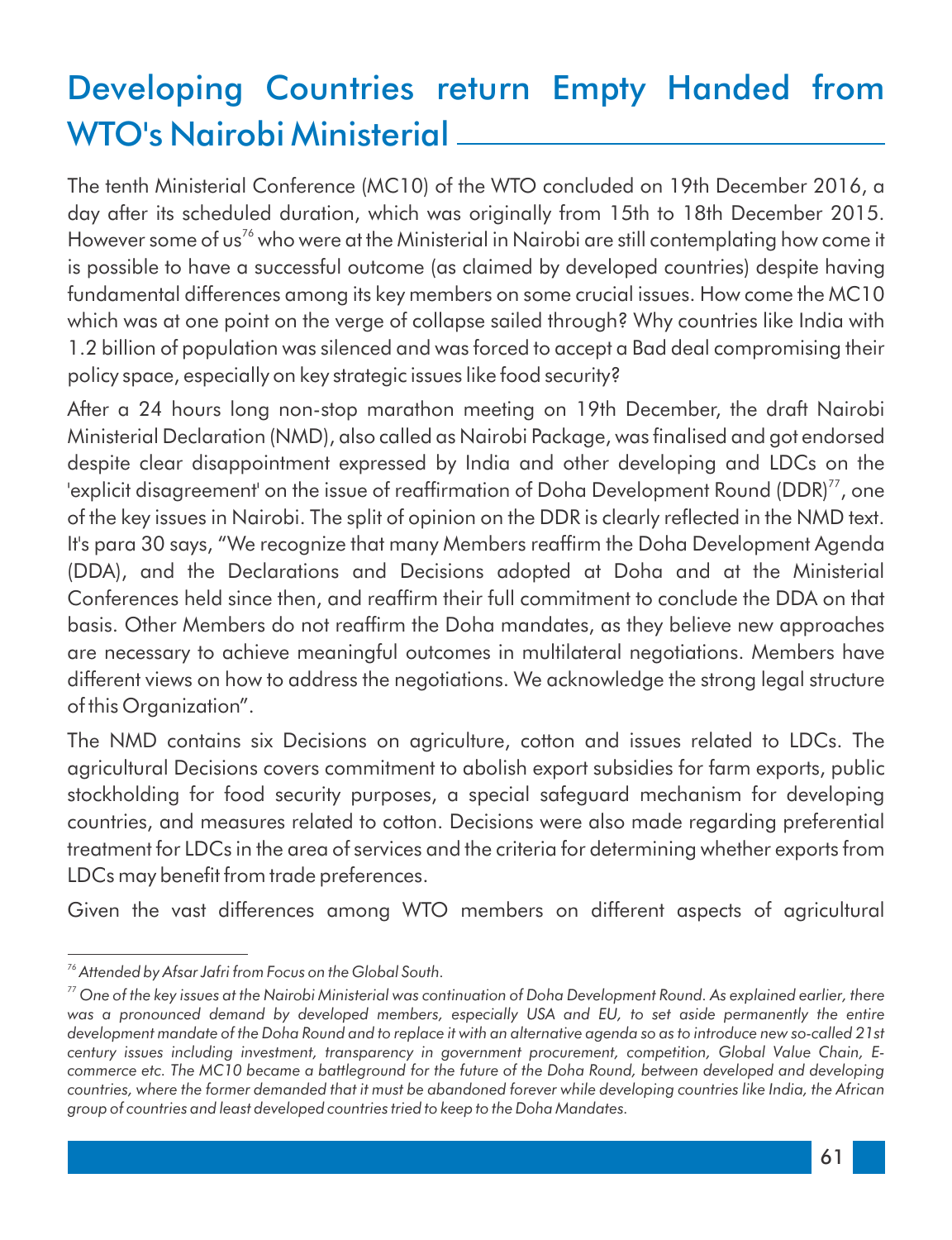## Developing Countries return Empty Handed from WTO's Nairobi Ministerial

The tenth Ministerial Conference (MC10) of the WTO concluded on 19th December 2016, a day after its scheduled duration, which was originally from 15th to 18th December 2015. However some of us<sup>76</sup> who were at the Ministerial in Nairobi are still contemplating how come it is possible to have a successful outcome (as claimed by developed countries) despite having fundamental differences among its key members on some crucial issues. How come the MC10 which was at one point on the verge of collapse sailed through? Why countries like India with 1.2 billion of population was silenced and was forced to accept a Bad deal compromising their policy space, especially on key strategic issues like food security?

After a 24 hours long non-stop marathon meeting on 19th December, the draft Nairobi Ministerial Declaration (NMD), also called as Nairobi Package, was finalised and got endorsed despite clear disappointment expressed by India and other developing and LDCs on the 'explicit disagreement' on the issue of reaffirmation of Doha Development Round (DDR) $<sup>77</sup>$ , one</sup> of the key issues in Nairobi. The split of opinion on the DDR is clearly reflected in the NMD text. It's para 30 says, "We recognize that many Members reaffirm the Doha Development Agenda (DDA), and the Declarations and Decisions adopted at Doha and at the Ministerial Conferences held since then, and reafrm their full commitment to conclude the DDA on that basis. Other Members do not reaffirm the Doha mandates, as they believe new approaches are necessary to achieve meaningful outcomes in multilateral negotiations. Members have different views on how to address the negotiations. We acknowledge the strong legal structure of this Organization".

The NMD contains six Decisions on agriculture, cotton and issues related to LDCs. The agricultural Decisions covers commitment to abolish export subsidies for farm exports, public stockholding for food security purposes, a special safeguard mechanism for developing countries, and measures related to cotton. Decisions were also made regarding preferential treatment for LDCs in the area of services and the criteria for determining whether exports from LDCs may benefit from trade preferences.

Given the vast differences among WTO members on different aspects of agricultural

*<sup>76</sup> Attended by Afsar Jafri from Focus on the Global South.* 

*<sup>77</sup> One of the key issues at the Nairobi Ministerial was continuation of Doha Development Round. As explained earlier, there*  was a pronounced demand by developed members, especially USA and EU, to set aside permanently the entire *development mandate of the Doha Round and to replace it with an alternative agenda so as to introduce new so-called 21st century issues including investment, transparency in government procurement, competition, Global Value Chain, Ecommerce etc. The MC10 became a battleground for the future of the Doha Round, between developed and developing countries, where the former demanded that it must be abandoned forever while developing countries like India, the African group of countries and least developed countries tried to keep to the Doha Mandates.*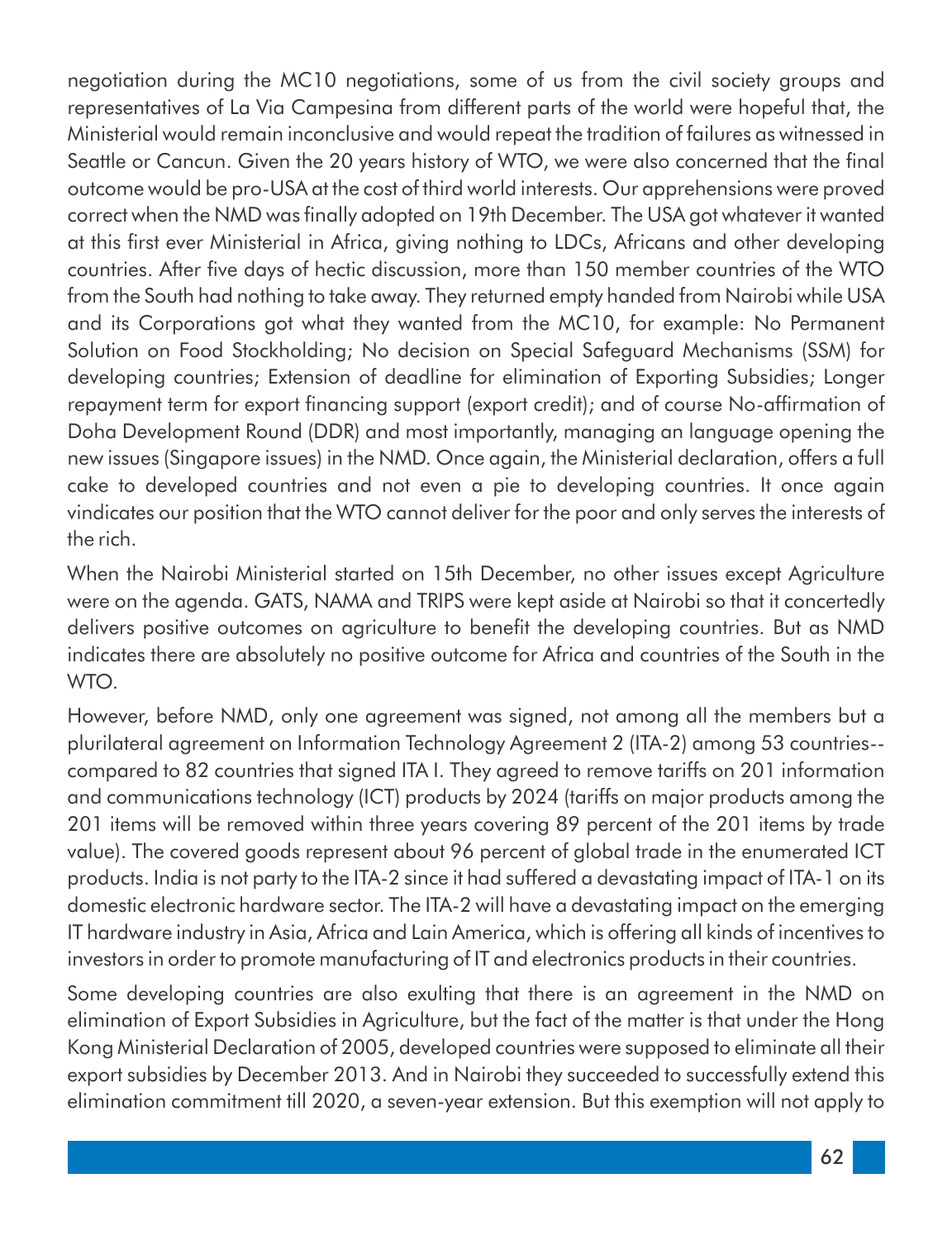negotiation during the MC10 negotiations, some of us from the civil society groups and representatives of La Via Campesina from different parts of the world were hopeful that, the Ministerial would remain inconclusive and would repeat the tradition of failures as witnessed in Seattle or Cancun. Given the 20 years history of WTO, we were also concerned that the final outcome would be pro-USA at the cost of third world interests. Our apprehensions were proved correct when the NMD was finally adopted on 19th December. The USA got whatever it wanted at this first ever Ministerial in Africa, giving nothing to LDCs, Africans and other developing countries. After five days of hectic discussion, more than 150 member countries of the WTO from the South had nothing to take away. They returned empty handed from Nairobi while USA and its Corporations got what they wanted from the MC10, for example: No Permanent Solution on Food Stockholding; No decision on Special Safeguard Mechanisms (SSM) for developing countries; Extension of deadline for elimination of Exporting Subsidies; Longer repayment term for export financing support (export credit); and of course No-affirmation of Doha Development Round (DDR) and most importantly, managing an language opening the new issues (Singapore issues) in the NMD. Once again, the Ministerial declaration, offers a full cake to developed countries and not even a pie to developing countries. It once again vindicates our position that the WTO cannot deliver for the poor and only serves the interests of the rich.

When the Nairobi Ministerial started on 15th December, no other issues except Agriculture were on the agenda. GATS, NAMA and TRIPS were kept aside at Nairobi so that it concertedly delivers positive outcomes on agriculture to benefit the developing countries. But as NMD indicates there are absolutely no positive outcome for Africa and countries of the South in the WTO.

However, before NMD, only one agreement was signed, not among all the members but a plurilateral agreement on Information Technology Agreement 2 (ITA-2) among 53 countries- compared to 82 countries that signed ITA I. They agreed to remove tariffs on 201 information and communications technology (ICT) products by 2024 (tariffs on major products among the 201 items will be removed within three years covering 89 percent of the 201 items by trade value). The covered goods represent about 96 percent of global trade in the enumerated ICT products. India is not party to the ITA-2 since it had suffered a devastating impact of ITA-1 on its domestic electronic hardware sector. The ITA-2 will have a devastating impact on the emerging IT hardware industry in Asia, Africa and Lain America, which is offering all kinds of incentives to investors in order to promote manufacturing of IT and electronics products in their countries.

Some developing countries are also exulting that there is an agreement in the NMD on elimination of Export Subsidies in Agriculture, but the fact of the matter is that under the Hong Kong Ministerial Declaration of 2005, developed countries were supposed to eliminate all their export subsidies by December 2013. And in Nairobi they succeeded to successfully extend this elimination commitment till 2020, a seven-year extension. But this exemption will not apply to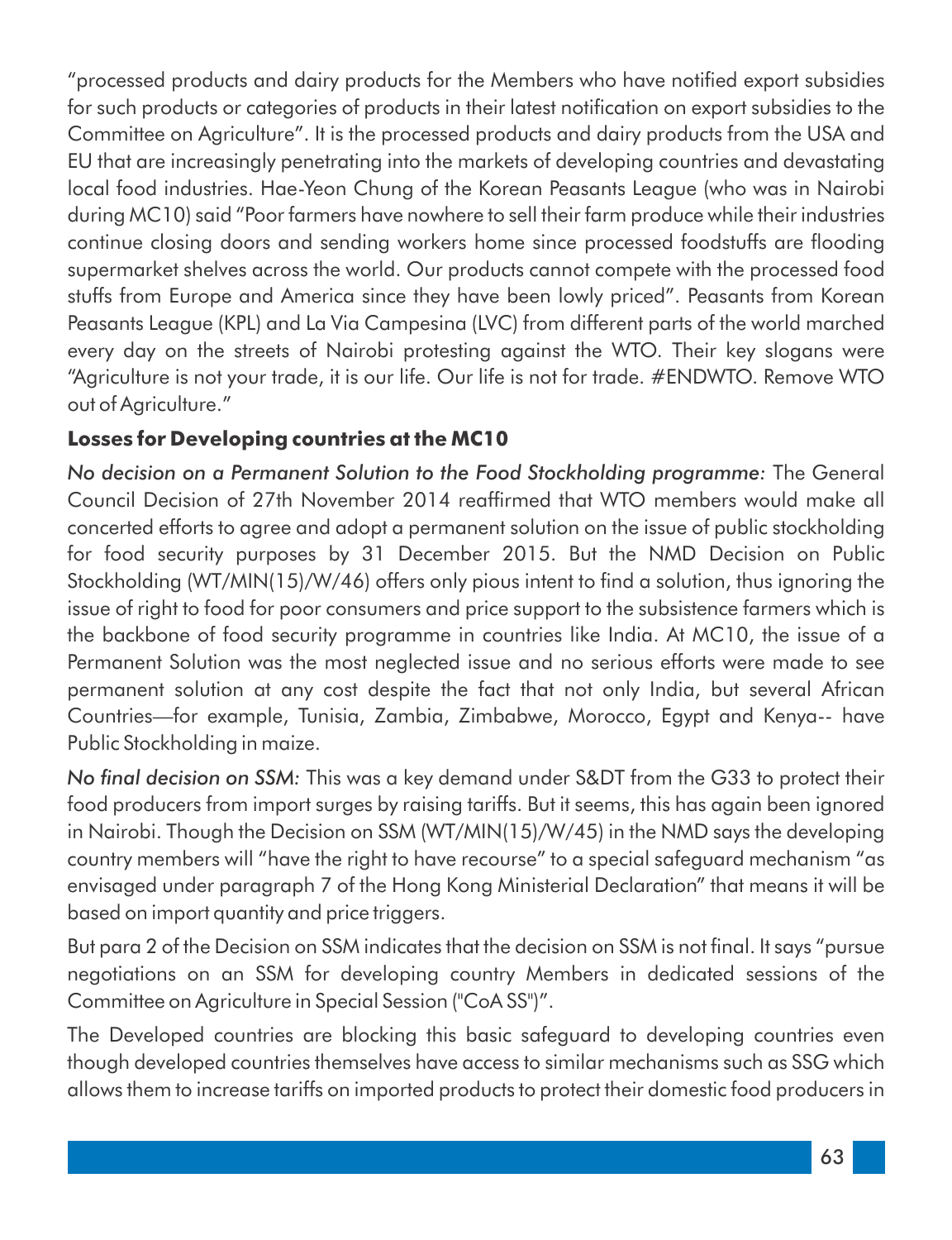"processed products and dairy products for the Members who have notified export subsidies for such products or categories of products in their latest notification on export subsidies to the Committee on Agriculture". It is the processed products and dairy products from the USA and EU that are increasingly penetrating into the markets of developing countries and devastating local food industries. Hae-Yeon Chung of the Korean Peasants League (who was in Nairobi during MC10) said "Poor farmers have nowhere to sell their farm produce while their industries continue closing doors and sending workers home since processed foodstuffs are flooding supermarket shelves across the world. Our products cannot compete with the processed food stuffs from Europe and America since they have been lowly priced". Peasants from Korean Peasants League (KPL) and La Via Campesina (LVC) from different parts of the world marched every day on the streets of Nairobi protesting against the WTO. Their key slogans were "Agriculture is not your trade, it is our life. Our life is not for trade. #ENDWTO. Remove WTO out of Agriculture."

#### **Losses for Developing countries at the MC10**

*No decision on a Permanent Solution to the Food Stockholding programme:* The General Council Decision of 27th November 2014 reaffirmed that WTO members would make all concerted efforts to agree and adopt a permanent solution on the issue of public stockholding for food security purposes by 31 December 2015. But the NMD Decision on Public Stockholding (WT/MIN(15)/W/46) offers only pious intent to find a solution, thus ignoring the issue of right to food for poor consumers and price support to the subsistence farmers which is the backbone of food security programme in countries like India. At MC10, the issue of a Permanent Solution was the most neglected issue and no serious efforts were made to see permanent solution at any cost despite the fact that not only India, but several African Countries—for example, Tunisia, Zambia, Zimbabwe, Morocco, Egypt and Kenya-- have Public Stockholding in maize.

*No nal decision on SSM:* This was a key demand under S&DT from the G33 to protect their food producers from import surges by raising tariffs. But it seems, this has again been ignored in Nairobi. Though the Decision on SSM (WT/MIN(15)/W/45) in the NMD says the developing country members will "have the right to have recourse" to a special safeguard mechanism "as envisaged under paragraph 7 of the Hong Kong Ministerial Declaration" that means it will be based on import quantity and price triggers.

But para 2 of the Decision on SSM indicates that the decision on SSM is not final. It says "pursue negotiations on an SSM for developing country Members in dedicated sessions of the Committee on Agriculture in Special Session ("CoA SS")".

The Developed countries are blocking this basic safeguard to developing countries even though developed countries themselves have access to similar mechanisms such as SSG which allows them to increase tariffs on imported products to protect their domestic food producers in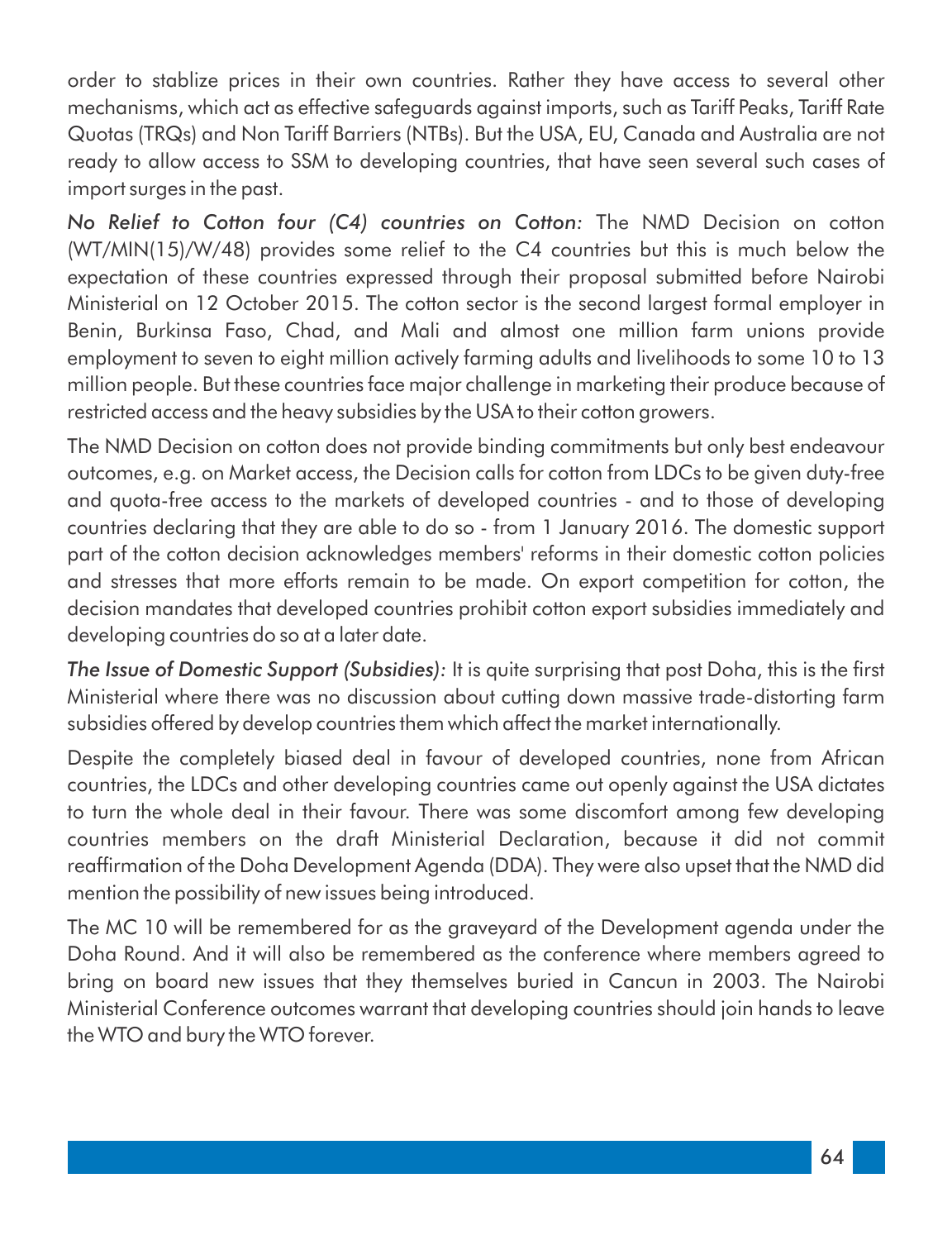order to stablize prices in their own countries. Rather they have access to several other mechanisms, which act as effective safeguards against imports, such as Tariff Peaks, Tariff Rate Quotas (TRQs) and Non Tariff Barriers (NTBs). But the USA, EU, Canada and Australia are not ready to allow access to SSM to developing countries, that have seen several such cases of import surges in the past.

*No Relief to Cotton four (C4) countries on Cotton:* The NMD Decision on cotton (WT/MIN(15)/W/48) provides some relief to the C4 countries but this is much below the expectation of these countries expressed through their proposal submitted before Nairobi Ministerial on 12 October 2015. The cotton sector is the second largest formal employer in Benin, Burkinsa Faso, Chad, and Mali and almost one million farm unions provide employment to seven to eight million actively farming adults and livelihoods to some 10 to 13 million people. But these countries face major challenge in marketing their produce because of restricted access and the heavy subsidies by the USA to their cotton growers.

The NMD Decision on cotton does not provide binding commitments but only best endeavour outcomes, e.g. on Market access, the Decision calls for cotton from LDCs to be given duty-free and quota-free access to the markets of developed countries - and to those of developing countries declaring that they are able to do so - from 1 January 2016. The domestic support part of the cotton decision acknowledges members' reforms in their domestic cotton policies and stresses that more efforts remain to be made. On export competition for cotton, the decision mandates that developed countries prohibit cotton export subsidies immediately and developing countries do so at a later date.

**The Issue of Domestic Support (Subsidies):** It is quite surprising that post Doha, this is the first Ministerial where there was no discussion about cutting down massive trade-distorting farm subsidies offered by develop countries them which affect the market internationally.

Despite the completely biased deal in favour of developed countries, none from African countries, the LDCs and other developing countries came out openly against the USA dictates to turn the whole deal in their favour. There was some discomfort among few developing countries members on the draft Ministerial Declaration, because it did not commit reafrmation of the Doha Development Agenda (DDA). They were also upset that the NMD did mention the possibility of new issues being introduced.

The MC 10 will be remembered for as the graveyard of the Development agenda under the Doha Round. And it will also be remembered as the conference where members agreed to bring on board new issues that they themselves buried in Cancun in 2003. The Nairobi Ministerial Conference outcomes warrant that developing countries should join hands to leave the WTO and bury the WTO forever.